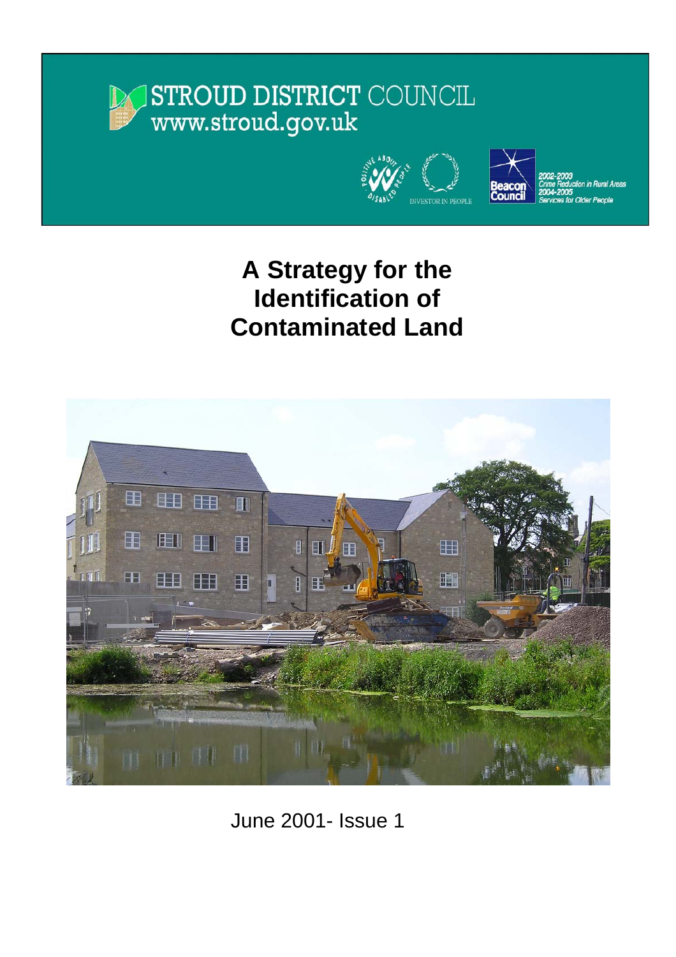# STROUD DISTRICT COUNCIL www.stroud.gov.uk





in Rural Areas **Older People** 

# **A Strategy for the Identification of Contaminated Land**



June 2001- Issue 1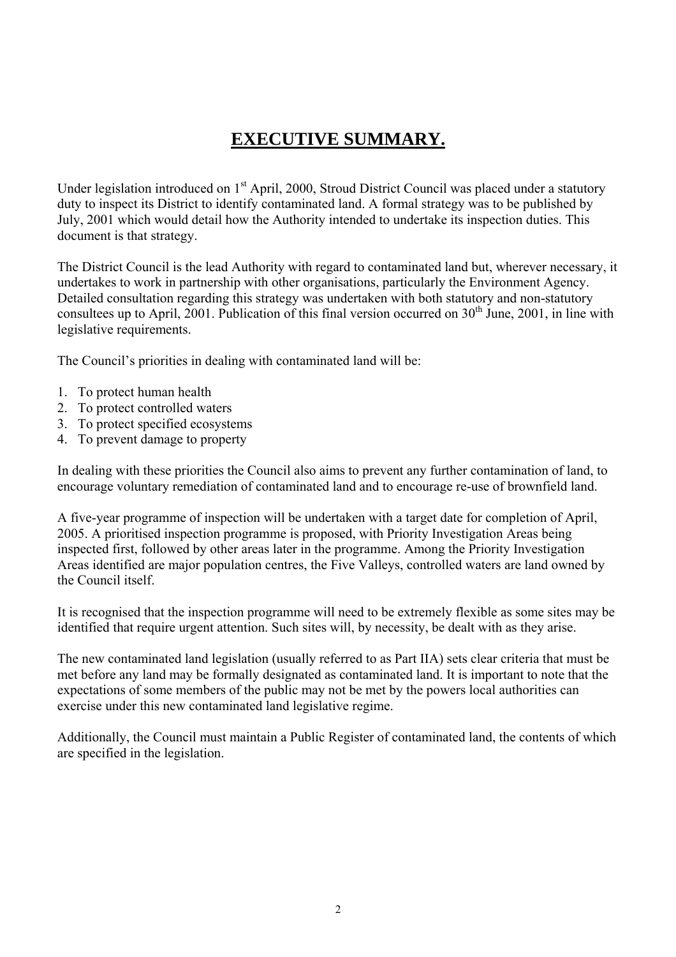## **EXECUTIVE SUMMARY.**

Under legislation introduced on 1<sup>st</sup> April, 2000, Stroud District Council was placed under a statutory duty to inspect its District to identify contaminated land. A formal strategy was to be published by July, 2001 which would detail how the Authority intended to undertake its inspection duties. This document is that strategy.

The District Council is the lead Authority with regard to contaminated land but, wherever necessary, it undertakes to work in partnership with other organisations, particularly the Environment Agency. Detailed consultation regarding this strategy was undertaken with both statutory and non-statutory consultees up to April, 2001. Publication of this final version occurred on  $30<sup>th</sup>$  June, 2001, in line with legislative requirements.

The Council's priorities in dealing with contaminated land will be:

- 1. To protect human health
- 2. To protect controlled waters
- 3. To protect specified ecosystems
- 4. To prevent damage to property

In dealing with these priorities the Council also aims to prevent any further contamination of land, to encourage voluntary remediation of contaminated land and to encourage re-use of brownfield land.

A five-year programme of inspection will be undertaken with a target date for completion of April, 2005. A prioritised inspection programme is proposed, with Priority Investigation Areas being inspected first, followed by other areas later in the programme. Among the Priority Investigation Areas identified are major population centres, the Five Valleys, controlled waters are land owned by the Council itself.

It is recognised that the inspection programme will need to be extremely flexible as some sites may be identified that require urgent attention. Such sites will, by necessity, be dealt with as they arise.

The new contaminated land legislation (usually referred to as Part IIA) sets clear criteria that must be met before any land may be formally designated as contaminated land. It is important to note that the expectations of some members of the public may not be met by the powers local authorities can exercise under this new contaminated land legislative regime.

Additionally, the Council must maintain a Public Register of contaminated land, the contents of which are specified in the legislation.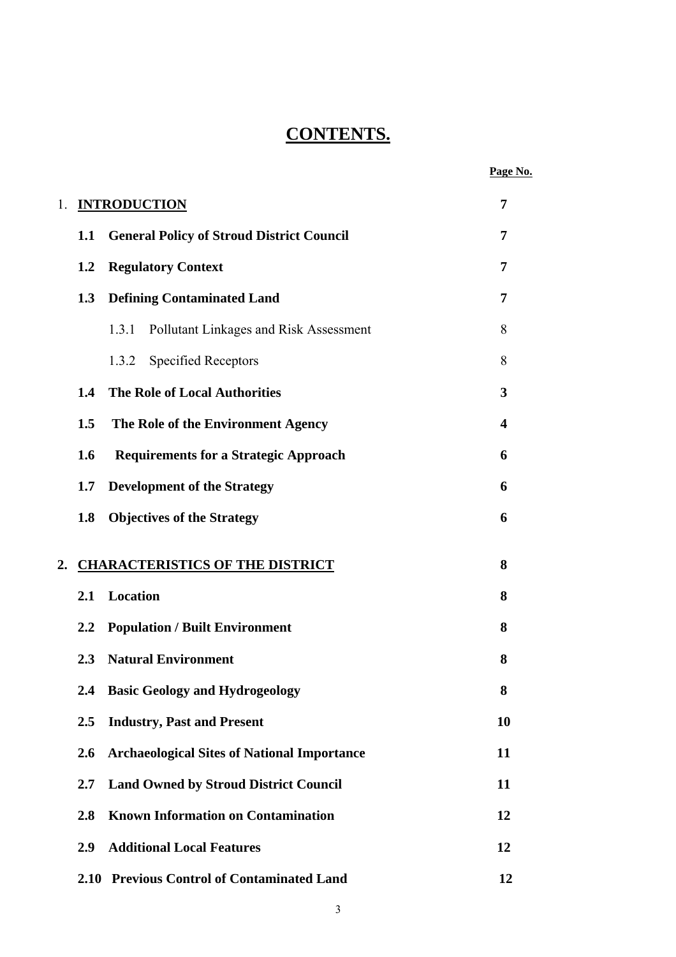## **CONTENTS.**

|    |               |                                                    | Page No. |
|----|---------------|----------------------------------------------------|----------|
| 1. |               | <b>INTRODUCTION</b>                                | 7        |
|    | 1.1           | <b>General Policy of Stroud District Council</b>   | 7        |
|    | 1.2           | <b>Regulatory Context</b>                          | 7        |
|    | 1.3           | <b>Defining Contaminated Land</b>                  | 7        |
|    |               | Pollutant Linkages and Risk Assessment<br>1.3.1    | 8        |
|    |               | <b>Specified Receptors</b><br>1.3.2                | 8        |
|    | 1.4           | <b>The Role of Local Authorities</b>               | 3        |
|    | 1.5           | The Role of the Environment Agency                 | 4        |
|    | 1.6           | <b>Requirements for a Strategic Approach</b>       | 6        |
|    | 1.7           | <b>Development of the Strategy</b>                 | 6        |
|    | 1.8           | <b>Objectives of the Strategy</b>                  | 6        |
| 2. |               | <b>CHARACTERISTICS OF THE DISTRICT</b>             | 8        |
|    | 2.1           | Location                                           | 8        |
|    | 2.2           | <b>Population / Built Environment</b>              | 8        |
|    | 2.3           | <b>Natural Environment</b>                         | 8        |
|    | $2.4^{\circ}$ | <b>Basic Geology and Hydrogeology</b>              | 8        |
|    | $2.5\,$       | <b>Industry, Past and Present</b>                  | 10       |
|    | 2.6           | <b>Archaeological Sites of National Importance</b> | 11       |
|    | 2.7           | <b>Land Owned by Stroud District Council</b>       | 11       |
|    | 2.8           | <b>Known Information on Contamination</b>          | 12       |
|    | 2.9           | <b>Additional Local Features</b>                   | 12       |
|    |               | 2.10 Previous Control of Contaminated Land         | 12       |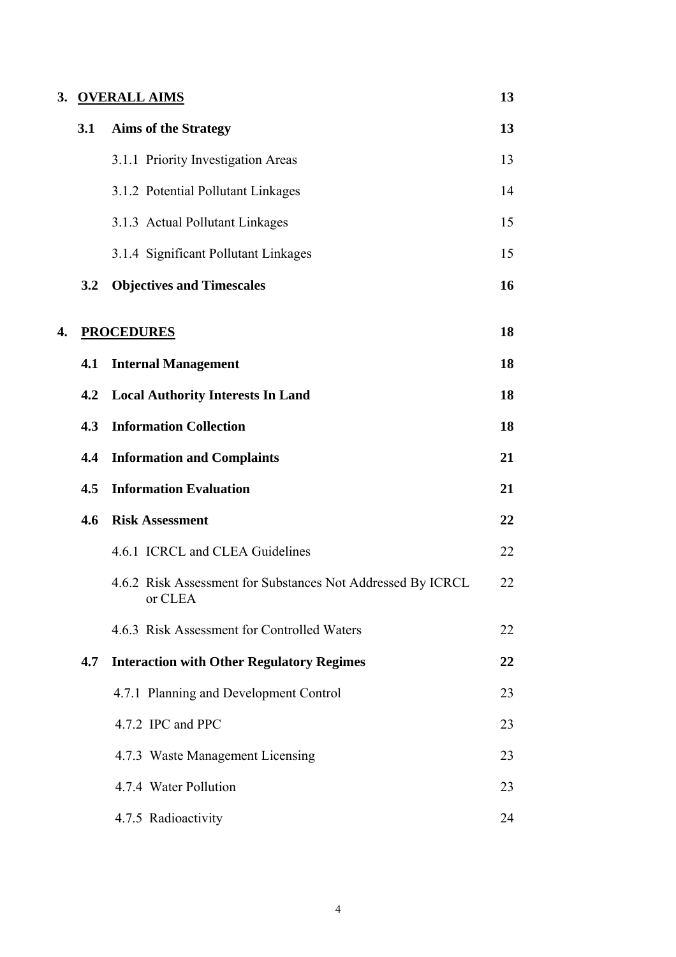|    | 3. OVERALL AIMS |                                                                        | 13 |
|----|-----------------|------------------------------------------------------------------------|----|
|    | 3.1             | <b>Aims of the Strategy</b>                                            | 13 |
|    |                 | 3.1.1 Priority Investigation Areas                                     | 13 |
|    |                 | 3.1.2 Potential Pollutant Linkages                                     | 14 |
|    |                 | 3.1.3 Actual Pollutant Linkages                                        | 15 |
|    |                 | 3.1.4 Significant Pollutant Linkages                                   | 15 |
|    | 3.2             | <b>Objectives and Timescales</b>                                       | 16 |
| 4. |                 | <b>PROCEDURES</b>                                                      | 18 |
|    | 4.1             | <b>Internal Management</b>                                             | 18 |
|    | 4.2             | <b>Local Authority Interests In Land</b>                               | 18 |
|    | 4.3             | <b>Information Collection</b>                                          | 18 |
|    | 4.4             | <b>Information and Complaints</b>                                      | 21 |
|    | 4.5             | <b>Information Evaluation</b>                                          | 21 |
|    | 4.6             | <b>Risk Assessment</b>                                                 | 22 |
|    |                 | 4.6.1 ICRCL and CLEA Guidelines                                        | 22 |
|    |                 | 4.6.2 Risk Assessment for Substances Not Addressed By ICRCL<br>or CLEA | 22 |
|    |                 | 4.6.3 Risk Assessment for Controlled Waters                            | 22 |
|    | 4.7             | <b>Interaction with Other Regulatory Regimes</b>                       | 22 |
|    |                 | 4.7.1 Planning and Development Control                                 | 23 |
|    |                 | 4.7.2 IPC and PPC                                                      | 23 |
|    |                 | 4.7.3 Waste Management Licensing                                       | 23 |
|    |                 | 4.7.4 Water Pollution                                                  | 23 |
|    |                 | 4.7.5 Radioactivity                                                    | 24 |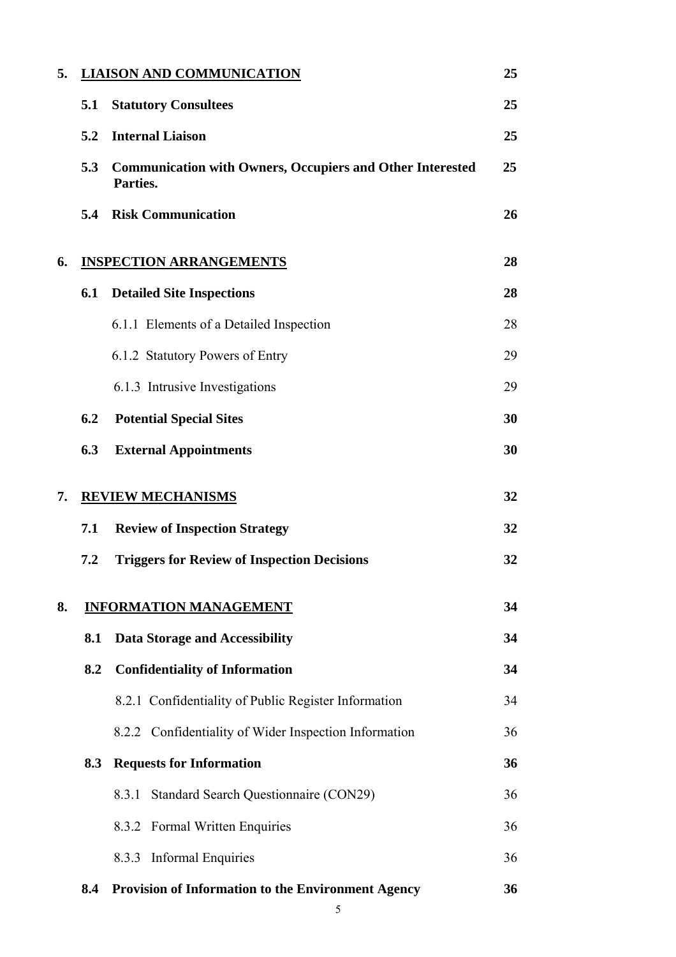| 5. |     | <b>LIAISON AND COMMUNICATION</b>                                             | 25 |
|----|-----|------------------------------------------------------------------------------|----|
|    | 5.1 | <b>Statutory Consultees</b>                                                  | 25 |
|    | 5.2 | <b>Internal Liaison</b>                                                      | 25 |
|    | 5.3 | <b>Communication with Owners, Occupiers and Other Interested</b><br>Parties. | 25 |
|    | 5.4 | <b>Risk Communication</b>                                                    | 26 |
| 6. |     | <b>INSPECTION ARRANGEMENTS</b>                                               | 28 |
|    | 6.1 | <b>Detailed Site Inspections</b>                                             | 28 |
|    |     | 6.1.1 Elements of a Detailed Inspection                                      | 28 |
|    |     | 6.1.2 Statutory Powers of Entry                                              | 29 |
|    |     | 6.1.3 Intrusive Investigations                                               | 29 |
|    | 6.2 | <b>Potential Special Sites</b>                                               | 30 |
|    | 6.3 | <b>External Appointments</b>                                                 | 30 |
| 7. |     | <b>REVIEW MECHANISMS</b>                                                     | 32 |
|    | 7.1 | <b>Review of Inspection Strategy</b>                                         | 32 |
|    | 7.2 | <b>Triggers for Review of Inspection Decisions</b>                           | 32 |
| 8. |     | <b>INFORMATION MANAGEMENT</b>                                                | 34 |
|    | 8.1 | <b>Data Storage and Accessibility</b>                                        | 34 |
|    | 8.2 | <b>Confidentiality of Information</b>                                        | 34 |
|    |     | 8.2.1 Confidentiality of Public Register Information                         | 34 |
|    |     | 8.2.2 Confidentiality of Wider Inspection Information                        | 36 |
|    | 8.3 | <b>Requests for Information</b>                                              | 36 |
|    |     | Standard Search Questionnaire (CON29)<br>8.3.1                               | 36 |
|    |     | 8.3.2 Formal Written Enquiries                                               | 36 |
|    |     | 8.3.3 Informal Enquiries                                                     | 36 |
|    | 8.4 | <b>Provision of Information to the Environment Agency</b>                    | 36 |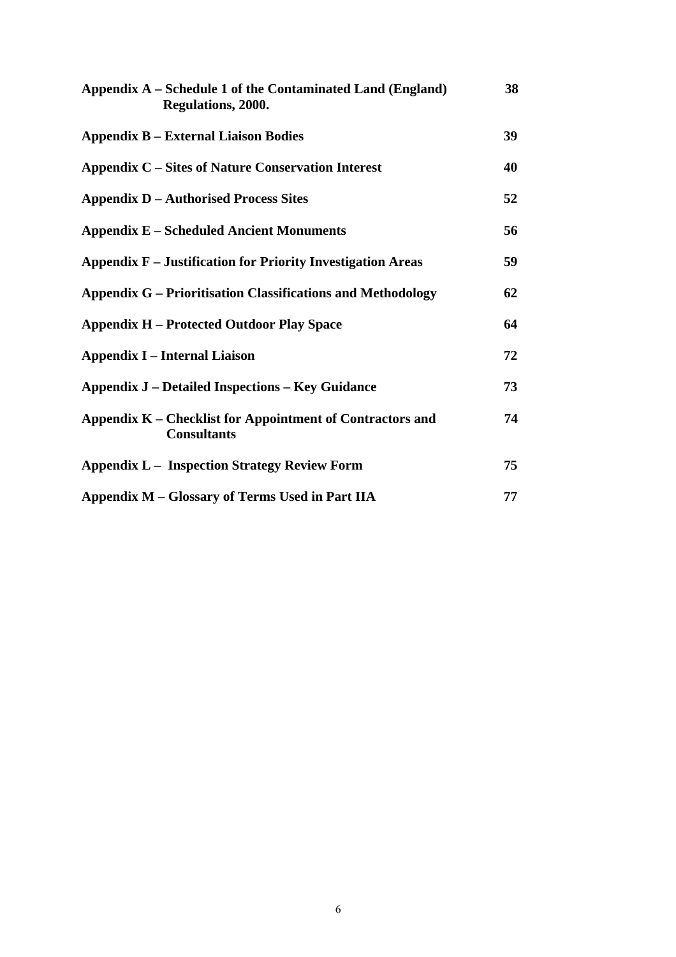| Appendix A – Schedule 1 of the Contaminated Land (England)<br>Regulations, 2000. | 38 |
|----------------------------------------------------------------------------------|----|
| <b>Appendix B – External Liaison Bodies</b>                                      | 39 |
| <b>Appendix C – Sites of Nature Conservation Interest</b>                        | 40 |
| <b>Appendix D – Authorised Process Sites</b>                                     | 52 |
| <b>Appendix E – Scheduled Ancient Monuments</b>                                  | 56 |
| <b>Appendix F</b> – Justification for Priority Investigation Areas               | 59 |
| <b>Appendix G – Prioritisation Classifications and Methodology</b>               | 62 |
| <b>Appendix H - Protected Outdoor Play Space</b>                                 | 64 |
| <b>Appendix I – Internal Liaison</b>                                             | 72 |
| <b>Appendix J – Detailed Inspections – Key Guidance</b>                          | 73 |
| Appendix K – Checklist for Appointment of Contractors and<br><b>Consultants</b>  | 74 |
| <b>Appendix L – Inspection Strategy Review Form</b>                              | 75 |
| Appendix M – Glossary of Terms Used in Part IIA                                  | 77 |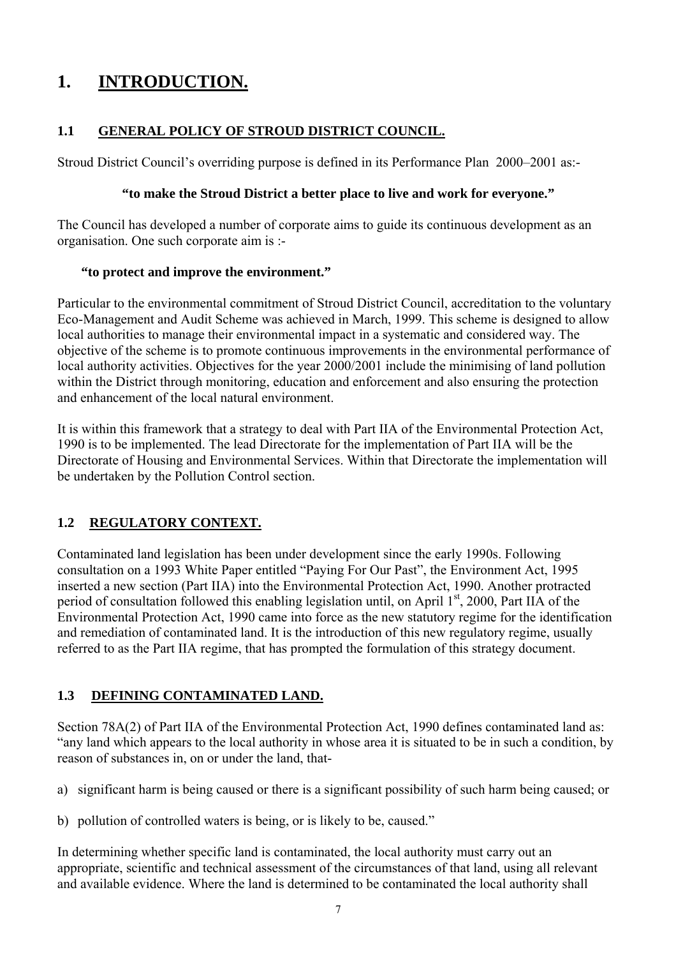## **1. INTRODUCTION.**

## **1.1 GENERAL POLICY OF STROUD DISTRICT COUNCIL.**

Stroud District Council's overriding purpose is defined in its Performance Plan 2000–2001 as:-

#### **"to make the Stroud District a better place to live and work for everyone."**

The Council has developed a number of corporate aims to guide its continuous development as an organisation. One such corporate aim is :-

#### **"to protect and improve the environment."**

Particular to the environmental commitment of Stroud District Council, accreditation to the voluntary Eco-Management and Audit Scheme was achieved in March, 1999. This scheme is designed to allow local authorities to manage their environmental impact in a systematic and considered way. The objective of the scheme is to promote continuous improvements in the environmental performance of local authority activities. Objectives for the year 2000/2001 include the minimising of land pollution within the District through monitoring, education and enforcement and also ensuring the protection and enhancement of the local natural environment.

It is within this framework that a strategy to deal with Part IIA of the Environmental Protection Act, 1990 is to be implemented. The lead Directorate for the implementation of Part IIA will be the Directorate of Housing and Environmental Services. Within that Directorate the implementation will be undertaken by the Pollution Control section.

## **1.2 REGULATORY CONTEXT.**

Contaminated land legislation has been under development since the early 1990s. Following consultation on a 1993 White Paper entitled "Paying For Our Past", the Environment Act, 1995 inserted a new section (Part IIA) into the Environmental Protection Act, 1990. Another protracted period of consultation followed this enabling legislation until, on April  $1<sup>st</sup>$ , 2000, Part IIA of the Environmental Protection Act, 1990 came into force as the new statutory regime for the identification and remediation of contaminated land. It is the introduction of this new regulatory regime, usually referred to as the Part IIA regime, that has prompted the formulation of this strategy document.

## **1.3 DEFINING CONTAMINATED LAND.**

Section 78A(2) of Part IIA of the Environmental Protection Act, 1990 defines contaminated land as: "any land which appears to the local authority in whose area it is situated to be in such a condition, by reason of substances in, on or under the land, that-

- a) significant harm is being caused or there is a significant possibility of such harm being caused; or
- b) pollution of controlled waters is being, or is likely to be, caused."

In determining whether specific land is contaminated, the local authority must carry out an appropriate, scientific and technical assessment of the circumstances of that land, using all relevant and available evidence. Where the land is determined to be contaminated the local authority shall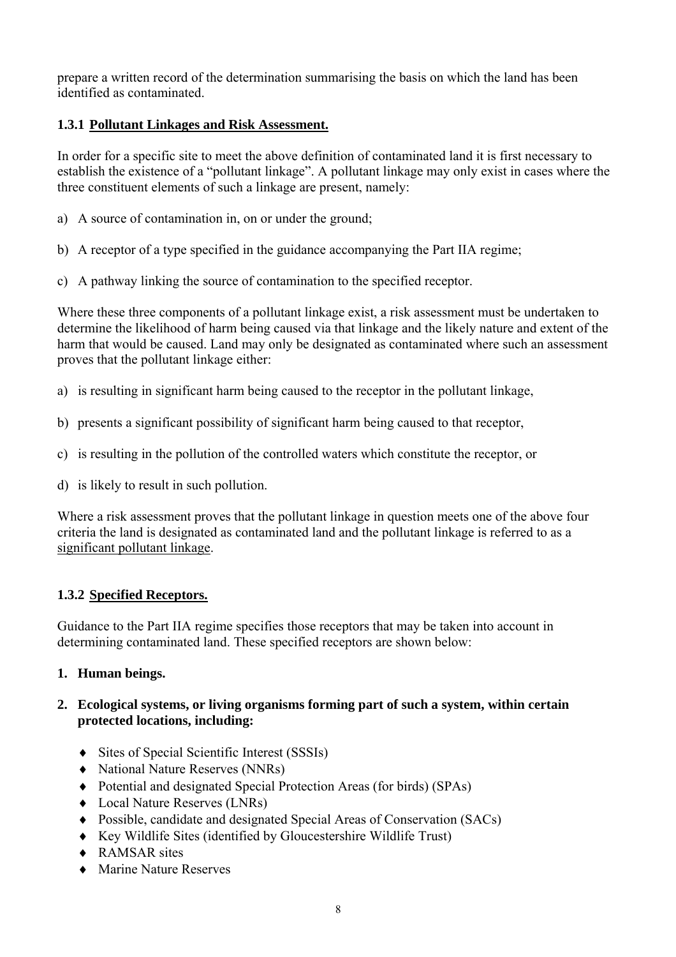prepare a written record of the determination summarising the basis on which the land has been identified as contaminated.

## **1.3.1 Pollutant Linkages and Risk Assessment.**

In order for a specific site to meet the above definition of contaminated land it is first necessary to establish the existence of a "pollutant linkage". A pollutant linkage may only exist in cases where the three constituent elements of such a linkage are present, namely:

- a) A source of contamination in, on or under the ground;
- b) A receptor of a type specified in the guidance accompanying the Part IIA regime;
- c) A pathway linking the source of contamination to the specified receptor.

Where these three components of a pollutant linkage exist, a risk assessment must be undertaken to determine the likelihood of harm being caused via that linkage and the likely nature and extent of the harm that would be caused. Land may only be designated as contaminated where such an assessment proves that the pollutant linkage either:

- a) is resulting in significant harm being caused to the receptor in the pollutant linkage,
- b) presents a significant possibility of significant harm being caused to that receptor,
- c) is resulting in the pollution of the controlled waters which constitute the receptor, or
- d) is likely to result in such pollution.

Where a risk assessment proves that the pollutant linkage in question meets one of the above four criteria the land is designated as contaminated land and the pollutant linkage is referred to as a significant pollutant linkage.

## **1.3.2 Specified Receptors.**

Guidance to the Part IIA regime specifies those receptors that may be taken into account in determining contaminated land. These specified receptors are shown below:

## **1. Human beings.**

#### **2. Ecological systems, or living organisms forming part of such a system, within certain protected locations, including:**

- ♦ Sites of Special Scientific Interest (SSSIs)
- ♦ National Nature Reserves (NNRs)
- ♦ Potential and designated Special Protection Areas (for birds) (SPAs)
- ♦ Local Nature Reserves (LNRs)
- ♦ Possible, candidate and designated Special Areas of Conservation (SACs)
- ♦ Key Wildlife Sites (identified by Gloucestershire Wildlife Trust)
- ♦ RAMSAR sites
- ♦ Marine Nature Reserves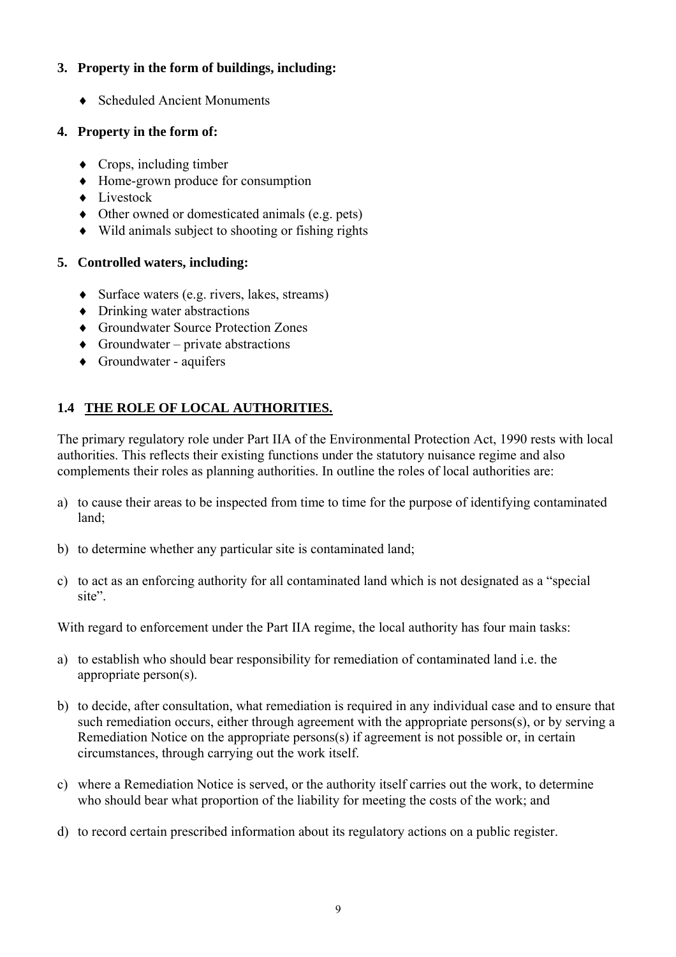#### **3. Property in the form of buildings, including:**

♦ Scheduled Ancient Monuments

## **4. Property in the form of:**

- $\triangleleft$  Crops, including timber
- ♦ Home-grown produce for consumption
- ♦ Livestock
- ♦ Other owned or domesticated animals (e.g. pets)
- ♦ Wild animals subject to shooting or fishing rights

## **5. Controlled waters, including:**

- ♦ Surface waters (e.g. rivers, lakes, streams)
- ♦ Drinking water abstractions
- ♦ Groundwater Source Protection Zones
- $\triangle$  Groundwater private abstractions
- ♦ Groundwater aquifers

## **1.4 THE ROLE OF LOCAL AUTHORITIES.**

The primary regulatory role under Part IIA of the Environmental Protection Act, 1990 rests with local authorities. This reflects their existing functions under the statutory nuisance regime and also complements their roles as planning authorities. In outline the roles of local authorities are:

- a) to cause their areas to be inspected from time to time for the purpose of identifying contaminated land;
- b) to determine whether any particular site is contaminated land;
- c) to act as an enforcing authority for all contaminated land which is not designated as a "special site".

With regard to enforcement under the Part IIA regime, the local authority has four main tasks:

- a) to establish who should bear responsibility for remediation of contaminated land i.e. the appropriate person(s).
- b) to decide, after consultation, what remediation is required in any individual case and to ensure that such remediation occurs, either through agreement with the appropriate persons(s), or by serving a Remediation Notice on the appropriate persons(s) if agreement is not possible or, in certain circumstances, through carrying out the work itself.
- c) where a Remediation Notice is served, or the authority itself carries out the work, to determine who should bear what proportion of the liability for meeting the costs of the work; and
- d) to record certain prescribed information about its regulatory actions on a public register.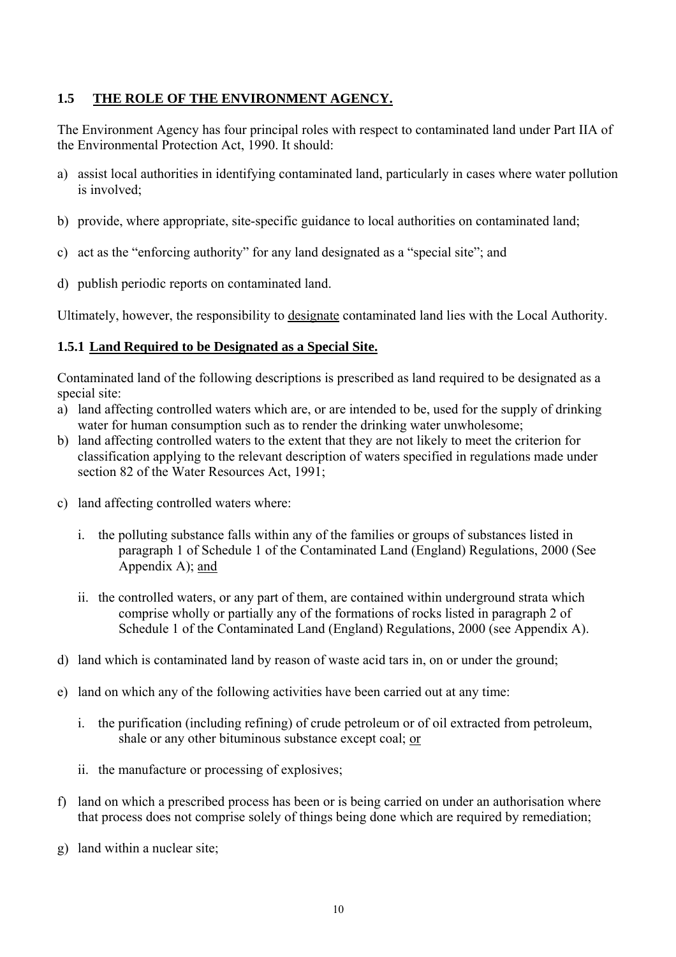#### **1.5 THE ROLE OF THE ENVIRONMENT AGENCY.**

The Environment Agency has four principal roles with respect to contaminated land under Part IIA of the Environmental Protection Act, 1990. It should:

- a) assist local authorities in identifying contaminated land, particularly in cases where water pollution is involved;
- b) provide, where appropriate, site-specific guidance to local authorities on contaminated land;
- c) act as the "enforcing authority" for any land designated as a "special site"; and
- d) publish periodic reports on contaminated land.

Ultimately, however, the responsibility to designate contaminated land lies with the Local Authority.

#### **1.5.1 Land Required to be Designated as a Special Site.**

Contaminated land of the following descriptions is prescribed as land required to be designated as a special site:

- a) land affecting controlled waters which are, or are intended to be, used for the supply of drinking water for human consumption such as to render the drinking water unwholesome;
- b) land affecting controlled waters to the extent that they are not likely to meet the criterion for classification applying to the relevant description of waters specified in regulations made under section 82 of the Water Resources Act, 1991;
- c) land affecting controlled waters where:
	- i. the polluting substance falls within any of the families or groups of substances listed in paragraph 1 of Schedule 1 of the Contaminated Land (England) Regulations, 2000 (See Appendix A); and
	- ii. the controlled waters, or any part of them, are contained within underground strata which comprise wholly or partially any of the formations of rocks listed in paragraph 2 of Schedule 1 of the Contaminated Land (England) Regulations, 2000 (see Appendix A).
- d) land which is contaminated land by reason of waste acid tars in, on or under the ground;
- e) land on which any of the following activities have been carried out at any time:
	- i. the purification (including refining) of crude petroleum or of oil extracted from petroleum, shale or any other bituminous substance except coal; or
	- ii. the manufacture or processing of explosives;
- f) land on which a prescribed process has been or is being carried on under an authorisation where that process does not comprise solely of things being done which are required by remediation;
- g) land within a nuclear site;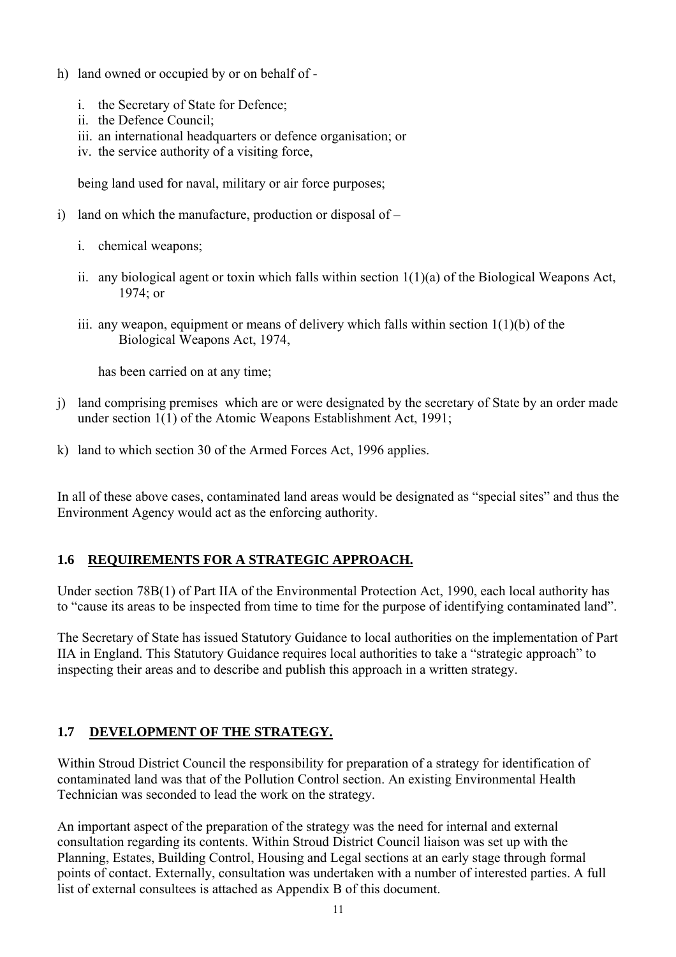- h) land owned or occupied by or on behalf of
	- i. the Secretary of State for Defence;
	- ii. the Defence Council;
	- iii. an international headquarters or defence organisation; or
	- iv. the service authority of a visiting force,

being land used for naval, military or air force purposes;

- i) land on which the manufacture, production or disposal of
	- i. chemical weapons;
	- ii. any biological agent or toxin which falls within section  $1(1)(a)$  of the Biological Weapons Act, 1974; or
	- iii. any weapon, equipment or means of delivery which falls within section  $1(1)(b)$  of the Biological Weapons Act, 1974,

has been carried on at any time;

- j) land comprising premises which are or were designated by the secretary of State by an order made under section 1(1) of the Atomic Weapons Establishment Act, 1991;
- k) land to which section 30 of the Armed Forces Act, 1996 applies.

In all of these above cases, contaminated land areas would be designated as "special sites" and thus the Environment Agency would act as the enforcing authority.

#### **1.6 REQUIREMENTS FOR A STRATEGIC APPROACH.**

Under section 78B(1) of Part IIA of the Environmental Protection Act, 1990, each local authority has to "cause its areas to be inspected from time to time for the purpose of identifying contaminated land".

The Secretary of State has issued Statutory Guidance to local authorities on the implementation of Part IIA in England. This Statutory Guidance requires local authorities to take a "strategic approach" to inspecting their areas and to describe and publish this approach in a written strategy.

## **1.7 DEVELOPMENT OF THE STRATEGY.**

Within Stroud District Council the responsibility for preparation of a strategy for identification of contaminated land was that of the Pollution Control section. An existing Environmental Health Technician was seconded to lead the work on the strategy.

An important aspect of the preparation of the strategy was the need for internal and external consultation regarding its contents. Within Stroud District Council liaison was set up with the Planning, Estates, Building Control, Housing and Legal sections at an early stage through formal points of contact. Externally, consultation was undertaken with a number of interested parties. A full list of external consultees is attached as Appendix B of this document.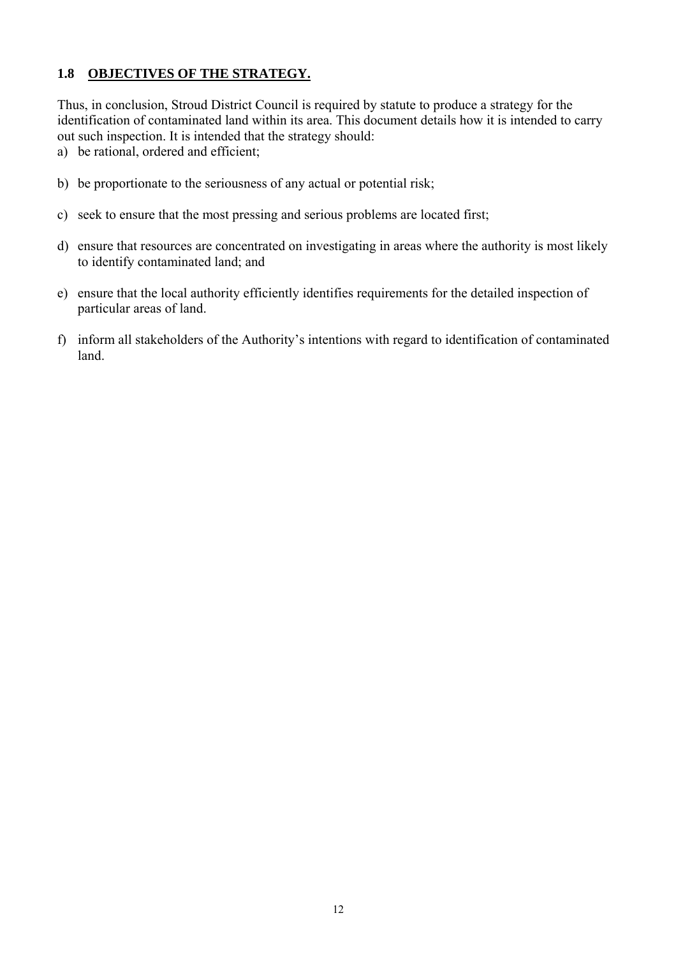## **1.8 OBJECTIVES OF THE STRATEGY.**

Thus, in conclusion, Stroud District Council is required by statute to produce a strategy for the identification of contaminated land within its area. This document details how it is intended to carry out such inspection. It is intended that the strategy should:

a) be rational, ordered and efficient;

- b) be proportionate to the seriousness of any actual or potential risk;
- c) seek to ensure that the most pressing and serious problems are located first;
- d) ensure that resources are concentrated on investigating in areas where the authority is most likely to identify contaminated land; and
- e) ensure that the local authority efficiently identifies requirements for the detailed inspection of particular areas of land.
- f) inform all stakeholders of the Authority's intentions with regard to identification of contaminated land.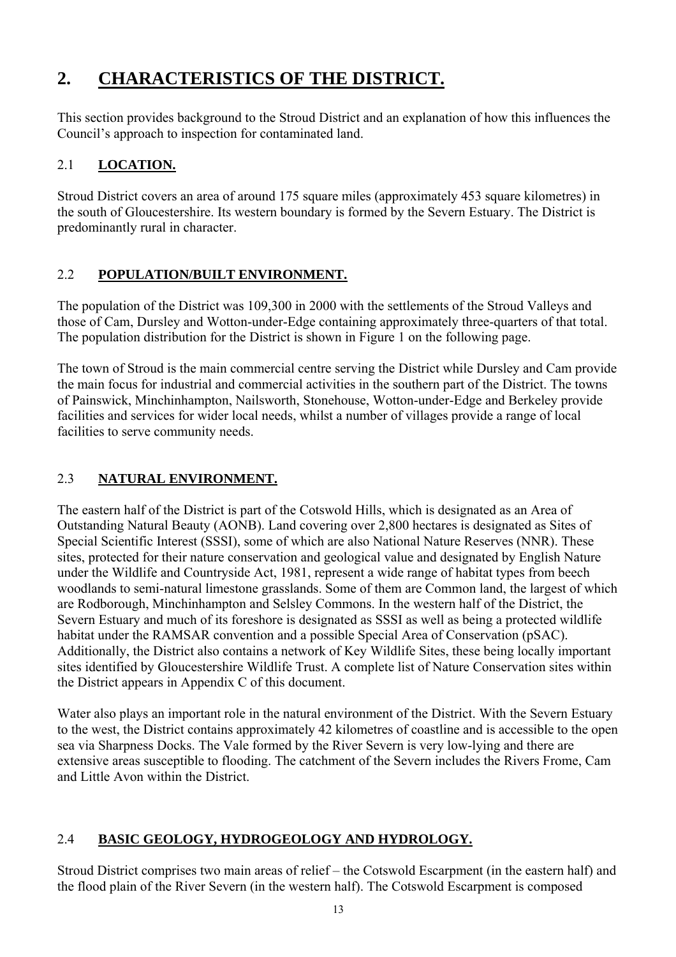## **2. CHARACTERISTICS OF THE DISTRICT.**

This section provides background to the Stroud District and an explanation of how this influences the Council's approach to inspection for contaminated land.

## 2.1 **LOCATION.**

Stroud District covers an area of around 175 square miles (approximately 453 square kilometres) in the south of Gloucestershire. Its western boundary is formed by the Severn Estuary. The District is predominantly rural in character.

## 2.2 **POPULATION/BUILT ENVIRONMENT.**

The population of the District was 109,300 in 2000 with the settlements of the Stroud Valleys and those of Cam, Dursley and Wotton-under-Edge containing approximately three-quarters of that total. The population distribution for the District is shown in Figure 1 on the following page.

The town of Stroud is the main commercial centre serving the District while Dursley and Cam provide the main focus for industrial and commercial activities in the southern part of the District. The towns of Painswick, Minchinhampton, Nailsworth, Stonehouse, Wotton-under-Edge and Berkeley provide facilities and services for wider local needs, whilst a number of villages provide a range of local facilities to serve community needs.

## 2.3 **NATURAL ENVIRONMENT.**

The eastern half of the District is part of the Cotswold Hills, which is designated as an Area of Outstanding Natural Beauty (AONB). Land covering over 2,800 hectares is designated as Sites of Special Scientific Interest (SSSI), some of which are also National Nature Reserves (NNR). These sites, protected for their nature conservation and geological value and designated by English Nature under the Wildlife and Countryside Act, 1981, represent a wide range of habitat types from beech woodlands to semi-natural limestone grasslands. Some of them are Common land, the largest of which are Rodborough, Minchinhampton and Selsley Commons. In the western half of the District, the Severn Estuary and much of its foreshore is designated as SSSI as well as being a protected wildlife habitat under the RAMSAR convention and a possible Special Area of Conservation (pSAC). Additionally, the District also contains a network of Key Wildlife Sites, these being locally important sites identified by Gloucestershire Wildlife Trust. A complete list of Nature Conservation sites within the District appears in Appendix C of this document.

Water also plays an important role in the natural environment of the District. With the Severn Estuary to the west, the District contains approximately 42 kilometres of coastline and is accessible to the open sea via Sharpness Docks. The Vale formed by the River Severn is very low-lying and there are extensive areas susceptible to flooding. The catchment of the Severn includes the Rivers Frome, Cam and Little Avon within the District.

## 2.4 **BASIC GEOLOGY, HYDROGEOLOGY AND HYDROLOGY.**

Stroud District comprises two main areas of relief – the Cotswold Escarpment (in the eastern half) and the flood plain of the River Severn (in the western half). The Cotswold Escarpment is composed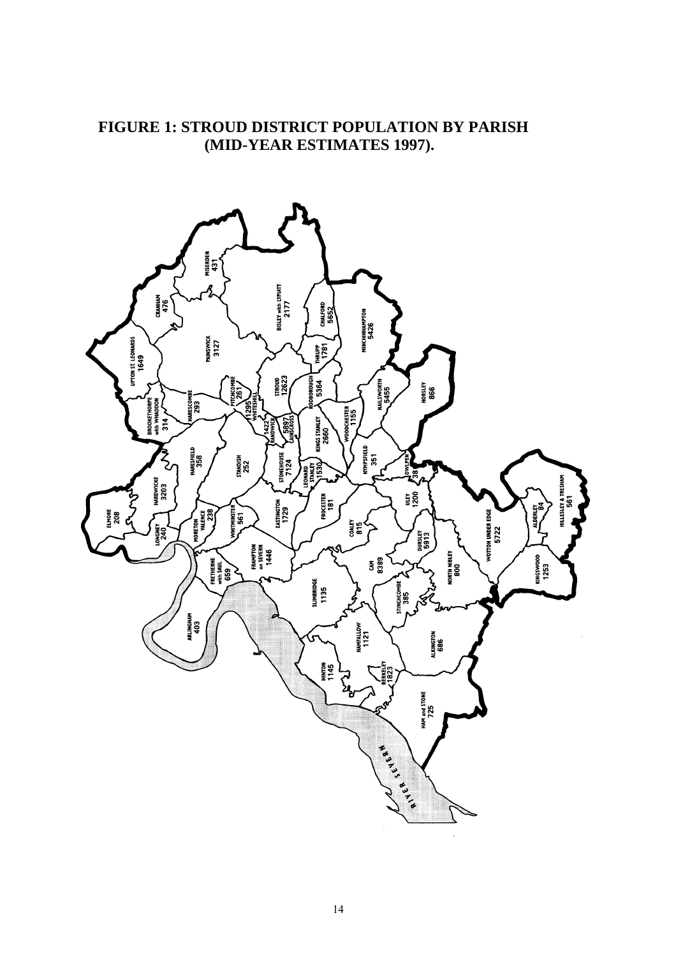## **FIGURE 1: STROUD DISTRICT POPULATION BY PARISH (MID-YEAR ESTIMATES 1997).**

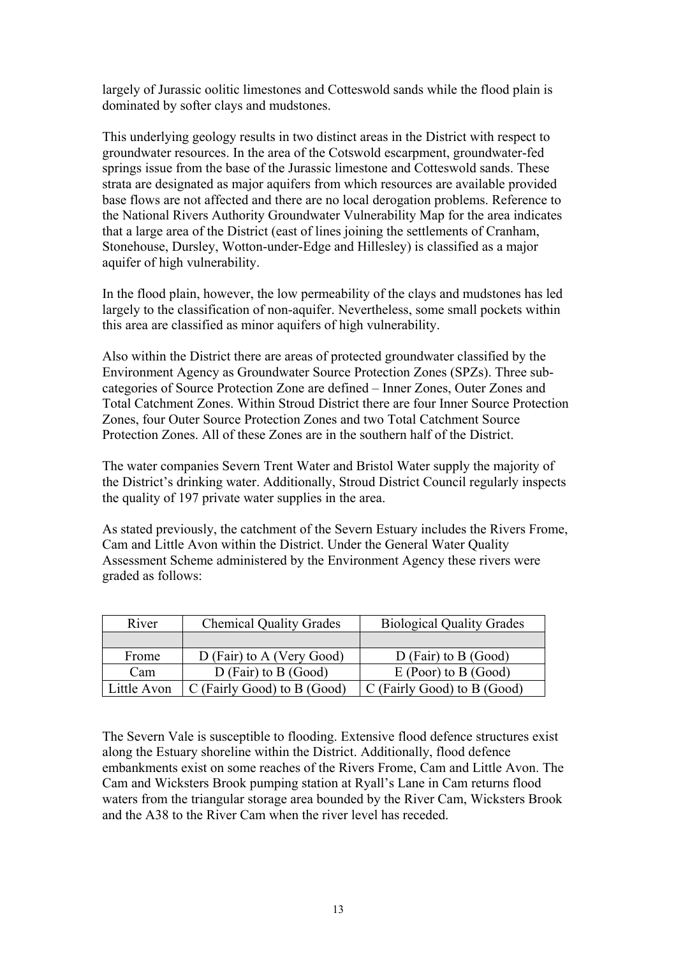largely of Jurassic oolitic limestones and Cotteswold sands while the flood plain is dominated by softer clays and mudstones.

This underlying geology results in two distinct areas in the District with respect to groundwater resources. In the area of the Cotswold escarpment, groundwater-fed springs issue from the base of the Jurassic limestone and Cotteswold sands. These strata are designated as major aquifers from which resources are available provided base flows are not affected and there are no local derogation problems. Reference to the National Rivers Authority Groundwater Vulnerability Map for the area indicates that a large area of the District (east of lines joining the settlements of Cranham, Stonehouse, Dursley, Wotton-under-Edge and Hillesley) is classified as a major aquifer of high vulnerability.

In the flood plain, however, the low permeability of the clays and mudstones has led largely to the classification of non-aquifer. Nevertheless, some small pockets within this area are classified as minor aquifers of high vulnerability.

Also within the District there are areas of protected groundwater classified by the Environment Agency as Groundwater Source Protection Zones (SPZs). Three subcategories of Source Protection Zone are defined – Inner Zones, Outer Zones and Total Catchment Zones. Within Stroud District there are four Inner Source Protection Zones, four Outer Source Protection Zones and two Total Catchment Source Protection Zones. All of these Zones are in the southern half of the District.

The water companies Severn Trent Water and Bristol Water supply the majority of the District's drinking water. Additionally, Stroud District Council regularly inspects the quality of 197 private water supplies in the area.

As stated previously, the catchment of the Severn Estuary includes the Rivers Frome, Cam and Little Avon within the District. Under the General Water Quality Assessment Scheme administered by the Environment Agency these rivers were graded as follows:

| River       | <b>Chemical Quality Grades</b> | <b>Biological Quality Grades</b> |
|-------------|--------------------------------|----------------------------------|
|             |                                |                                  |
| Frome       | D (Fair) to A (Very Good)      | $D$ (Fair) to B (Good)           |
| Cam         | $D$ (Fair) to B (Good)         | $E$ (Poor) to B (Good)           |
| Little Avon | C (Fairly Good) to B (Good)    | C (Fairly Good) to B (Good)      |

The Severn Vale is susceptible to flooding. Extensive flood defence structures exist along the Estuary shoreline within the District. Additionally, flood defence embankments exist on some reaches of the Rivers Frome, Cam and Little Avon. The Cam and Wicksters Brook pumping station at Ryall's Lane in Cam returns flood waters from the triangular storage area bounded by the River Cam, Wicksters Brook and the A38 to the River Cam when the river level has receded.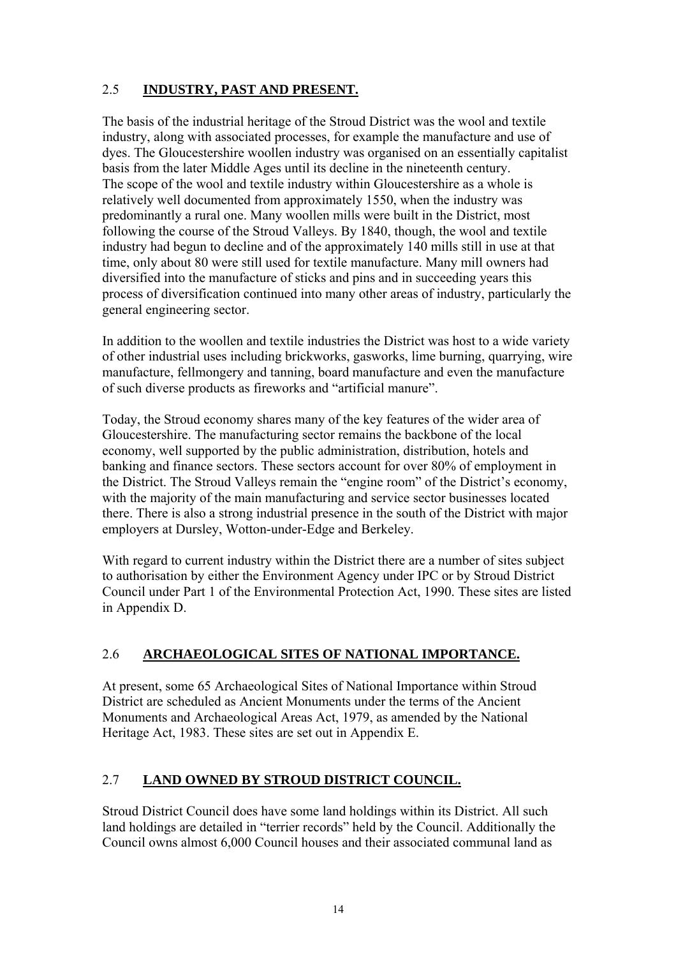## 2.5 **INDUSTRY, PAST AND PRESENT.**

The basis of the industrial heritage of the Stroud District was the wool and textile industry, along with associated processes, for example the manufacture and use of dyes. The Gloucestershire woollen industry was organised on an essentially capitalist basis from the later Middle Ages until its decline in the nineteenth century. The scope of the wool and textile industry within Gloucestershire as a whole is relatively well documented from approximately 1550, when the industry was predominantly a rural one. Many woollen mills were built in the District, most following the course of the Stroud Valleys. By 1840, though, the wool and textile industry had begun to decline and of the approximately 140 mills still in use at that time, only about 80 were still used for textile manufacture. Many mill owners had diversified into the manufacture of sticks and pins and in succeeding years this process of diversification continued into many other areas of industry, particularly the general engineering sector.

In addition to the woollen and textile industries the District was host to a wide variety of other industrial uses including brickworks, gasworks, lime burning, quarrying, wire manufacture, fellmongery and tanning, board manufacture and even the manufacture of such diverse products as fireworks and "artificial manure".

Today, the Stroud economy shares many of the key features of the wider area of Gloucestershire. The manufacturing sector remains the backbone of the local economy, well supported by the public administration, distribution, hotels and banking and finance sectors. These sectors account for over 80% of employment in the District. The Stroud Valleys remain the "engine room" of the District's economy, with the majority of the main manufacturing and service sector businesses located there. There is also a strong industrial presence in the south of the District with major employers at Dursley, Wotton-under-Edge and Berkeley.

With regard to current industry within the District there are a number of sites subject to authorisation by either the Environment Agency under IPC or by Stroud District Council under Part 1 of the Environmental Protection Act, 1990. These sites are listed in Appendix D.

## 2.6 **ARCHAEOLOGICAL SITES OF NATIONAL IMPORTANCE.**

At present, some 65 Archaeological Sites of National Importance within Stroud District are scheduled as Ancient Monuments under the terms of the Ancient Monuments and Archaeological Areas Act, 1979, as amended by the National Heritage Act, 1983. These sites are set out in Appendix E.

## 2.7 **LAND OWNED BY STROUD DISTRICT COUNCIL.**

Stroud District Council does have some land holdings within its District. All such land holdings are detailed in "terrier records" held by the Council. Additionally the Council owns almost 6,000 Council houses and their associated communal land as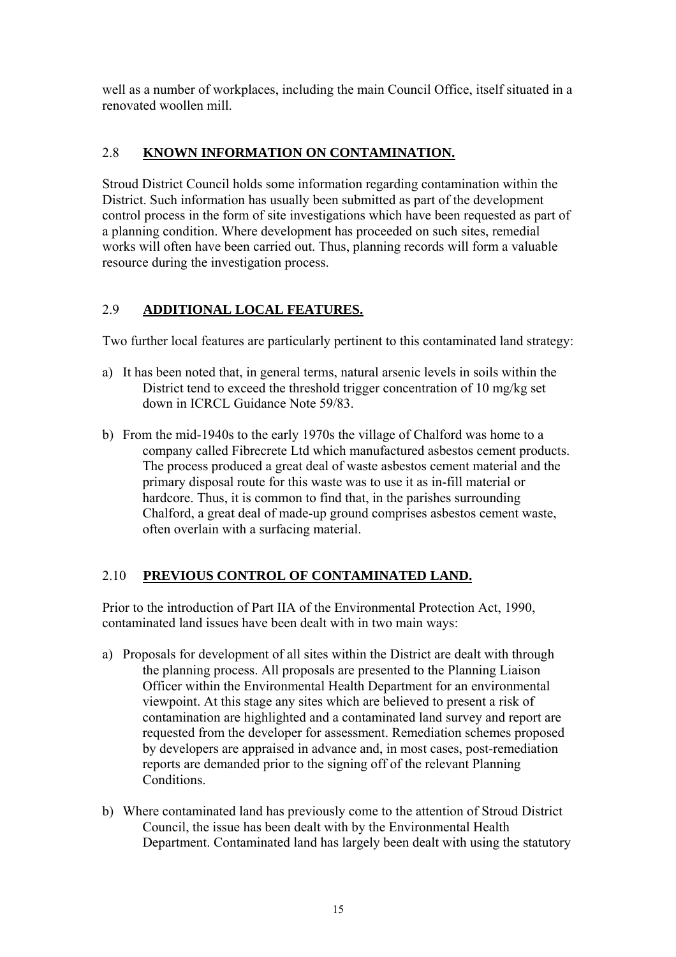well as a number of workplaces, including the main Council Office, itself situated in a renovated woollen mill.

## 2.8 **KNOWN INFORMATION ON CONTAMINATION.**

Stroud District Council holds some information regarding contamination within the District. Such information has usually been submitted as part of the development control process in the form of site investigations which have been requested as part of a planning condition. Where development has proceeded on such sites, remedial works will often have been carried out. Thus, planning records will form a valuable resource during the investigation process.

## 2.9 **ADDITIONAL LOCAL FEATURES.**

Two further local features are particularly pertinent to this contaminated land strategy:

- a) It has been noted that, in general terms, natural arsenic levels in soils within the District tend to exceed the threshold trigger concentration of 10 mg/kg set down in ICRCL Guidance Note 59/83.
- b) From the mid-1940s to the early 1970s the village of Chalford was home to a company called Fibrecrete Ltd which manufactured asbestos cement products. The process produced a great deal of waste asbestos cement material and the primary disposal route for this waste was to use it as in-fill material or hardcore. Thus, it is common to find that, in the parishes surrounding Chalford, a great deal of made-up ground comprises asbestos cement waste, often overlain with a surfacing material.

## 2.10 **PREVIOUS CONTROL OF CONTAMINATED LAND.**

Prior to the introduction of Part IIA of the Environmental Protection Act, 1990, contaminated land issues have been dealt with in two main ways:

- a) Proposals for development of all sites within the District are dealt with through the planning process. All proposals are presented to the Planning Liaison Officer within the Environmental Health Department for an environmental viewpoint. At this stage any sites which are believed to present a risk of contamination are highlighted and a contaminated land survey and report are requested from the developer for assessment. Remediation schemes proposed by developers are appraised in advance and, in most cases, post-remediation reports are demanded prior to the signing off of the relevant Planning Conditions.
- b) Where contaminated land has previously come to the attention of Stroud District Council, the issue has been dealt with by the Environmental Health Department. Contaminated land has largely been dealt with using the statutory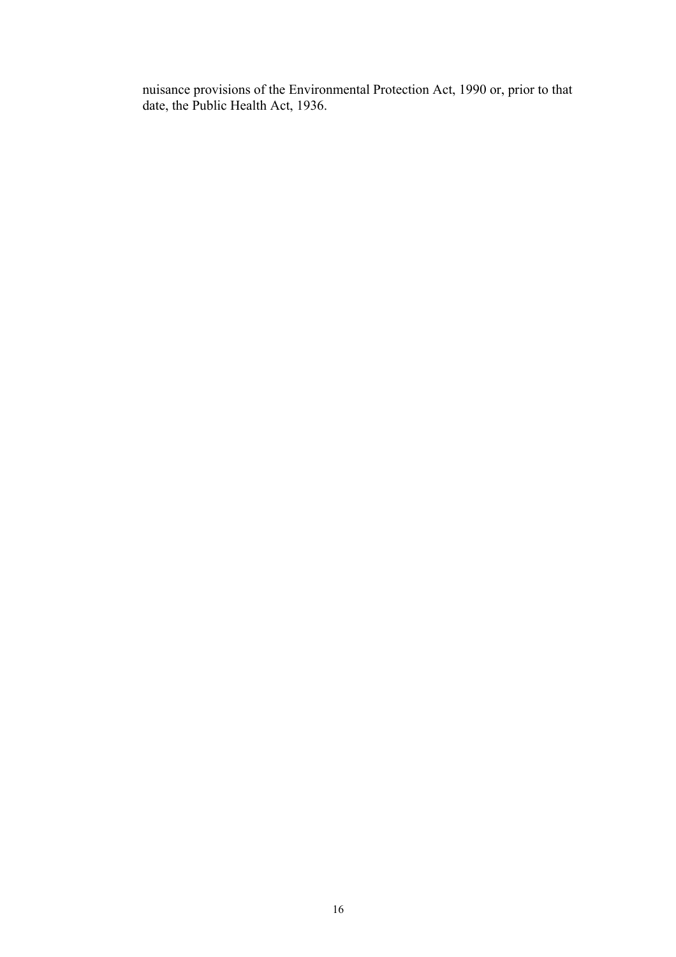nuisance provisions of the Environmental Protection Act, 1990 or, prior to that date, the Public Health Act, 1936.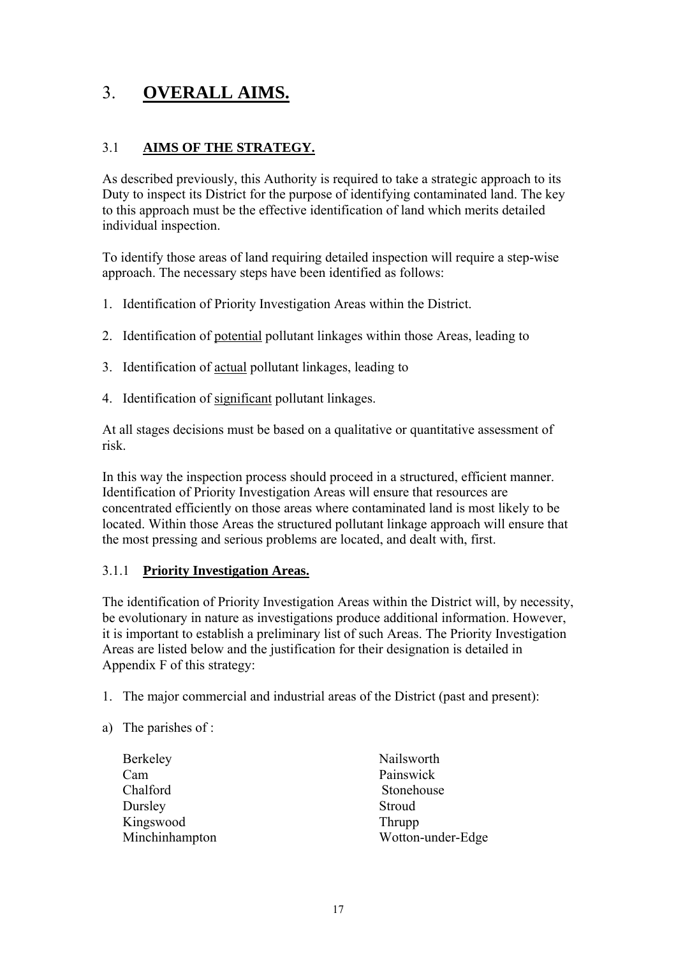## 3. **OVERALL AIMS.**

## 3.1 **AIMS OF THE STRATEGY.**

As described previously, this Authority is required to take a strategic approach to its Duty to inspect its District for the purpose of identifying contaminated land. The key to this approach must be the effective identification of land which merits detailed individual inspection.

To identify those areas of land requiring detailed inspection will require a step-wise approach. The necessary steps have been identified as follows:

- 1. Identification of Priority Investigation Areas within the District.
- 2. Identification of potential pollutant linkages within those Areas, leading to
- 3. Identification of actual pollutant linkages, leading to
- 4. Identification of significant pollutant linkages.

At all stages decisions must be based on a qualitative or quantitative assessment of risk.

In this way the inspection process should proceed in a structured, efficient manner. Identification of Priority Investigation Areas will ensure that resources are concentrated efficiently on those areas where contaminated land is most likely to be located. Within those Areas the structured pollutant linkage approach will ensure that the most pressing and serious problems are located, and dealt with, first.

#### 3.1.1 **Priority Investigation Areas.**

The identification of Priority Investigation Areas within the District will, by necessity, be evolutionary in nature as investigations produce additional information. However, it is important to establish a preliminary list of such Areas. The Priority Investigation Areas are listed below and the justification for their designation is detailed in Appendix F of this strategy:

- 1. The major commercial and industrial areas of the District (past and present):
- a) The parishes of :

| Berkeley       | Nailsworth        |
|----------------|-------------------|
| Cam            | Painswick         |
| Chalford       | Stonehouse        |
| Dursley        | Stroud            |
| Kingswood      | Thrupp            |
| Minchinhampton | Wotton-under-Edge |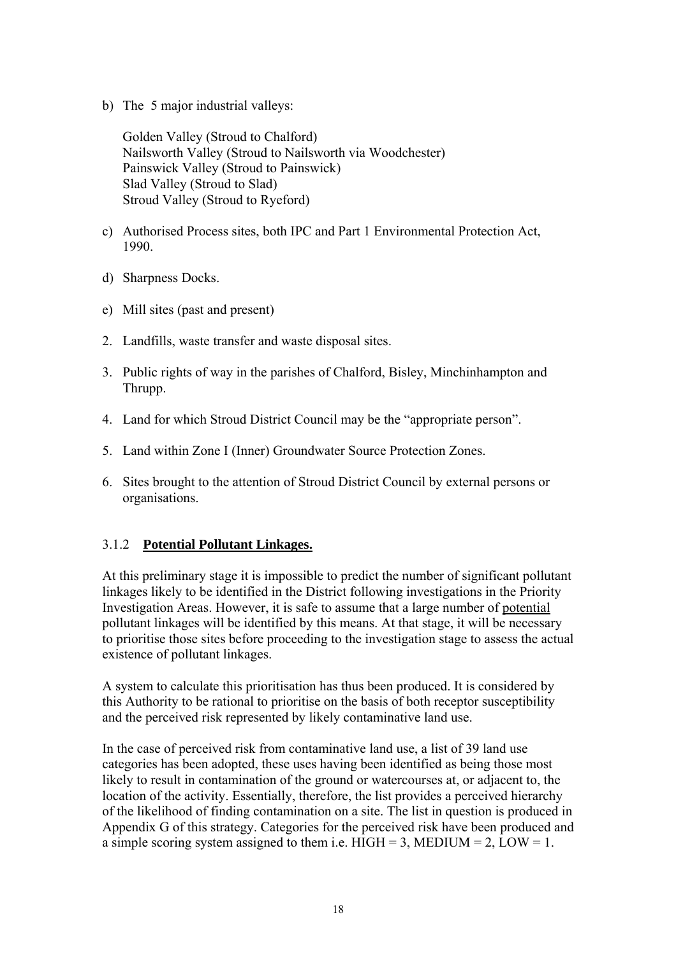b) The 5 major industrial valleys:

Golden Valley (Stroud to Chalford) Nailsworth Valley (Stroud to Nailsworth via Woodchester) Painswick Valley (Stroud to Painswick) Slad Valley (Stroud to Slad) Stroud Valley (Stroud to Ryeford)

- c) Authorised Process sites, both IPC and Part 1 Environmental Protection Act, 1990.
- d) Sharpness Docks.
- e) Mill sites (past and present)
- 2. Landfills, waste transfer and waste disposal sites.
- 3. Public rights of way in the parishes of Chalford, Bisley, Minchinhampton and Thrupp.
- 4. Land for which Stroud District Council may be the "appropriate person".
- 5. Land within Zone I (Inner) Groundwater Source Protection Zones.
- 6. Sites brought to the attention of Stroud District Council by external persons or organisations.

#### 3.1.2 **Potential Pollutant Linkages.**

At this preliminary stage it is impossible to predict the number of significant pollutant linkages likely to be identified in the District following investigations in the Priority Investigation Areas. However, it is safe to assume that a large number of potential pollutant linkages will be identified by this means. At that stage, it will be necessary to prioritise those sites before proceeding to the investigation stage to assess the actual existence of pollutant linkages.

A system to calculate this prioritisation has thus been produced. It is considered by this Authority to be rational to prioritise on the basis of both receptor susceptibility and the perceived risk represented by likely contaminative land use.

In the case of perceived risk from contaminative land use, a list of 39 land use categories has been adopted, these uses having been identified as being those most likely to result in contamination of the ground or watercourses at, or adjacent to, the location of the activity. Essentially, therefore, the list provides a perceived hierarchy of the likelihood of finding contamination on a site. The list in question is produced in Appendix G of this strategy. Categories for the perceived risk have been produced and a simple scoring system assigned to them i.e. HIGH = 3, MEDIUM =  $2$ , LOW = 1.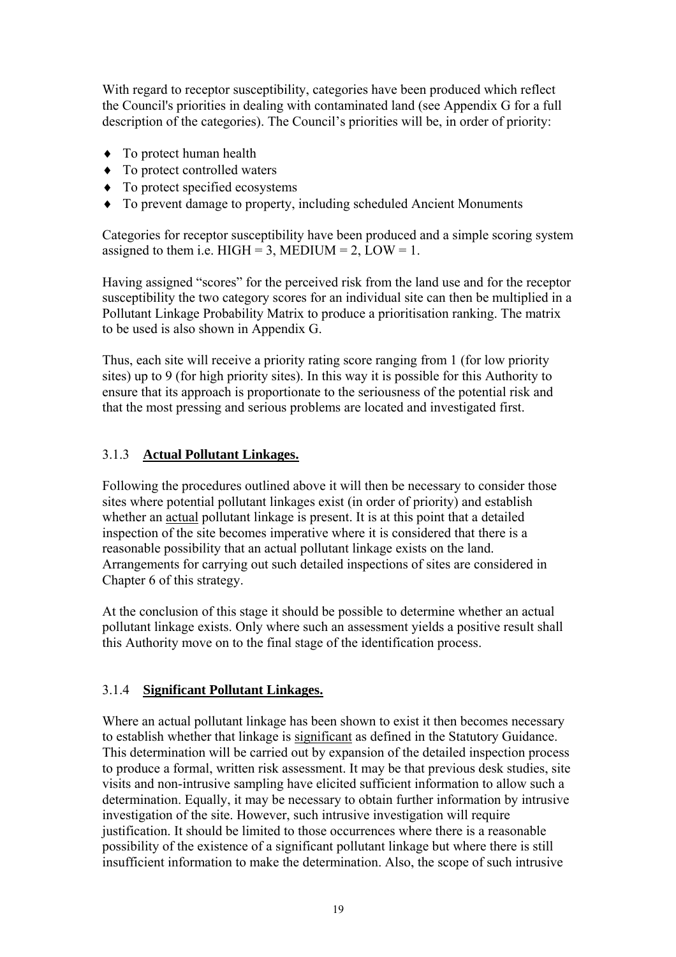With regard to receptor susceptibility, categories have been produced which reflect the Council's priorities in dealing with contaminated land (see Appendix G for a full description of the categories). The Council's priorities will be, in order of priority:

- ♦ To protect human health
- ♦ To protect controlled waters
- ♦ To protect specified ecosystems
- ♦ To prevent damage to property, including scheduled Ancient Monuments

Categories for receptor susceptibility have been produced and a simple scoring system assigned to them i.e.  $HIGH = 3$ ,  $MEDIUM = 2$ ,  $LOW = 1$ .

Having assigned "scores" for the perceived risk from the land use and for the receptor susceptibility the two category scores for an individual site can then be multiplied in a Pollutant Linkage Probability Matrix to produce a prioritisation ranking. The matrix to be used is also shown in Appendix G.

Thus, each site will receive a priority rating score ranging from 1 (for low priority sites) up to 9 (for high priority sites). In this way it is possible for this Authority to ensure that its approach is proportionate to the seriousness of the potential risk and that the most pressing and serious problems are located and investigated first.

#### 3.1.3 **Actual Pollutant Linkages.**

Following the procedures outlined above it will then be necessary to consider those sites where potential pollutant linkages exist (in order of priority) and establish whether an actual pollutant linkage is present. It is at this point that a detailed inspection of the site becomes imperative where it is considered that there is a reasonable possibility that an actual pollutant linkage exists on the land. Arrangements for carrying out such detailed inspections of sites are considered in Chapter 6 of this strategy.

At the conclusion of this stage it should be possible to determine whether an actual pollutant linkage exists. Only where such an assessment yields a positive result shall this Authority move on to the final stage of the identification process.

#### 3.1.4 **Significant Pollutant Linkages.**

Where an actual pollutant linkage has been shown to exist it then becomes necessary to establish whether that linkage is significant as defined in the Statutory Guidance. This determination will be carried out by expansion of the detailed inspection process to produce a formal, written risk assessment. It may be that previous desk studies, site visits and non-intrusive sampling have elicited sufficient information to allow such a determination. Equally, it may be necessary to obtain further information by intrusive investigation of the site. However, such intrusive investigation will require justification. It should be limited to those occurrences where there is a reasonable possibility of the existence of a significant pollutant linkage but where there is still insufficient information to make the determination. Also, the scope of such intrusive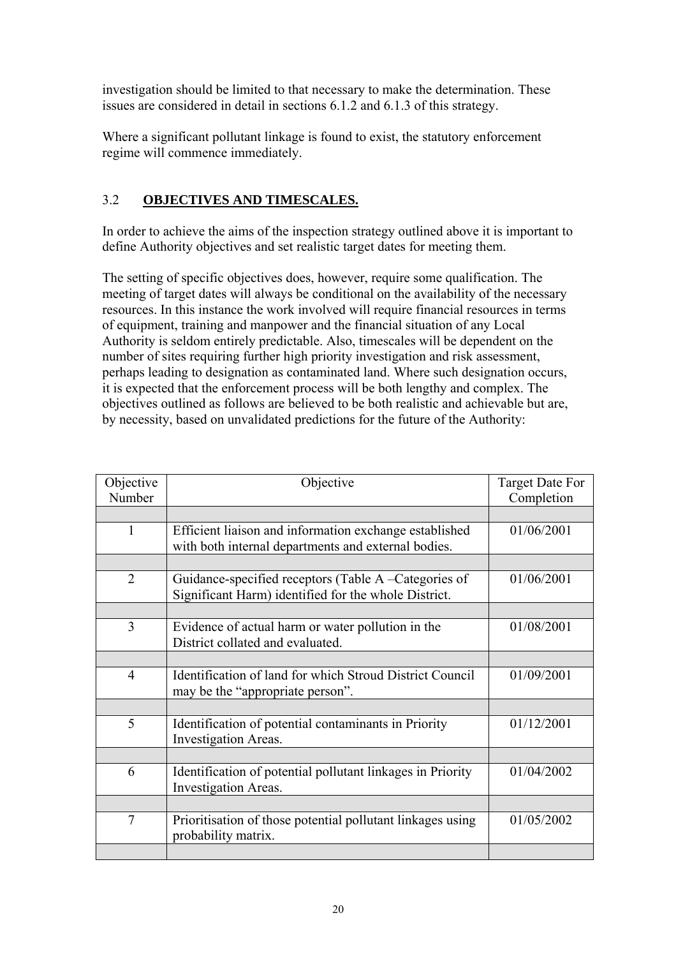investigation should be limited to that necessary to make the determination. These issues are considered in detail in sections 6.1.2 and 6.1.3 of this strategy.

Where a significant pollutant linkage is found to exist, the statutory enforcement regime will commence immediately.

## 3.2 **OBJECTIVES AND TIMESCALES.**

In order to achieve the aims of the inspection strategy outlined above it is important to define Authority objectives and set realistic target dates for meeting them.

The setting of specific objectives does, however, require some qualification. The meeting of target dates will always be conditional on the availability of the necessary resources. In this instance the work involved will require financial resources in terms of equipment, training and manpower and the financial situation of any Local Authority is seldom entirely predictable. Also, timescales will be dependent on the number of sites requiring further high priority investigation and risk assessment, perhaps leading to designation as contaminated land. Where such designation occurs, it is expected that the enforcement process will be both lengthy and complex. The objectives outlined as follows are believed to be both realistic and achievable but are, by necessity, based on unvalidated predictions for the future of the Authority:

| Objective      | Objective                                                                                                     | <b>Target Date For</b> |
|----------------|---------------------------------------------------------------------------------------------------------------|------------------------|
| Number         |                                                                                                               | Completion             |
|                |                                                                                                               |                        |
| $\mathbf{1}$   | Efficient liaison and information exchange established<br>with both internal departments and external bodies. | 01/06/2001             |
|                |                                                                                                               |                        |
| $\overline{2}$ | Guidance-specified receptors (Table A –Categories of<br>Significant Harm) identified for the whole District.  | 01/06/2001             |
|                |                                                                                                               |                        |
| $\overline{3}$ | Evidence of actual harm or water pollution in the<br>District collated and evaluated.                         | 01/08/2001             |
|                |                                                                                                               |                        |
| $\overline{4}$ | Identification of land for which Stroud District Council<br>may be the "appropriate person".                  | 01/09/2001             |
|                |                                                                                                               |                        |
| 5              | Identification of potential contaminants in Priority<br>Investigation Areas.                                  | 01/12/2001             |
|                |                                                                                                               |                        |
| 6              | Identification of potential pollutant linkages in Priority<br>Investigation Areas.                            | 01/04/2002             |
|                |                                                                                                               |                        |
| $\overline{7}$ | Prioritisation of those potential pollutant linkages using<br>probability matrix.                             | 01/05/2002             |
|                |                                                                                                               |                        |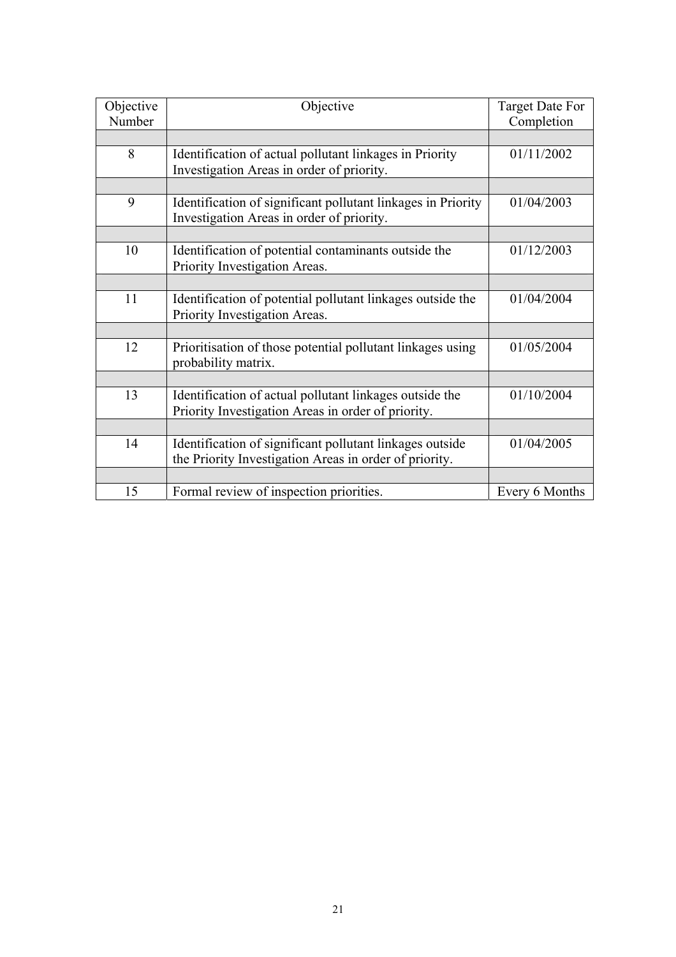| Objective<br>Number | Objective                                                                                                          | <b>Target Date For</b><br>Completion |
|---------------------|--------------------------------------------------------------------------------------------------------------------|--------------------------------------|
|                     |                                                                                                                    |                                      |
| 8                   | Identification of actual pollutant linkages in Priority<br>Investigation Areas in order of priority.               | 01/11/2002                           |
|                     |                                                                                                                    |                                      |
| 9                   | Identification of significant pollutant linkages in Priority<br>Investigation Areas in order of priority.          | 01/04/2003                           |
|                     |                                                                                                                    |                                      |
| 10                  | Identification of potential contaminants outside the<br>Priority Investigation Areas.                              | 01/12/2003                           |
|                     |                                                                                                                    |                                      |
| 11                  | Identification of potential pollutant linkages outside the<br>Priority Investigation Areas.                        | 01/04/2004                           |
|                     |                                                                                                                    |                                      |
| 12                  | Prioritisation of those potential pollutant linkages using<br>probability matrix.                                  | 01/05/2004                           |
|                     |                                                                                                                    |                                      |
| 13                  | Identification of actual pollutant linkages outside the<br>Priority Investigation Areas in order of priority.      | 01/10/2004                           |
|                     |                                                                                                                    |                                      |
| 14                  | Identification of significant pollutant linkages outside<br>the Priority Investigation Areas in order of priority. | 01/04/2005                           |
|                     |                                                                                                                    |                                      |
| 15                  | Formal review of inspection priorities.                                                                            | Every 6 Months                       |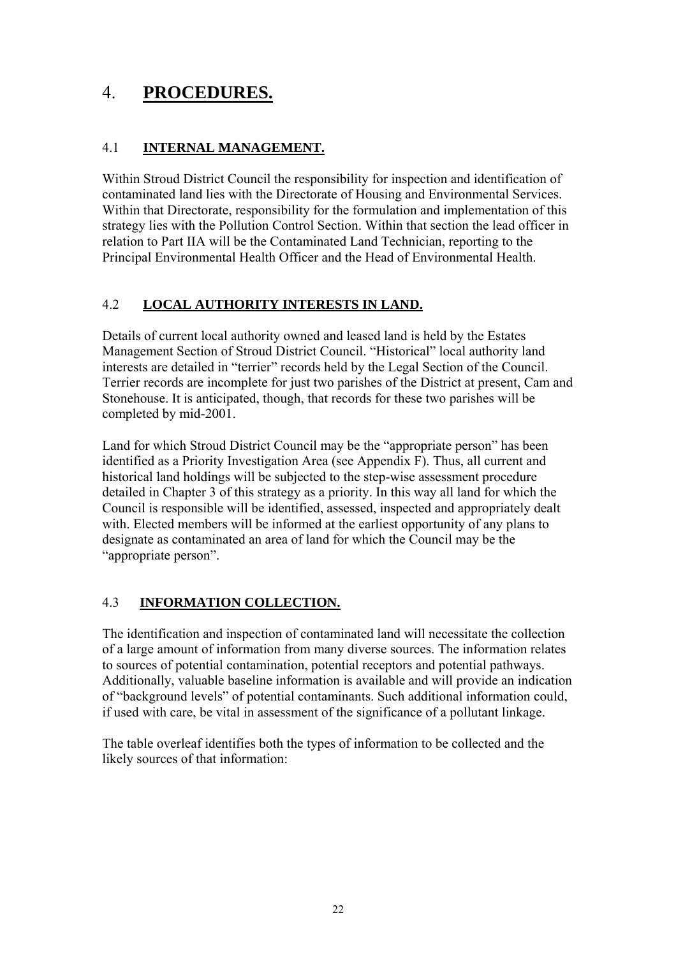## 4. **PROCEDURES.**

## 4.1 **INTERNAL MANAGEMENT.**

Within Stroud District Council the responsibility for inspection and identification of contaminated land lies with the Directorate of Housing and Environmental Services. Within that Directorate, responsibility for the formulation and implementation of this strategy lies with the Pollution Control Section. Within that section the lead officer in relation to Part IIA will be the Contaminated Land Technician, reporting to the Principal Environmental Health Officer and the Head of Environmental Health.

## 4.2 **LOCAL AUTHORITY INTERESTS IN LAND.**

Details of current local authority owned and leased land is held by the Estates Management Section of Stroud District Council. "Historical" local authority land interests are detailed in "terrier" records held by the Legal Section of the Council. Terrier records are incomplete for just two parishes of the District at present, Cam and Stonehouse. It is anticipated, though, that records for these two parishes will be completed by mid-2001.

Land for which Stroud District Council may be the "appropriate person" has been identified as a Priority Investigation Area (see Appendix F). Thus, all current and historical land holdings will be subjected to the step-wise assessment procedure detailed in Chapter 3 of this strategy as a priority. In this way all land for which the Council is responsible will be identified, assessed, inspected and appropriately dealt with. Elected members will be informed at the earliest opportunity of any plans to designate as contaminated an area of land for which the Council may be the "appropriate person".

## 4.3 **INFORMATION COLLECTION.**

The identification and inspection of contaminated land will necessitate the collection of a large amount of information from many diverse sources. The information relates to sources of potential contamination, potential receptors and potential pathways. Additionally, valuable baseline information is available and will provide an indication of "background levels" of potential contaminants. Such additional information could, if used with care, be vital in assessment of the significance of a pollutant linkage.

The table overleaf identifies both the types of information to be collected and the likely sources of that information: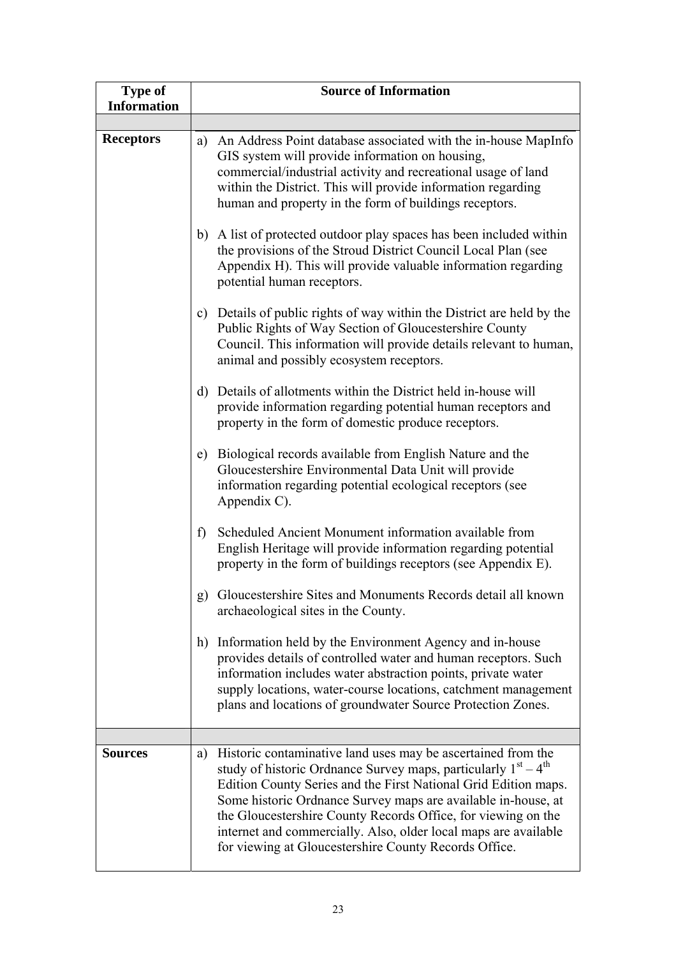| <b>Type of</b><br><b>Information</b> | <b>Source of Information</b>                                                                                                                                                                                                                                                                                                                                                                                                                                            |
|--------------------------------------|-------------------------------------------------------------------------------------------------------------------------------------------------------------------------------------------------------------------------------------------------------------------------------------------------------------------------------------------------------------------------------------------------------------------------------------------------------------------------|
|                                      |                                                                                                                                                                                                                                                                                                                                                                                                                                                                         |
| <b>Receptors</b>                     | a) An Address Point database associated with the in-house MapInfo<br>GIS system will provide information on housing,<br>commercial/industrial activity and recreational usage of land<br>within the District. This will provide information regarding<br>human and property in the form of buildings receptors.                                                                                                                                                         |
|                                      | b) A list of protected outdoor play spaces has been included within<br>the provisions of the Stroud District Council Local Plan (see<br>Appendix H). This will provide valuable information regarding<br>potential human receptors.                                                                                                                                                                                                                                     |
|                                      | c) Details of public rights of way within the District are held by the<br>Public Rights of Way Section of Gloucestershire County<br>Council. This information will provide details relevant to human,<br>animal and possibly ecosystem receptors.                                                                                                                                                                                                                       |
|                                      | d) Details of allotments within the District held in-house will<br>provide information regarding potential human receptors and<br>property in the form of domestic produce receptors.                                                                                                                                                                                                                                                                                   |
|                                      | Biological records available from English Nature and the<br>e)<br>Gloucestershire Environmental Data Unit will provide<br>information regarding potential ecological receptors (see<br>Appendix C).                                                                                                                                                                                                                                                                     |
|                                      | Scheduled Ancient Monument information available from<br>f)<br>English Heritage will provide information regarding potential<br>property in the form of buildings receptors (see Appendix E).                                                                                                                                                                                                                                                                           |
|                                      | Gloucestershire Sites and Monuments Records detail all known<br>g)<br>archaeological sites in the County.                                                                                                                                                                                                                                                                                                                                                               |
|                                      | Information held by the Environment Agency and in-house<br>h)<br>provides details of controlled water and human receptors. Such<br>information includes water abstraction points, private water<br>supply locations, water-course locations, catchment management<br>plans and locations of groundwater Source Protection Zones.                                                                                                                                        |
|                                      |                                                                                                                                                                                                                                                                                                                                                                                                                                                                         |
| <b>Sources</b>                       | Historic contaminative land uses may be ascertained from the<br>a)<br>study of historic Ordnance Survey maps, particularly $1st - 4th$<br>Edition County Series and the First National Grid Edition maps.<br>Some historic Ordnance Survey maps are available in-house, at<br>the Gloucestershire County Records Office, for viewing on the<br>internet and commercially. Also, older local maps are available<br>for viewing at Gloucestershire County Records Office. |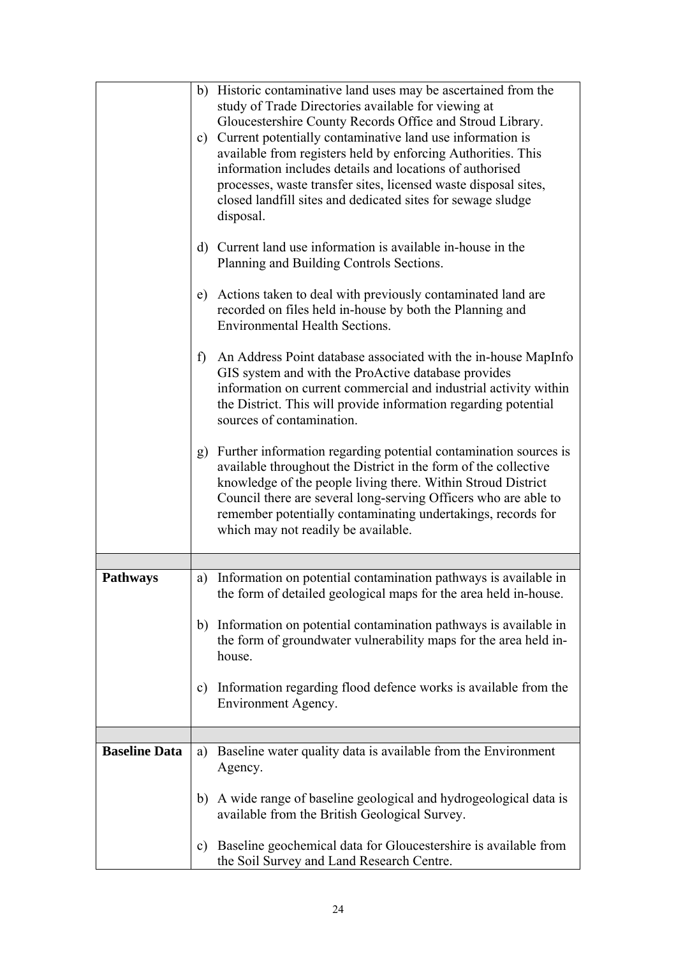|                      | b) Historic contaminative land uses may be ascertained from the<br>study of Trade Directories available for viewing at<br>Gloucestershire County Records Office and Stroud Library.<br>Current potentially contaminative land use information is<br>c)<br>available from registers held by enforcing Authorities. This<br>information includes details and locations of authorised<br>processes, waste transfer sites, licensed waste disposal sites,<br>closed landfill sites and dedicated sites for sewage sludge<br>disposal. |
|----------------------|-----------------------------------------------------------------------------------------------------------------------------------------------------------------------------------------------------------------------------------------------------------------------------------------------------------------------------------------------------------------------------------------------------------------------------------------------------------------------------------------------------------------------------------|
|                      | d) Current land use information is available in-house in the<br>Planning and Building Controls Sections.                                                                                                                                                                                                                                                                                                                                                                                                                          |
|                      | Actions taken to deal with previously contaminated land are<br>e)<br>recorded on files held in-house by both the Planning and<br><b>Environmental Health Sections.</b>                                                                                                                                                                                                                                                                                                                                                            |
|                      | $\mathbf{f}$<br>An Address Point database associated with the in-house MapInfo<br>GIS system and with the ProActive database provides<br>information on current commercial and industrial activity within<br>the District. This will provide information regarding potential<br>sources of contamination.                                                                                                                                                                                                                         |
|                      | Further information regarding potential contamination sources is<br>g)<br>available throughout the District in the form of the collective<br>knowledge of the people living there. Within Stroud District<br>Council there are several long-serving Officers who are able to<br>remember potentially contaminating undertakings, records for<br>which may not readily be available.                                                                                                                                               |
|                      |                                                                                                                                                                                                                                                                                                                                                                                                                                                                                                                                   |
| <b>Pathways</b>      | Information on potential contamination pathways is available in<br>a)<br>the form of detailed geological maps for the area held in-house.                                                                                                                                                                                                                                                                                                                                                                                         |
|                      | b) Information on potential contamination pathways is available in<br>the form of groundwater vulnerability maps for the area held in-<br>house.                                                                                                                                                                                                                                                                                                                                                                                  |
|                      | Information regarding flood defence works is available from the<br>C)<br>Environment Agency.                                                                                                                                                                                                                                                                                                                                                                                                                                      |
|                      |                                                                                                                                                                                                                                                                                                                                                                                                                                                                                                                                   |
| <b>Baseline Data</b> | Baseline water quality data is available from the Environment<br>a)<br>Agency.                                                                                                                                                                                                                                                                                                                                                                                                                                                    |
|                      | A wide range of baseline geological and hydrogeological data is<br>b)<br>available from the British Geological Survey.                                                                                                                                                                                                                                                                                                                                                                                                            |
|                      | Baseline geochemical data for Gloucestershire is available from<br>$\mathbf{c})$<br>the Soil Survey and Land Research Centre.                                                                                                                                                                                                                                                                                                                                                                                                     |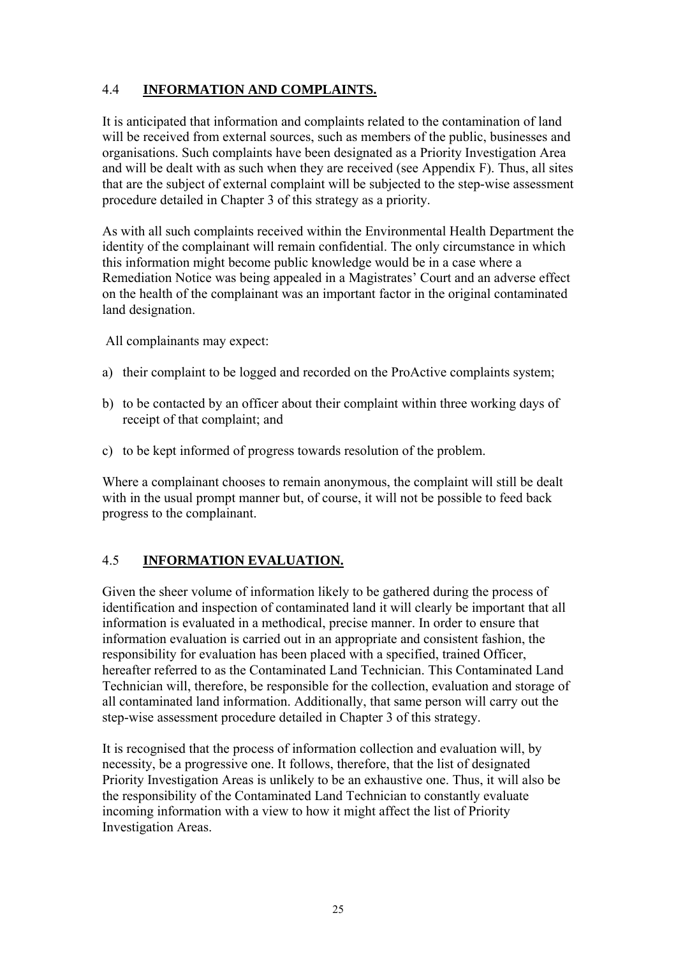## 4.4 **INFORMATION AND COMPLAINTS.**

It is anticipated that information and complaints related to the contamination of land will be received from external sources, such as members of the public, businesses and organisations. Such complaints have been designated as a Priority Investigation Area and will be dealt with as such when they are received (see Appendix F). Thus, all sites that are the subject of external complaint will be subjected to the step-wise assessment procedure detailed in Chapter 3 of this strategy as a priority.

As with all such complaints received within the Environmental Health Department the identity of the complainant will remain confidential. The only circumstance in which this information might become public knowledge would be in a case where a Remediation Notice was being appealed in a Magistrates' Court and an adverse effect on the health of the complainant was an important factor in the original contaminated land designation.

All complainants may expect:

- a) their complaint to be logged and recorded on the ProActive complaints system;
- b) to be contacted by an officer about their complaint within three working days of receipt of that complaint; and
- c) to be kept informed of progress towards resolution of the problem.

Where a complainant chooses to remain anonymous, the complaint will still be dealt with in the usual prompt manner but, of course, it will not be possible to feed back progress to the complainant.

#### 4.5 **INFORMATION EVALUATION.**

Given the sheer volume of information likely to be gathered during the process of identification and inspection of contaminated land it will clearly be important that all information is evaluated in a methodical, precise manner. In order to ensure that information evaluation is carried out in an appropriate and consistent fashion, the responsibility for evaluation has been placed with a specified, trained Officer, hereafter referred to as the Contaminated Land Technician. This Contaminated Land Technician will, therefore, be responsible for the collection, evaluation and storage of all contaminated land information. Additionally, that same person will carry out the step-wise assessment procedure detailed in Chapter 3 of this strategy.

It is recognised that the process of information collection and evaluation will, by necessity, be a progressive one. It follows, therefore, that the list of designated Priority Investigation Areas is unlikely to be an exhaustive one. Thus, it will also be the responsibility of the Contaminated Land Technician to constantly evaluate incoming information with a view to how it might affect the list of Priority Investigation Areas.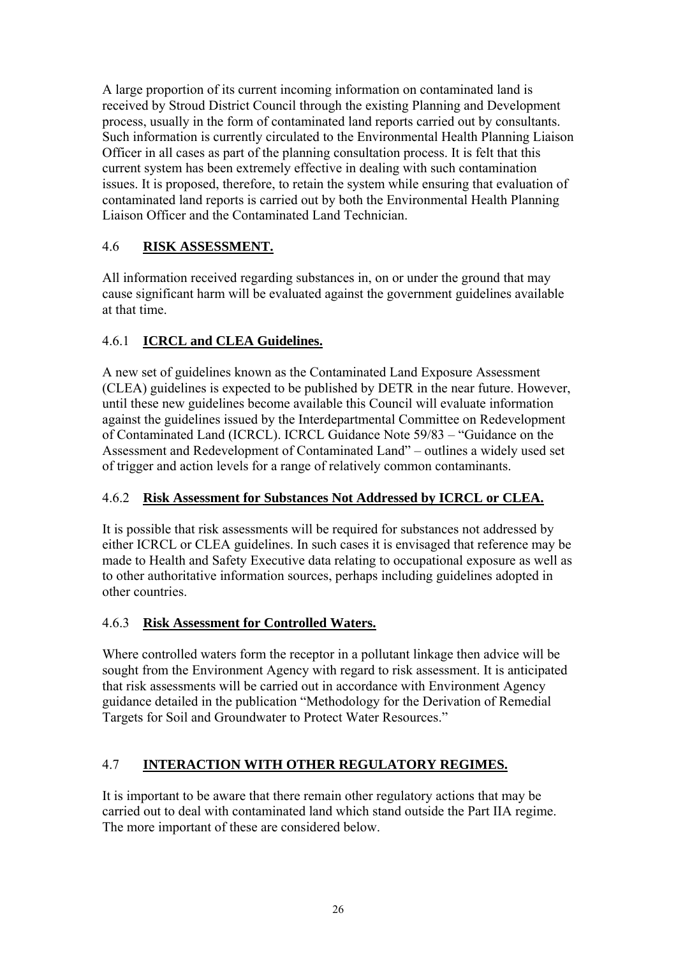A large proportion of its current incoming information on contaminated land is received by Stroud District Council through the existing Planning and Development process, usually in the form of contaminated land reports carried out by consultants. Such information is currently circulated to the Environmental Health Planning Liaison Officer in all cases as part of the planning consultation process. It is felt that this current system has been extremely effective in dealing with such contamination issues. It is proposed, therefore, to retain the system while ensuring that evaluation of contaminated land reports is carried out by both the Environmental Health Planning Liaison Officer and the Contaminated Land Technician.

## 4.6 **RISK ASSESSMENT.**

All information received regarding substances in, on or under the ground that may cause significant harm will be evaluated against the government guidelines available at that time.

## 4.6.1 **ICRCL and CLEA Guidelines.**

A new set of guidelines known as the Contaminated Land Exposure Assessment (CLEA) guidelines is expected to be published by DETR in the near future. However, until these new guidelines become available this Council will evaluate information against the guidelines issued by the Interdepartmental Committee on Redevelopment of Contaminated Land (ICRCL). ICRCL Guidance Note 59/83 – "Guidance on the Assessment and Redevelopment of Contaminated Land" – outlines a widely used set of trigger and action levels for a range of relatively common contaminants.

## 4.6.2 **Risk Assessment for Substances Not Addressed by ICRCL or CLEA.**

It is possible that risk assessments will be required for substances not addressed by either ICRCL or CLEA guidelines. In such cases it is envisaged that reference may be made to Health and Safety Executive data relating to occupational exposure as well as to other authoritative information sources, perhaps including guidelines adopted in other countries.

## 4.6.3 **Risk Assessment for Controlled Waters.**

Where controlled waters form the receptor in a pollutant linkage then advice will be sought from the Environment Agency with regard to risk assessment. It is anticipated that risk assessments will be carried out in accordance with Environment Agency guidance detailed in the publication "Methodology for the Derivation of Remedial Targets for Soil and Groundwater to Protect Water Resources."

## 4.7 **INTERACTION WITH OTHER REGULATORY REGIMES.**

It is important to be aware that there remain other regulatory actions that may be carried out to deal with contaminated land which stand outside the Part IIA regime. The more important of these are considered below.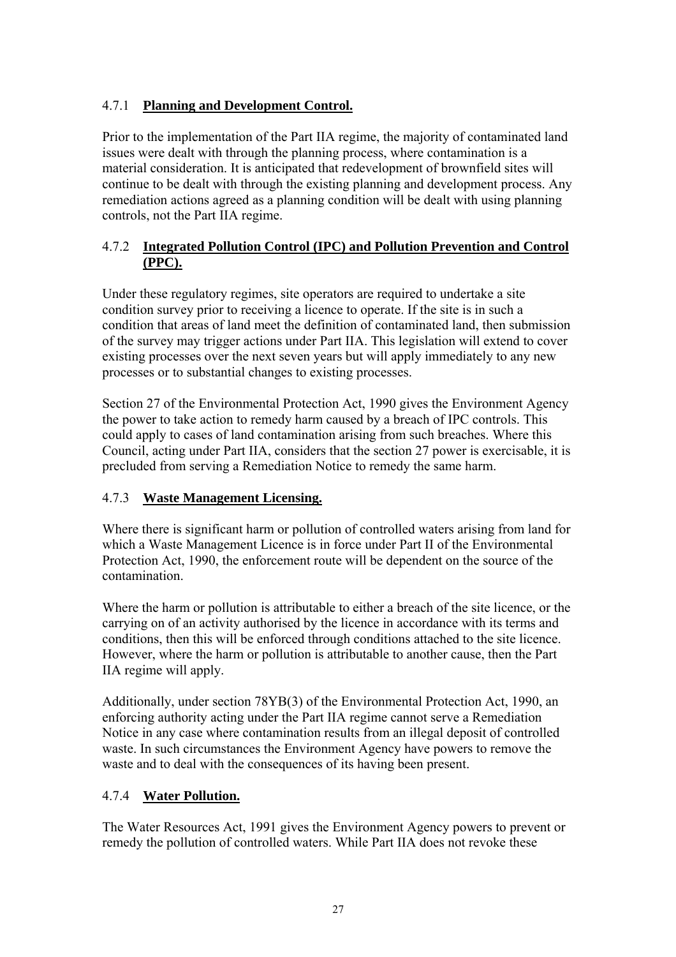## 4.7.1 **Planning and Development Control.**

Prior to the implementation of the Part IIA regime, the majority of contaminated land issues were dealt with through the planning process, where contamination is a material consideration. It is anticipated that redevelopment of brownfield sites will continue to be dealt with through the existing planning and development process. Any remediation actions agreed as a planning condition will be dealt with using planning controls, not the Part IIA regime.

## 4.7.2 **Integrated Pollution Control (IPC) and Pollution Prevention and Control (PPC).**

Under these regulatory regimes, site operators are required to undertake a site condition survey prior to receiving a licence to operate. If the site is in such a condition that areas of land meet the definition of contaminated land, then submission of the survey may trigger actions under Part IIA. This legislation will extend to cover existing processes over the next seven years but will apply immediately to any new processes or to substantial changes to existing processes.

Section 27 of the Environmental Protection Act, 1990 gives the Environment Agency the power to take action to remedy harm caused by a breach of IPC controls. This could apply to cases of land contamination arising from such breaches. Where this Council, acting under Part IIA, considers that the section 27 power is exercisable, it is precluded from serving a Remediation Notice to remedy the same harm.

## 4.7.3 **Waste Management Licensing.**

Where there is significant harm or pollution of controlled waters arising from land for which a Waste Management Licence is in force under Part II of the Environmental Protection Act, 1990, the enforcement route will be dependent on the source of the contamination.

Where the harm or pollution is attributable to either a breach of the site licence, or the carrying on of an activity authorised by the licence in accordance with its terms and conditions, then this will be enforced through conditions attached to the site licence. However, where the harm or pollution is attributable to another cause, then the Part IIA regime will apply.

Additionally, under section 78YB(3) of the Environmental Protection Act, 1990, an enforcing authority acting under the Part IIA regime cannot serve a Remediation Notice in any case where contamination results from an illegal deposit of controlled waste. In such circumstances the Environment Agency have powers to remove the waste and to deal with the consequences of its having been present.

## 4.7.4 **Water Pollution.**

The Water Resources Act, 1991 gives the Environment Agency powers to prevent or remedy the pollution of controlled waters. While Part IIA does not revoke these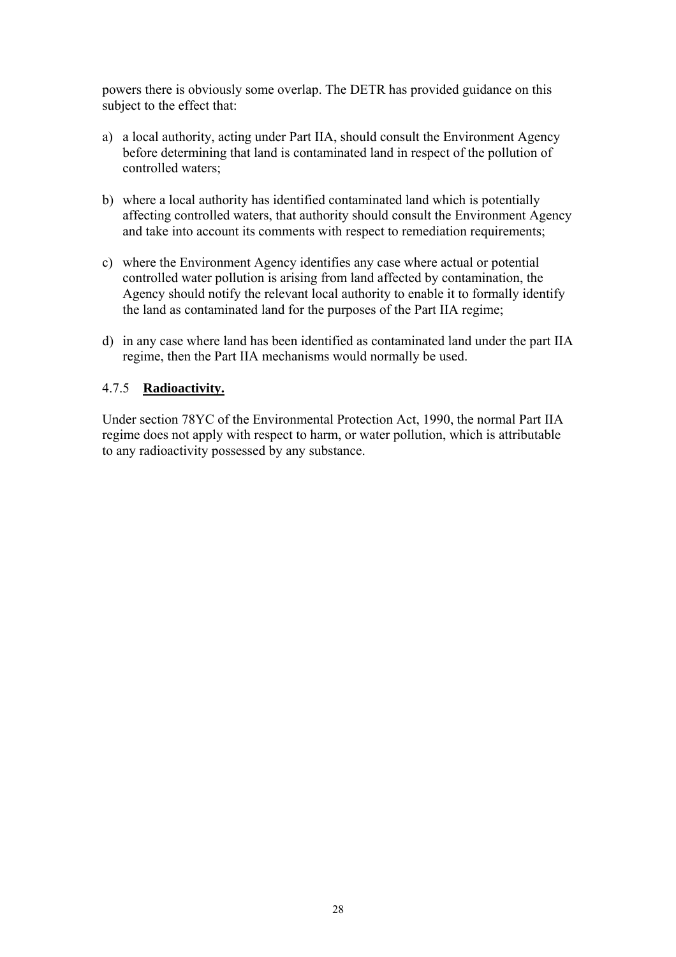powers there is obviously some overlap. The DETR has provided guidance on this subject to the effect that:

- a) a local authority, acting under Part IIA, should consult the Environment Agency before determining that land is contaminated land in respect of the pollution of controlled waters;
- b) where a local authority has identified contaminated land which is potentially affecting controlled waters, that authority should consult the Environment Agency and take into account its comments with respect to remediation requirements;
- c) where the Environment Agency identifies any case where actual or potential controlled water pollution is arising from land affected by contamination, the Agency should notify the relevant local authority to enable it to formally identify the land as contaminated land for the purposes of the Part IIA regime;
- d) in any case where land has been identified as contaminated land under the part IIA regime, then the Part IIA mechanisms would normally be used.

#### 4.7.5 **Radioactivity.**

Under section 78YC of the Environmental Protection Act, 1990, the normal Part IIA regime does not apply with respect to harm, or water pollution, which is attributable to any radioactivity possessed by any substance.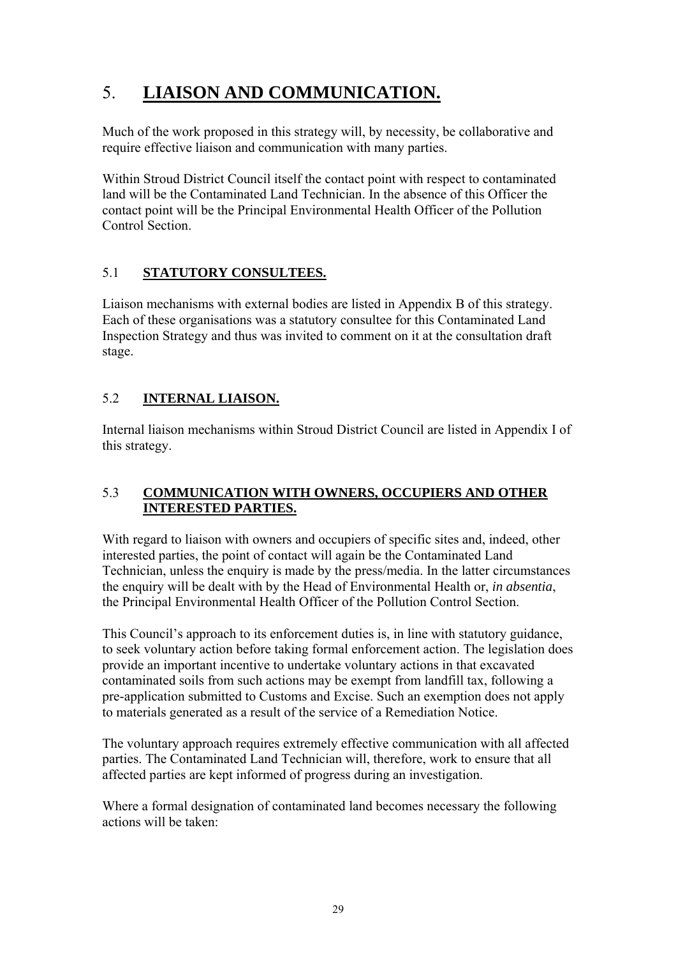## 5. **LIAISON AND COMMUNICATION.**

Much of the work proposed in this strategy will, by necessity, be collaborative and require effective liaison and communication with many parties.

Within Stroud District Council itself the contact point with respect to contaminated land will be the Contaminated Land Technician. In the absence of this Officer the contact point will be the Principal Environmental Health Officer of the Pollution Control Section.

## 5.1 **STATUTORY CONSULTEES.**

Liaison mechanisms with external bodies are listed in Appendix B of this strategy. Each of these organisations was a statutory consultee for this Contaminated Land Inspection Strategy and thus was invited to comment on it at the consultation draft stage.

## 5.2 **INTERNAL LIAISON.**

Internal liaison mechanisms within Stroud District Council are listed in Appendix I of this strategy.

## 5.3 **COMMUNICATION WITH OWNERS, OCCUPIERS AND OTHER INTERESTED PARTIES.**

With regard to liaison with owners and occupiers of specific sites and, indeed, other interested parties, the point of contact will again be the Contaminated Land Technician, unless the enquiry is made by the press/media. In the latter circumstances the enquiry will be dealt with by the Head of Environmental Health or, *in absentia*, the Principal Environmental Health Officer of the Pollution Control Section.

This Council's approach to its enforcement duties is, in line with statutory guidance, to seek voluntary action before taking formal enforcement action. The legislation does provide an important incentive to undertake voluntary actions in that excavated contaminated soils from such actions may be exempt from landfill tax, following a pre-application submitted to Customs and Excise. Such an exemption does not apply to materials generated as a result of the service of a Remediation Notice.

The voluntary approach requires extremely effective communication with all affected parties. The Contaminated Land Technician will, therefore, work to ensure that all affected parties are kept informed of progress during an investigation.

Where a formal designation of contaminated land becomes necessary the following actions will be taken: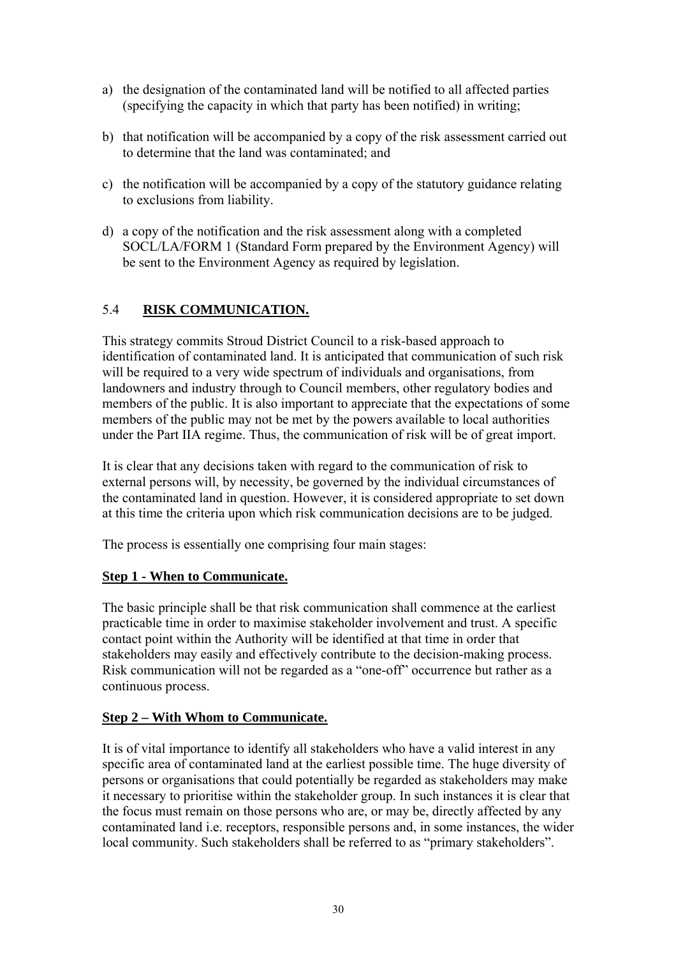- a) the designation of the contaminated land will be notified to all affected parties (specifying the capacity in which that party has been notified) in writing;
- b) that notification will be accompanied by a copy of the risk assessment carried out to determine that the land was contaminated; and
- c) the notification will be accompanied by a copy of the statutory guidance relating to exclusions from liability.
- d) a copy of the notification and the risk assessment along with a completed SOCL/LA/FORM 1 (Standard Form prepared by the Environment Agency) will be sent to the Environment Agency as required by legislation.

## 5.4 **RISK COMMUNICATION.**

This strategy commits Stroud District Council to a risk-based approach to identification of contaminated land. It is anticipated that communication of such risk will be required to a very wide spectrum of individuals and organisations, from landowners and industry through to Council members, other regulatory bodies and members of the public. It is also important to appreciate that the expectations of some members of the public may not be met by the powers available to local authorities under the Part IIA regime. Thus, the communication of risk will be of great import.

It is clear that any decisions taken with regard to the communication of risk to external persons will, by necessity, be governed by the individual circumstances of the contaminated land in question. However, it is considered appropriate to set down at this time the criteria upon which risk communication decisions are to be judged.

The process is essentially one comprising four main stages:

#### **Step 1 - When to Communicate.**

The basic principle shall be that risk communication shall commence at the earliest practicable time in order to maximise stakeholder involvement and trust. A specific contact point within the Authority will be identified at that time in order that stakeholders may easily and effectively contribute to the decision-making process. Risk communication will not be regarded as a "one-off" occurrence but rather as a continuous process.

#### **Step 2 – With Whom to Communicate.**

It is of vital importance to identify all stakeholders who have a valid interest in any specific area of contaminated land at the earliest possible time. The huge diversity of persons or organisations that could potentially be regarded as stakeholders may make it necessary to prioritise within the stakeholder group. In such instances it is clear that the focus must remain on those persons who are, or may be, directly affected by any contaminated land i.e. receptors, responsible persons and, in some instances, the wider local community. Such stakeholders shall be referred to as "primary stakeholders".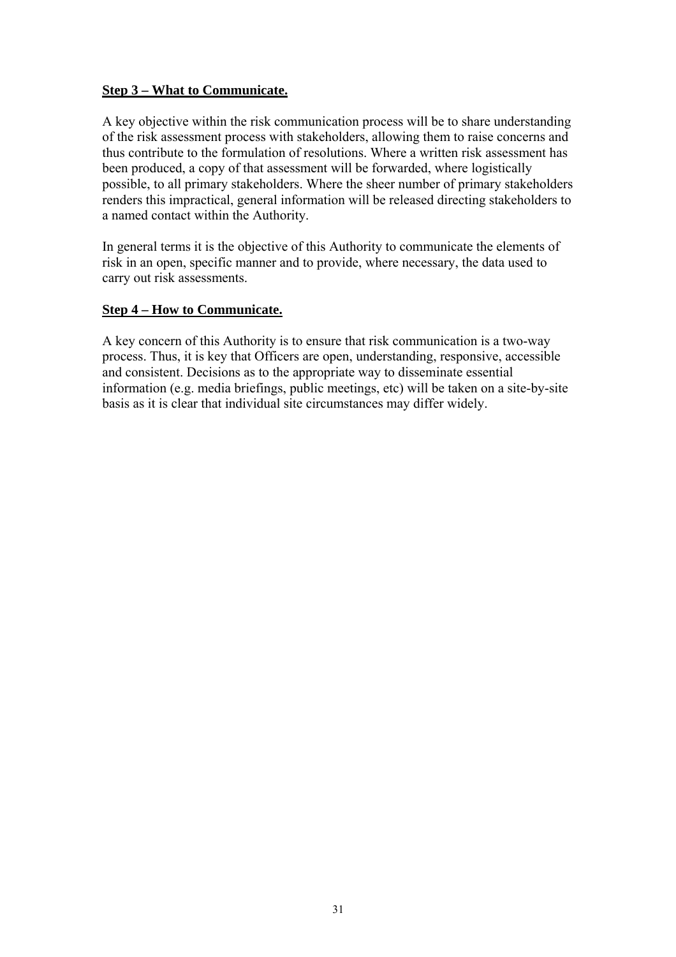#### **Step 3 – What to Communicate.**

A key objective within the risk communication process will be to share understanding of the risk assessment process with stakeholders, allowing them to raise concerns and thus contribute to the formulation of resolutions. Where a written risk assessment has been produced, a copy of that assessment will be forwarded, where logistically possible, to all primary stakeholders. Where the sheer number of primary stakeholders renders this impractical, general information will be released directing stakeholders to a named contact within the Authority.

In general terms it is the objective of this Authority to communicate the elements of risk in an open, specific manner and to provide, where necessary, the data used to carry out risk assessments.

#### **Step 4 – How to Communicate.**

A key concern of this Authority is to ensure that risk communication is a two-way process. Thus, it is key that Officers are open, understanding, responsive, accessible and consistent. Decisions as to the appropriate way to disseminate essential information (e.g. media briefings, public meetings, etc) will be taken on a site-by-site basis as it is clear that individual site circumstances may differ widely.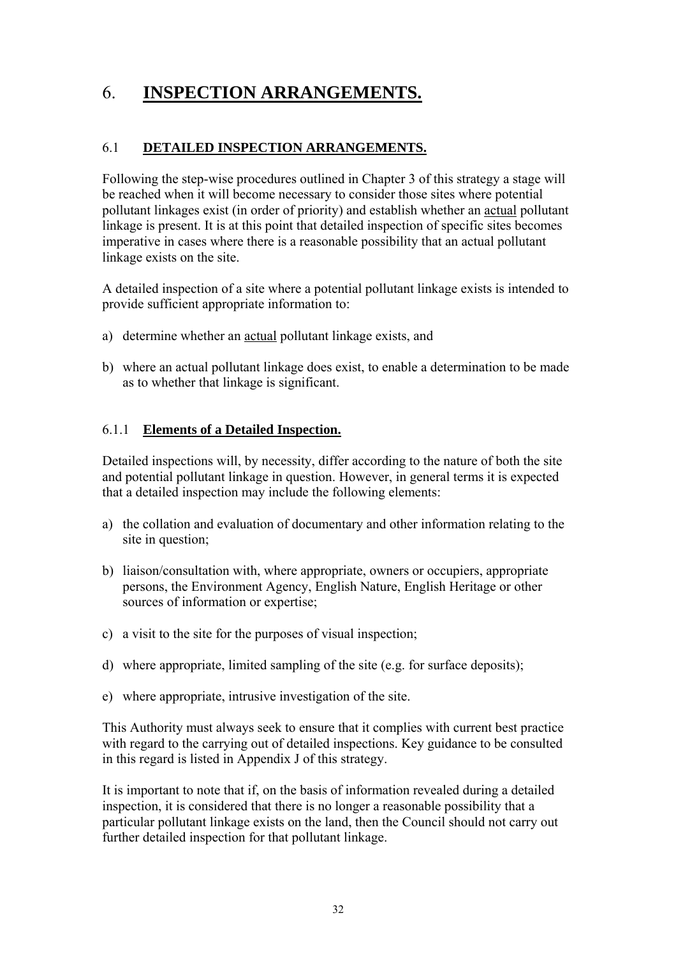## 6. **INSPECTION ARRANGEMENTS.**

## 6.1 **DETAILED INSPECTION ARRANGEMENTS.**

Following the step-wise procedures outlined in Chapter 3 of this strategy a stage will be reached when it will become necessary to consider those sites where potential pollutant linkages exist (in order of priority) and establish whether an actual pollutant linkage is present. It is at this point that detailed inspection of specific sites becomes imperative in cases where there is a reasonable possibility that an actual pollutant linkage exists on the site.

A detailed inspection of a site where a potential pollutant linkage exists is intended to provide sufficient appropriate information to:

- a) determine whether an actual pollutant linkage exists, and
- b) where an actual pollutant linkage does exist, to enable a determination to be made as to whether that linkage is significant.

#### 6.1.1 **Elements of a Detailed Inspection.**

Detailed inspections will, by necessity, differ according to the nature of both the site and potential pollutant linkage in question. However, in general terms it is expected that a detailed inspection may include the following elements:

- a) the collation and evaluation of documentary and other information relating to the site in question;
- b) liaison/consultation with, where appropriate, owners or occupiers, appropriate persons, the Environment Agency, English Nature, English Heritage or other sources of information or expertise;
- c) a visit to the site for the purposes of visual inspection;
- d) where appropriate, limited sampling of the site (e.g. for surface deposits);
- e) where appropriate, intrusive investigation of the site.

This Authority must always seek to ensure that it complies with current best practice with regard to the carrying out of detailed inspections. Key guidance to be consulted in this regard is listed in Appendix J of this strategy.

It is important to note that if, on the basis of information revealed during a detailed inspection, it is considered that there is no longer a reasonable possibility that a particular pollutant linkage exists on the land, then the Council should not carry out further detailed inspection for that pollutant linkage.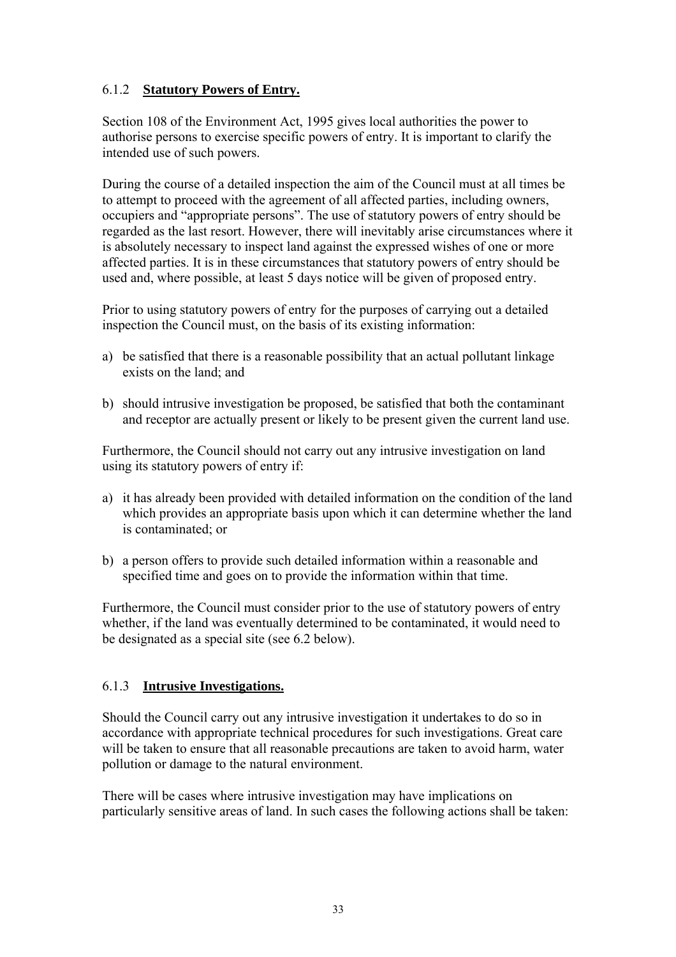#### 6.1.2 **Statutory Powers of Entry.**

Section 108 of the Environment Act, 1995 gives local authorities the power to authorise persons to exercise specific powers of entry. It is important to clarify the intended use of such powers.

During the course of a detailed inspection the aim of the Council must at all times be to attempt to proceed with the agreement of all affected parties, including owners, occupiers and "appropriate persons". The use of statutory powers of entry should be regarded as the last resort. However, there will inevitably arise circumstances where it is absolutely necessary to inspect land against the expressed wishes of one or more affected parties. It is in these circumstances that statutory powers of entry should be used and, where possible, at least 5 days notice will be given of proposed entry.

Prior to using statutory powers of entry for the purposes of carrying out a detailed inspection the Council must, on the basis of its existing information:

- a) be satisfied that there is a reasonable possibility that an actual pollutant linkage exists on the land; and
- b) should intrusive investigation be proposed, be satisfied that both the contaminant and receptor are actually present or likely to be present given the current land use.

Furthermore, the Council should not carry out any intrusive investigation on land using its statutory powers of entry if:

- a) it has already been provided with detailed information on the condition of the land which provides an appropriate basis upon which it can determine whether the land is contaminated; or
- b) a person offers to provide such detailed information within a reasonable and specified time and goes on to provide the information within that time.

Furthermore, the Council must consider prior to the use of statutory powers of entry whether, if the land was eventually determined to be contaminated, it would need to be designated as a special site (see 6.2 below).

#### 6.1.3 **Intrusive Investigations.**

Should the Council carry out any intrusive investigation it undertakes to do so in accordance with appropriate technical procedures for such investigations. Great care will be taken to ensure that all reasonable precautions are taken to avoid harm, water pollution or damage to the natural environment.

There will be cases where intrusive investigation may have implications on particularly sensitive areas of land. In such cases the following actions shall be taken: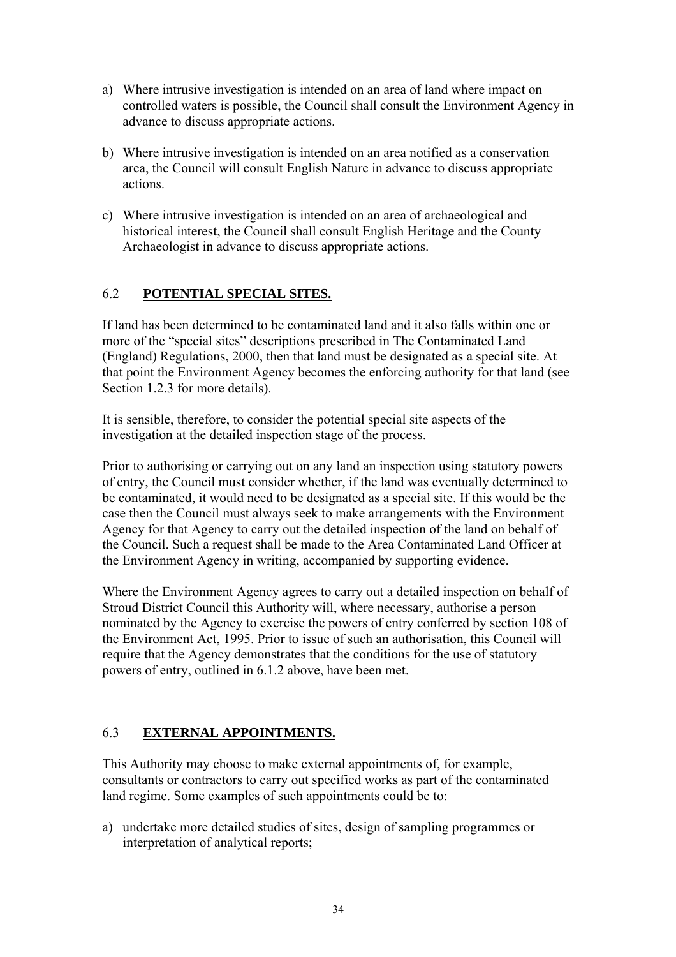- a) Where intrusive investigation is intended on an area of land where impact on controlled waters is possible, the Council shall consult the Environment Agency in advance to discuss appropriate actions.
- b) Where intrusive investigation is intended on an area notified as a conservation area, the Council will consult English Nature in advance to discuss appropriate actions.
- c) Where intrusive investigation is intended on an area of archaeological and historical interest, the Council shall consult English Heritage and the County Archaeologist in advance to discuss appropriate actions.

#### 6.2 **POTENTIAL SPECIAL SITES.**

If land has been determined to be contaminated land and it also falls within one or more of the "special sites" descriptions prescribed in The Contaminated Land (England) Regulations, 2000, then that land must be designated as a special site. At that point the Environment Agency becomes the enforcing authority for that land (see Section 1.2.3 for more details).

It is sensible, therefore, to consider the potential special site aspects of the investigation at the detailed inspection stage of the process.

Prior to authorising or carrying out on any land an inspection using statutory powers of entry, the Council must consider whether, if the land was eventually determined to be contaminated, it would need to be designated as a special site. If this would be the case then the Council must always seek to make arrangements with the Environment Agency for that Agency to carry out the detailed inspection of the land on behalf of the Council. Such a request shall be made to the Area Contaminated Land Officer at the Environment Agency in writing, accompanied by supporting evidence.

Where the Environment Agency agrees to carry out a detailed inspection on behalf of Stroud District Council this Authority will, where necessary, authorise a person nominated by the Agency to exercise the powers of entry conferred by section 108 of the Environment Act, 1995. Prior to issue of such an authorisation, this Council will require that the Agency demonstrates that the conditions for the use of statutory powers of entry, outlined in 6.1.2 above, have been met.

#### 6.3 **EXTERNAL APPOINTMENTS.**

This Authority may choose to make external appointments of, for example, consultants or contractors to carry out specified works as part of the contaminated land regime. Some examples of such appointments could be to:

a) undertake more detailed studies of sites, design of sampling programmes or interpretation of analytical reports;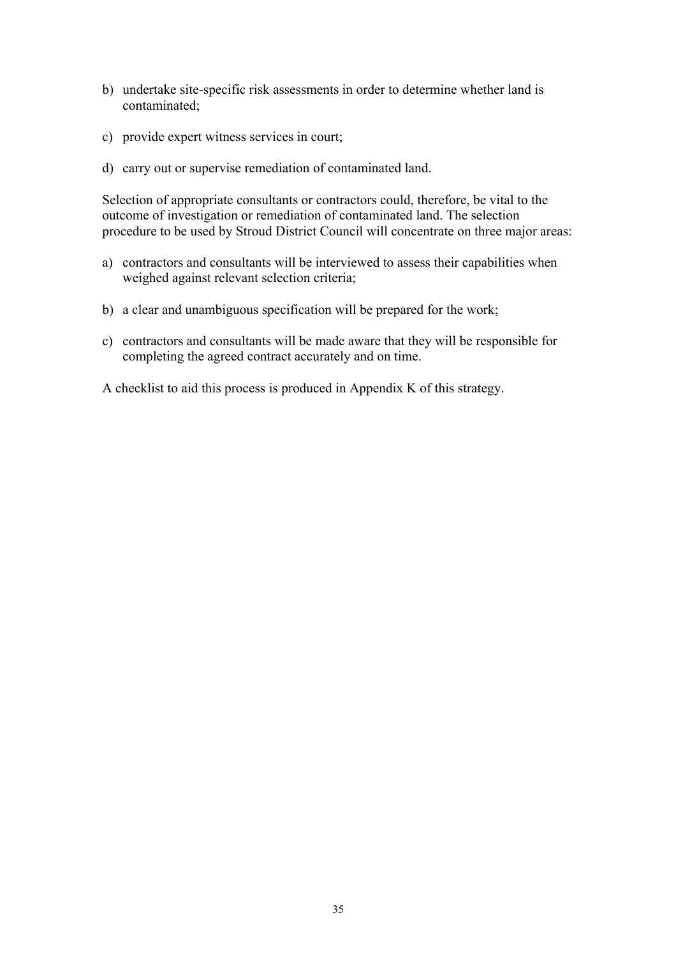- b) undertake site-specific risk assessments in order to determine whether land is contaminated;
- c) provide expert witness services in court;
- d) carry out or supervise remediation of contaminated land.

Selection of appropriate consultants or contractors could, therefore, be vital to the outcome of investigation or remediation of contaminated land. The selection procedure to be used by Stroud District Council will concentrate on three major areas:

- a) contractors and consultants will be interviewed to assess their capabilities when weighed against relevant selection criteria;
- b) a clear and unambiguous specification will be prepared for the work;
- c) contractors and consultants will be made aware that they will be responsible for completing the agreed contract accurately and on time.

A checklist to aid this process is produced in Appendix K of this strategy.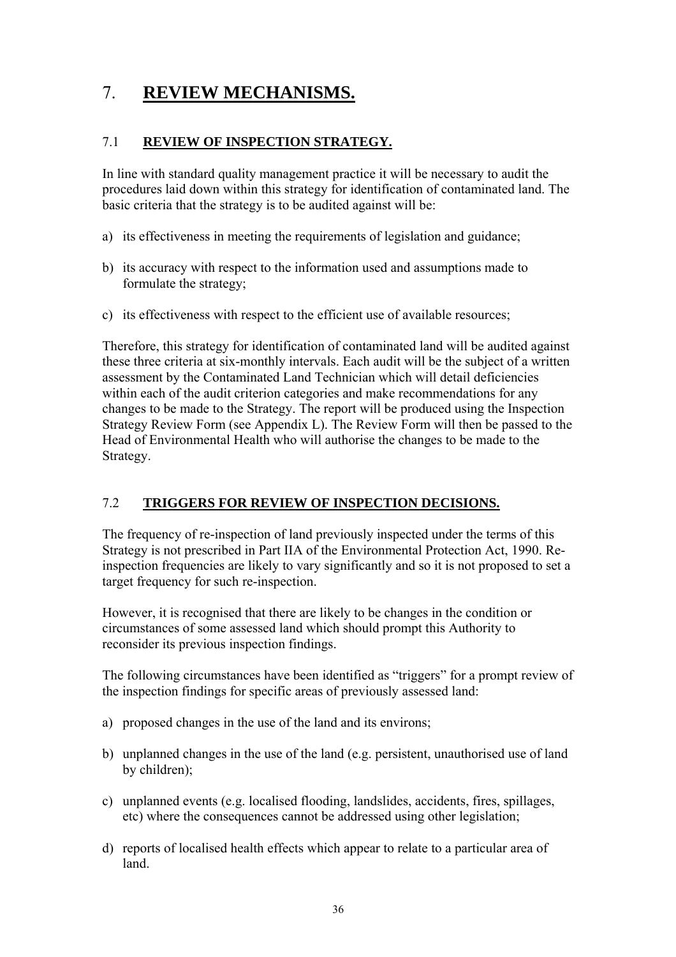# 7. **REVIEW MECHANISMS.**

#### 7.1 **REVIEW OF INSPECTION STRATEGY.**

In line with standard quality management practice it will be necessary to audit the procedures laid down within this strategy for identification of contaminated land. The basic criteria that the strategy is to be audited against will be:

- a) its effectiveness in meeting the requirements of legislation and guidance;
- b) its accuracy with respect to the information used and assumptions made to formulate the strategy;
- c) its effectiveness with respect to the efficient use of available resources;

Therefore, this strategy for identification of contaminated land will be audited against these three criteria at six-monthly intervals. Each audit will be the subject of a written assessment by the Contaminated Land Technician which will detail deficiencies within each of the audit criterion categories and make recommendations for any changes to be made to the Strategy. The report will be produced using the Inspection Strategy Review Form (see Appendix L). The Review Form will then be passed to the Head of Environmental Health who will authorise the changes to be made to the Strategy.

#### 7.2 **TRIGGERS FOR REVIEW OF INSPECTION DECISIONS.**

The frequency of re-inspection of land previously inspected under the terms of this Strategy is not prescribed in Part IIA of the Environmental Protection Act, 1990. Reinspection frequencies are likely to vary significantly and so it is not proposed to set a target frequency for such re-inspection.

However, it is recognised that there are likely to be changes in the condition or circumstances of some assessed land which should prompt this Authority to reconsider its previous inspection findings.

The following circumstances have been identified as "triggers" for a prompt review of the inspection findings for specific areas of previously assessed land:

- a) proposed changes in the use of the land and its environs;
- b) unplanned changes in the use of the land (e.g. persistent, unauthorised use of land by children);
- c) unplanned events (e.g. localised flooding, landslides, accidents, fires, spillages, etc) where the consequences cannot be addressed using other legislation;
- d) reports of localised health effects which appear to relate to a particular area of land.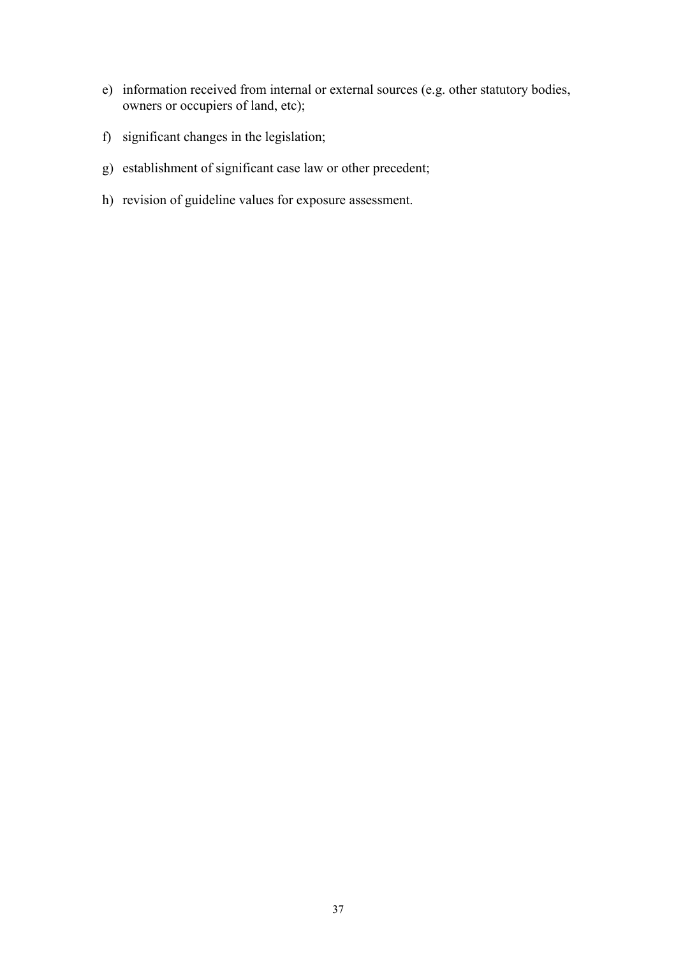- e) information received from internal or external sources (e.g. other statutory bodies, owners or occupiers of land, etc);
- f) significant changes in the legislation;
- g) establishment of significant case law or other precedent;
- h) revision of guideline values for exposure assessment.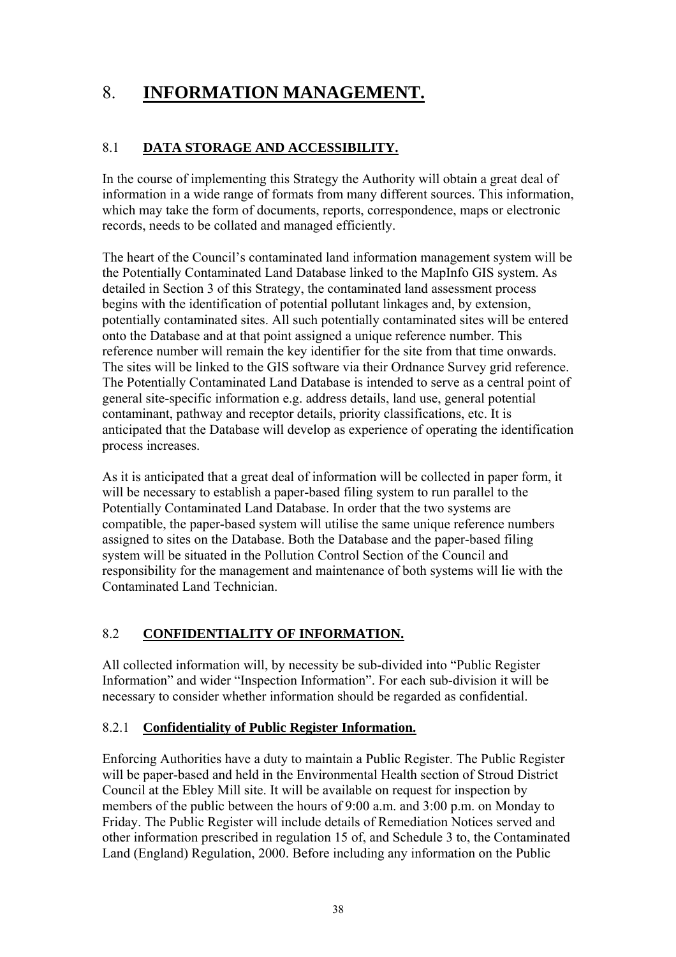# 8. **INFORMATION MANAGEMENT.**

#### 8.1 **DATA STORAGE AND ACCESSIBILITY.**

In the course of implementing this Strategy the Authority will obtain a great deal of information in a wide range of formats from many different sources. This information, which may take the form of documents, reports, correspondence, maps or electronic records, needs to be collated and managed efficiently.

The heart of the Council's contaminated land information management system will be the Potentially Contaminated Land Database linked to the MapInfo GIS system. As detailed in Section 3 of this Strategy, the contaminated land assessment process begins with the identification of potential pollutant linkages and, by extension, potentially contaminated sites. All such potentially contaminated sites will be entered onto the Database and at that point assigned a unique reference number. This reference number will remain the key identifier for the site from that time onwards. The sites will be linked to the GIS software via their Ordnance Survey grid reference. The Potentially Contaminated Land Database is intended to serve as a central point of general site-specific information e.g. address details, land use, general potential contaminant, pathway and receptor details, priority classifications, etc. It is anticipated that the Database will develop as experience of operating the identification process increases.

As it is anticipated that a great deal of information will be collected in paper form, it will be necessary to establish a paper-based filing system to run parallel to the Potentially Contaminated Land Database. In order that the two systems are compatible, the paper-based system will utilise the same unique reference numbers assigned to sites on the Database. Both the Database and the paper-based filing system will be situated in the Pollution Control Section of the Council and responsibility for the management and maintenance of both systems will lie with the Contaminated Land Technician.

#### 8.2 **CONFIDENTIALITY OF INFORMATION.**

All collected information will, by necessity be sub-divided into "Public Register Information" and wider "Inspection Information". For each sub-division it will be necessary to consider whether information should be regarded as confidential.

#### 8.2.1 **Confidentiality of Public Register Information.**

Enforcing Authorities have a duty to maintain a Public Register. The Public Register will be paper-based and held in the Environmental Health section of Stroud District Council at the Ebley Mill site. It will be available on request for inspection by members of the public between the hours of 9:00 a.m. and 3:00 p.m. on Monday to Friday. The Public Register will include details of Remediation Notices served and other information prescribed in regulation 15 of, and Schedule 3 to, the Contaminated Land (England) Regulation, 2000. Before including any information on the Public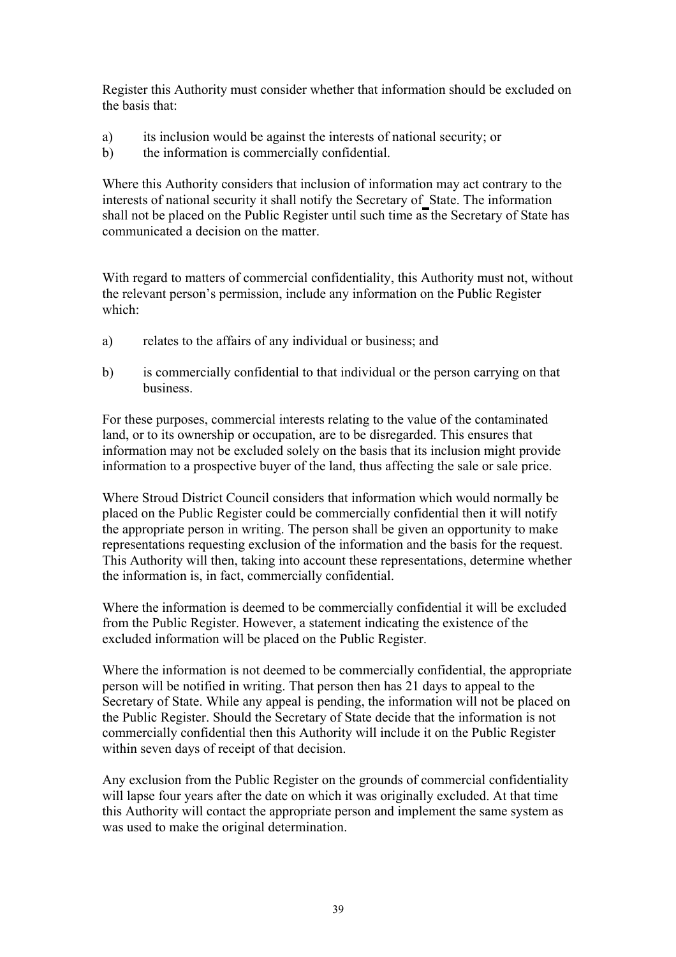Register this Authority must consider whether that information should be excluded on the basis that:

- a) its inclusion would be against the interests of national security; or
- b) the information is commercially confidential.

Where this Authority considers that inclusion of information may act contrary to the interests of national security it shall notify the Secretary of State. The information shall not be placed on the Public Register until such time as the Secretary of State has communicated a decision on the matter.

With regard to matters of commercial confidentiality, this Authority must not, without the relevant person's permission, include any information on the Public Register which:

- a) relates to the affairs of any individual or business; and
- b) is commercially confidential to that individual or the person carrying on that business.

For these purposes, commercial interests relating to the value of the contaminated land, or to its ownership or occupation, are to be disregarded. This ensures that information may not be excluded solely on the basis that its inclusion might provide information to a prospective buyer of the land, thus affecting the sale or sale price.

Where Stroud District Council considers that information which would normally be placed on the Public Register could be commercially confidential then it will notify the appropriate person in writing. The person shall be given an opportunity to make representations requesting exclusion of the information and the basis for the request. This Authority will then, taking into account these representations, determine whether the information is, in fact, commercially confidential.

Where the information is deemed to be commercially confidential it will be excluded from the Public Register. However, a statement indicating the existence of the excluded information will be placed on the Public Register.

Where the information is not deemed to be commercially confidential, the appropriate person will be notified in writing. That person then has 21 days to appeal to the Secretary of State. While any appeal is pending, the information will not be placed on the Public Register. Should the Secretary of State decide that the information is not commercially confidential then this Authority will include it on the Public Register within seven days of receipt of that decision.

Any exclusion from the Public Register on the grounds of commercial confidentiality will lapse four years after the date on which it was originally excluded. At that time this Authority will contact the appropriate person and implement the same system as was used to make the original determination.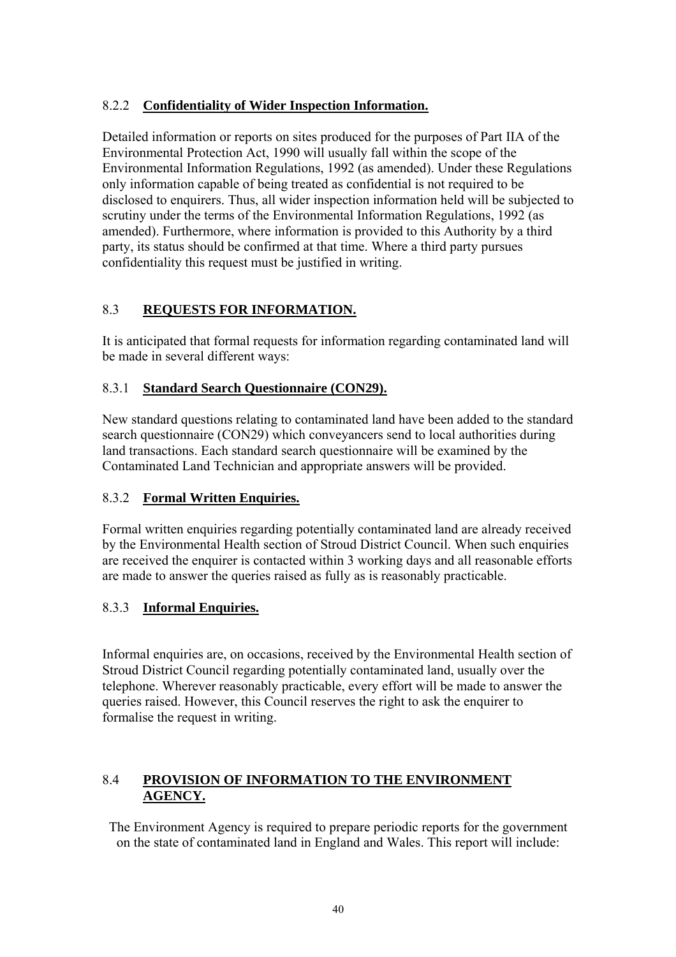#### 8.2.2 **Confidentiality of Wider Inspection Information.**

Detailed information or reports on sites produced for the purposes of Part IIA of the Environmental Protection Act, 1990 will usually fall within the scope of the Environmental Information Regulations, 1992 (as amended). Under these Regulations only information capable of being treated as confidential is not required to be disclosed to enquirers. Thus, all wider inspection information held will be subjected to scrutiny under the terms of the Environmental Information Regulations, 1992 (as amended). Furthermore, where information is provided to this Authority by a third party, its status should be confirmed at that time. Where a third party pursues confidentiality this request must be justified in writing.

#### 8.3 **REQUESTS FOR INFORMATION.**

It is anticipated that formal requests for information regarding contaminated land will be made in several different ways:

#### 8.3.1 **Standard Search Questionnaire (CON29).**

New standard questions relating to contaminated land have been added to the standard search questionnaire (CON29) which conveyancers send to local authorities during land transactions. Each standard search questionnaire will be examined by the Contaminated Land Technician and appropriate answers will be provided.

#### 8.3.2 **Formal Written Enquiries.**

Formal written enquiries regarding potentially contaminated land are already received by the Environmental Health section of Stroud District Council. When such enquiries are received the enquirer is contacted within 3 working days and all reasonable efforts are made to answer the queries raised as fully as is reasonably practicable.

#### 8.3.3 **Informal Enquiries.**

Informal enquiries are, on occasions, received by the Environmental Health section of Stroud District Council regarding potentially contaminated land, usually over the telephone. Wherever reasonably practicable, every effort will be made to answer the queries raised. However, this Council reserves the right to ask the enquirer to formalise the request in writing.

#### 8.4 **PROVISION OF INFORMATION TO THE ENVIRONMENT AGENCY.**

The Environment Agency is required to prepare periodic reports for the government on the state of contaminated land in England and Wales. This report will include: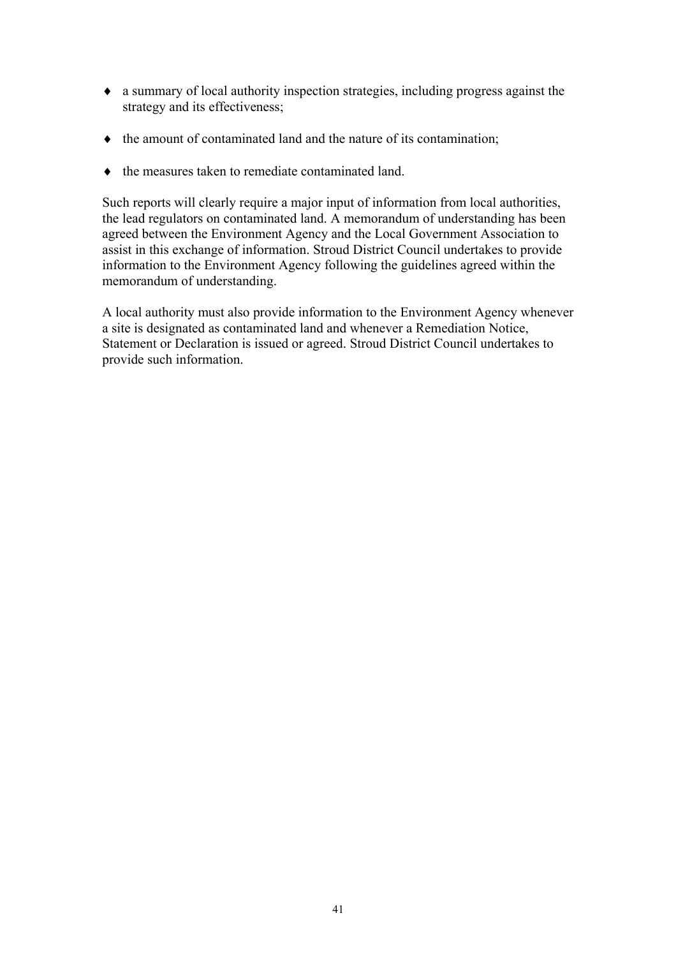- ♦ a summary of local authority inspection strategies, including progress against the strategy and its effectiveness;
- ♦ the amount of contaminated land and the nature of its contamination;
- ♦ the measures taken to remediate contaminated land.

Such reports will clearly require a major input of information from local authorities, the lead regulators on contaminated land. A memorandum of understanding has been agreed between the Environment Agency and the Local Government Association to assist in this exchange of information. Stroud District Council undertakes to provide information to the Environment Agency following the guidelines agreed within the memorandum of understanding.

A local authority must also provide information to the Environment Agency whenever a site is designated as contaminated land and whenever a Remediation Notice, Statement or Declaration is issued or agreed. Stroud District Council undertakes to provide such information.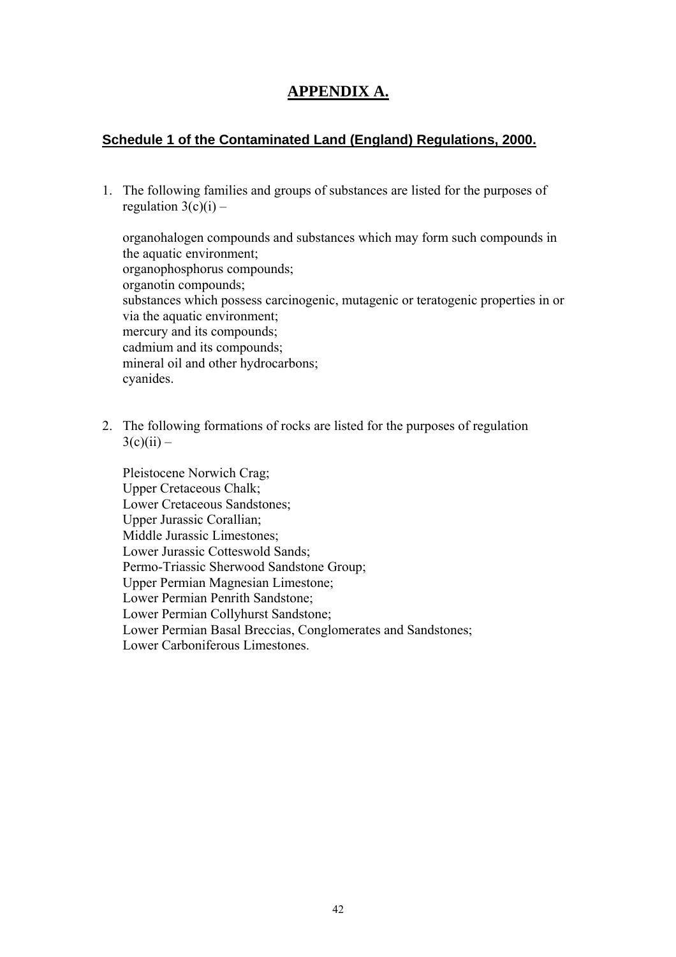### **APPENDIX A.**

#### **Schedule 1 of the Contaminated Land (England) Regulations, 2000.**

1. The following families and groups of substances are listed for the purposes of regulation  $3(c)(i)$  –

organohalogen compounds and substances which may form such compounds in the aquatic environment; organophosphorus compounds; organotin compounds; substances which possess carcinogenic, mutagenic or teratogenic properties in or via the aquatic environment; mercury and its compounds; cadmium and its compounds; mineral oil and other hydrocarbons; cyanides.

2. The following formations of rocks are listed for the purposes of regulation  $3(c)(ii) -$ 

Pleistocene Norwich Crag; Upper Cretaceous Chalk; Lower Cretaceous Sandstones; Upper Jurassic Corallian; Middle Jurassic Limestones; Lower Jurassic Cotteswold Sands; Permo-Triassic Sherwood Sandstone Group; Upper Permian Magnesian Limestone; Lower Permian Penrith Sandstone; Lower Permian Collyhurst Sandstone; Lower Permian Basal Breccias, Conglomerates and Sandstones; Lower Carboniferous Limestones.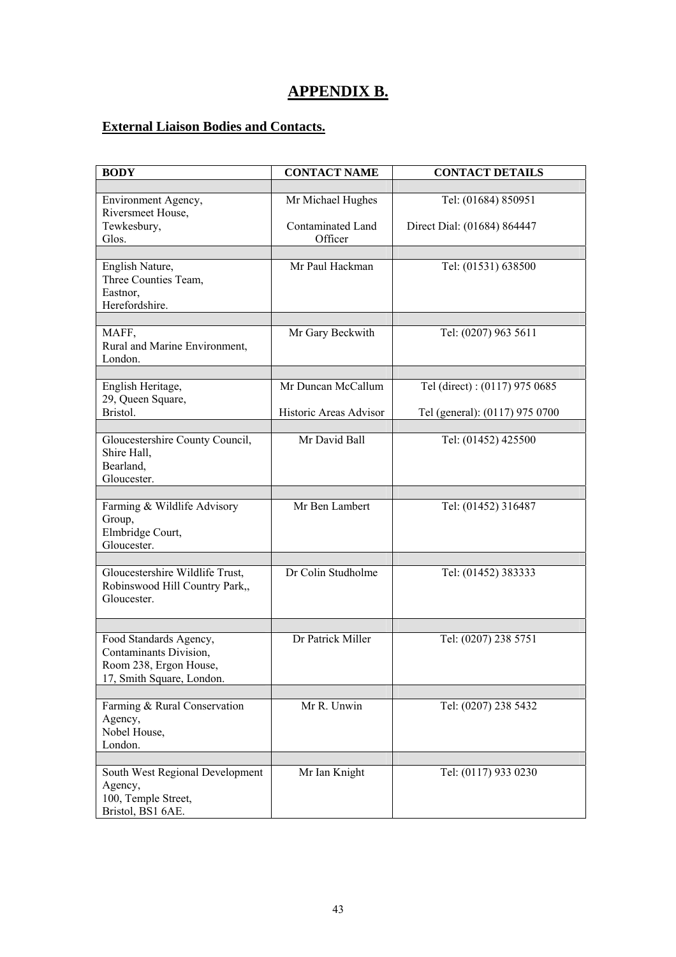### **APPENDIX B.**

### **External Liaison Bodies and Contacts.**

| <b>BODY</b>                                                                                             | <b>CONTACT NAME</b>          | <b>CONTACT DETAILS</b>         |  |
|---------------------------------------------------------------------------------------------------------|------------------------------|--------------------------------|--|
|                                                                                                         |                              |                                |  |
| Environment Agency,<br>Riversmeet House,                                                                | Mr Michael Hughes            | Tel: (01684) 850951            |  |
| Tewkesbury,<br>Glos.                                                                                    | Contaminated Land<br>Officer | Direct Dial: (01684) 864447    |  |
|                                                                                                         |                              |                                |  |
| English Nature,<br>Three Counties Team,<br>Eastnor,<br>Herefordshire.                                   | Mr Paul Hackman              | Tel: (01531) 638500            |  |
| MAFF,<br>Rural and Marine Environment,<br>London.                                                       | Mr Gary Beckwith             | Tel: (0207) 963 5611           |  |
|                                                                                                         | Mr Duncan McCallum           | Tel (direct): (0117) 975 0685  |  |
| English Heritage,<br>29, Queen Square,                                                                  |                              |                                |  |
| Bristol.                                                                                                | Historic Areas Advisor       | Tel (general): (0117) 975 0700 |  |
| Gloucestershire County Council,<br>Shire Hall,<br>Bearland,                                             | Mr David Ball                | Tel: (01452) 425500            |  |
| Gloucester.                                                                                             |                              |                                |  |
| Farming & Wildlife Advisory<br>Group,<br>Elmbridge Court,<br>Gloucester.                                | Mr Ben Lambert               | Tel: (01452) 316487            |  |
|                                                                                                         |                              |                                |  |
| Gloucestershire Wildlife Trust,<br>Robinswood Hill Country Park,,<br>Gloucester.                        | Dr Colin Studholme           | Tel: (01452) 383333            |  |
|                                                                                                         |                              |                                |  |
| Food Standards Agency,<br>Contaminants Division,<br>Room 238, Ergon House,<br>17, Smith Square, London. | Dr Patrick Miller            | Tel: (0207) 238 5751           |  |
|                                                                                                         |                              |                                |  |
| Farming & Rural Conservation<br>Agency,<br>Nobel House,<br>London.                                      | Mr R. Unwin                  | Tel: (0207) 238 5432           |  |
|                                                                                                         |                              |                                |  |
| South West Regional Development<br>Agency,<br>100, Temple Street,<br>Bristol, BS1 6AE.                  | Mr Ian Knight                | Tel: (0117) 933 0230           |  |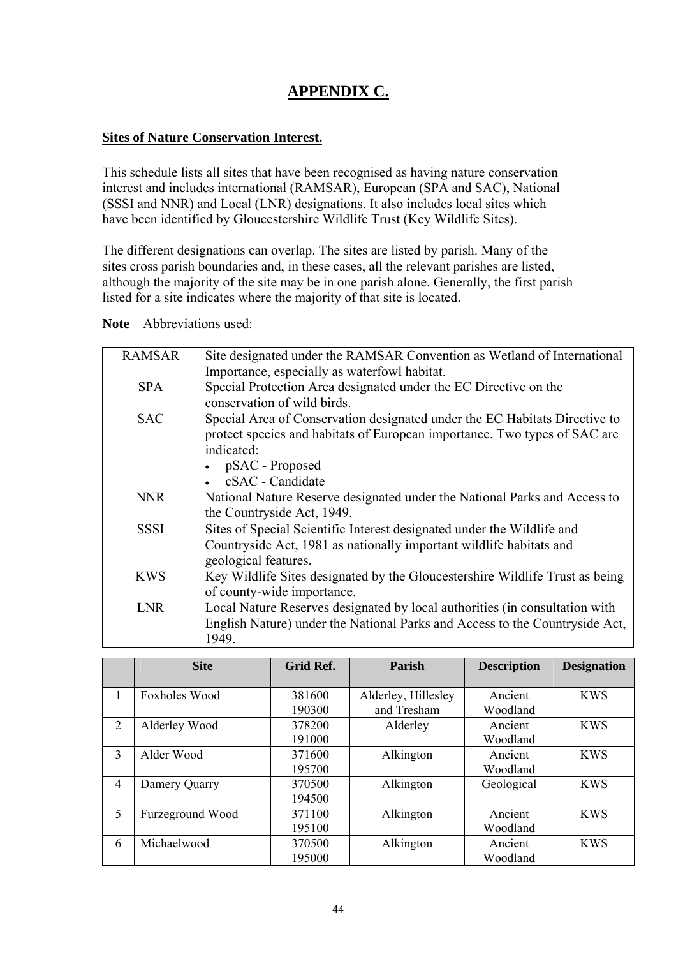### **APPENDIX C.**

#### **Sites of Nature Conservation Interest.**

This schedule lists all sites that have been recognised as having nature conservation interest and includes international (RAMSAR), European (SPA and SAC), National (SSSI and NNR) and Local (LNR) designations. It also includes local sites which have been identified by Gloucestershire Wildlife Trust (Key Wildlife Sites).

The different designations can overlap. The sites are listed by parish. Many of the sites cross parish boundaries and, in these cases, all the relevant parishes are listed, although the majority of the site may be in one parish alone. Generally, the first parish listed for a site indicates where the majority of that site is located.

**Note** Abbreviations used:

| <b>RAMSAR</b> | Site designated under the RAMSAR Convention as Wetland of International      |
|---------------|------------------------------------------------------------------------------|
|               | Importance, especially as waterfowl habitat.                                 |
| <b>SPA</b>    | Special Protection Area designated under the EC Directive on the             |
|               | conservation of wild birds.                                                  |
| <b>SAC</b>    | Special Area of Conservation designated under the EC Habitats Directive to   |
|               | protect species and habitats of European importance. Two types of SAC are    |
|               | indicated:                                                                   |
|               | pSAC - Proposed                                                              |
|               | cSAC - Candidate                                                             |
| <b>NNR</b>    | National Nature Reserve designated under the National Parks and Access to    |
|               | the Countryside Act, 1949.                                                   |
| <b>SSSI</b>   | Sites of Special Scientific Interest designated under the Wildlife and       |
|               | Countryside Act, 1981 as nationally important wildlife habitats and          |
|               | geological features.                                                         |
| <b>KWS</b>    | Key Wildlife Sites designated by the Gloucestershire Wildlife Trust as being |
|               | of county-wide importance.                                                   |
| <b>LNR</b>    | Local Nature Reserves designated by local authorities (in consultation with  |
|               | English Nature) under the National Parks and Access to the Countryside Act,  |
|               | 1949.                                                                        |
|               |                                                                              |

|   | <b>Site</b>          | Grid Ref.        | Parish                             | <b>Description</b>  | <b>Designation</b> |
|---|----------------------|------------------|------------------------------------|---------------------|--------------------|
| 1 | <b>Foxholes Wood</b> | 381600<br>190300 | Alderley, Hillesley<br>and Tresham | Ancient<br>Woodland | <b>KWS</b>         |
| 2 | Alderley Wood        | 378200<br>191000 | Alderley                           | Ancient<br>Woodland | <b>KWS</b>         |
| 3 | Alder Wood           | 371600<br>195700 | Alkington                          | Ancient<br>Woodland | <b>KWS</b>         |
| 4 | Damery Quarry        | 370500<br>194500 | Alkington                          | Geological          | <b>KWS</b>         |
| 5 | Furzeground Wood     | 371100<br>195100 | Alkington                          | Ancient<br>Woodland | <b>KWS</b>         |
| 6 | Michaelwood          | 370500<br>195000 | Alkington                          | Ancient<br>Woodland | <b>KWS</b>         |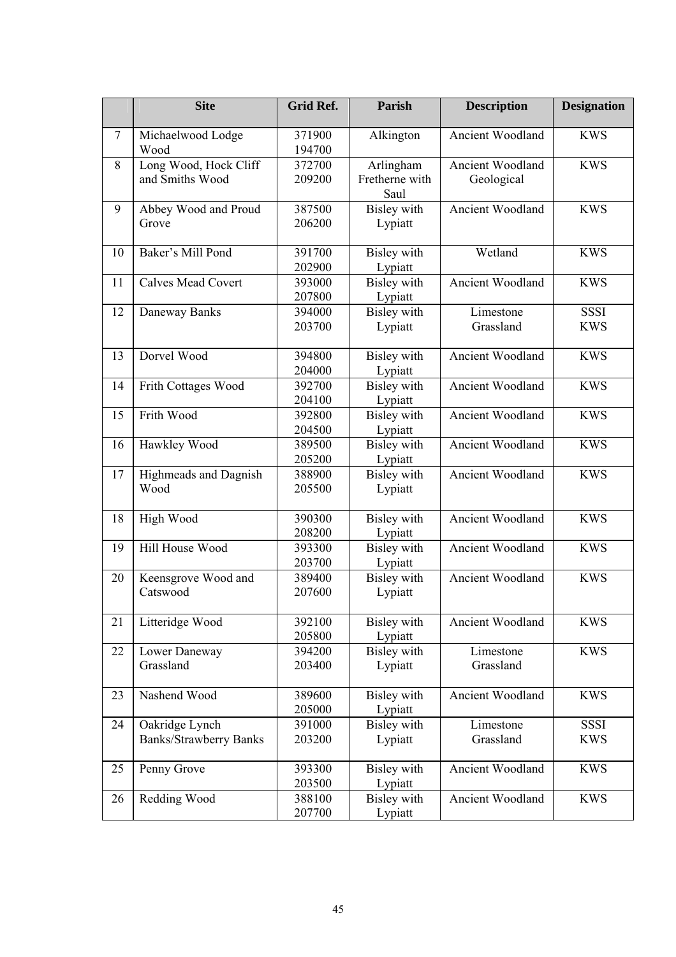|        | <b>Site</b>                                     | <b>Grid Ref.</b> | <b>Parish</b>                       | <b>Description</b>                    | <b>Designation</b>        |
|--------|-------------------------------------------------|------------------|-------------------------------------|---------------------------------------|---------------------------|
| $\tau$ | Michaelwood Lodge<br>Wood                       | 371900<br>194700 | Alkington                           | Ancient Woodland                      | <b>KWS</b>                |
| 8      | Long Wood, Hock Cliff<br>and Smiths Wood        | 372700<br>209200 | Arlingham<br>Fretherne with<br>Saul | <b>Ancient Woodland</b><br>Geological | <b>KWS</b>                |
| 9      | Abbey Wood and Proud<br>Grove                   | 387500<br>206200 | <b>Bisley</b> with<br>Lypiatt       | Ancient Woodland                      | <b>KWS</b>                |
| 10     | Baker's Mill Pond                               | 391700<br>202900 | Bisley with<br>Lypiatt              | Wetland                               | <b>KWS</b>                |
| 11     | <b>Calves Mead Covert</b>                       | 393000<br>207800 | <b>Bisley</b> with<br>Lypiatt       | Ancient Woodland                      | <b>KWS</b>                |
| 12     | Daneway Banks                                   | 394000<br>203700 | Bisley with<br>Lypiatt              | Limestone<br>Grassland                | <b>SSSI</b><br><b>KWS</b> |
| 13     | Dorvel Wood                                     | 394800<br>204000 | Bisley with<br>Lypiatt              | Ancient Woodland                      | <b>KWS</b>                |
| 14     | Frith Cottages Wood                             | 392700<br>204100 | <b>Bisley</b> with<br>Lypiatt       | Ancient Woodland                      | <b>KWS</b>                |
| 15     | Frith Wood                                      | 392800<br>204500 | <b>Bisley</b> with<br>Lypiatt       | <b>Ancient Woodland</b>               | <b>KWS</b>                |
| 16     | Hawkley Wood                                    | 389500<br>205200 | Bisley with<br>Lypiatt              | Ancient Woodland                      | <b>KWS</b>                |
| 17     | Highmeads and Dagnish<br>Wood                   | 388900<br>205500 | <b>Bisley</b> with<br>Lypiatt       | Ancient Woodland                      | <b>KWS</b>                |
| 18     | High Wood                                       | 390300<br>208200 | <b>Bisley</b> with<br>Lypiatt       | Ancient Woodland                      | <b>KWS</b>                |
| 19     | Hill House Wood                                 | 393300<br>203700 | <b>Bisley</b> with<br>Lypiatt       | Ancient Woodland                      | <b>KWS</b>                |
| 20     | Keensgrove Wood and<br>Catswood                 | 389400<br>207600 | <b>Bisley</b> with<br>Lypiatt       | Ancient Woodland                      | <b>KWS</b>                |
| 21     | Litteridge Wood                                 | 392100<br>205800 | Bisley with<br>Lypiatt              | Ancient Woodland                      | <b>KWS</b>                |
| 22     | Lower Daneway<br>Grassland                      | 394200<br>203400 | Bisley with<br>Lypiatt              | Limestone<br>Grassland                | <b>KWS</b>                |
| 23     | Nashend Wood                                    | 389600<br>205000 | Bisley with<br>Lypiatt              | Ancient Woodland                      | <b>KWS</b>                |
| 24     | Oakridge Lynch<br><b>Banks/Strawberry Banks</b> | 391000<br>203200 | <b>Bisley</b> with<br>Lypiatt       | Limestone<br>Grassland                | <b>SSSI</b><br><b>KWS</b> |
| 25     | Penny Grove                                     | 393300<br>203500 | <b>Bisley</b> with<br>Lypiatt       | Ancient Woodland                      | <b>KWS</b>                |
| 26     | Redding Wood                                    | 388100<br>207700 | <b>Bisley</b> with<br>Lypiatt       | Ancient Woodland                      | <b>KWS</b>                |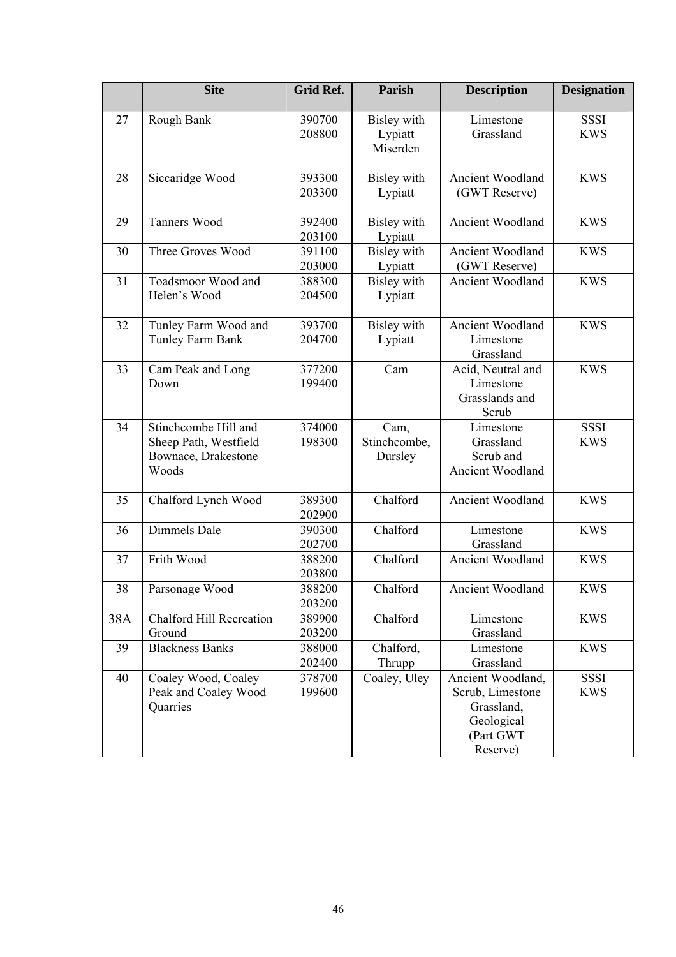|     | <b>Site</b>                                                                   | <b>Grid Ref.</b> | Parish                             | <b>Description</b>                                                                         | <b>Designation</b>        |
|-----|-------------------------------------------------------------------------------|------------------|------------------------------------|--------------------------------------------------------------------------------------------|---------------------------|
| 27  | Rough Bank                                                                    | 390700<br>208800 | Bisley with<br>Lypiatt<br>Miserden | Limestone<br>Grassland                                                                     | <b>SSSI</b><br><b>KWS</b> |
| 28  | Siccaridge Wood                                                               | 393300<br>203300 | Bisley with<br>Lypiatt             | Ancient Woodland<br>(GWT Reserve)                                                          | <b>KWS</b>                |
| 29  | Tanners Wood                                                                  | 392400<br>203100 | Bisley with<br>Lypiatt             | Ancient Woodland                                                                           | <b>KWS</b>                |
| 30  | Three Groves Wood                                                             | 391100<br>203000 | <b>Bisley</b> with<br>Lypiatt      | Ancient Woodland<br>(GWT Reserve)                                                          | <b>KWS</b>                |
| 31  | Toadsmoor Wood and<br>Helen's Wood                                            | 388300<br>204500 | Bisley with<br>Lypiatt             | Ancient Woodland                                                                           | <b>KWS</b>                |
| 32  | Tunley Farm Wood and<br>Tunley Farm Bank                                      | 393700<br>204700 | Bisley with<br>Lypiatt             | Ancient Woodland<br>Limestone<br>Grassland                                                 | <b>KWS</b>                |
| 33  | Cam Peak and Long<br>Down                                                     | 377200<br>199400 | Cam                                | Acid, Neutral and<br>Limestone<br>Grasslands and<br>Scrub                                  | <b>KWS</b>                |
| 34  | Stinchcombe Hill and<br>Sheep Path, Westfield<br>Bownace, Drakestone<br>Woods | 374000<br>198300 | Cam,<br>Stinchcombe,<br>Dursley    | Limestone<br>Grassland<br>Scrub and<br>Ancient Woodland                                    | <b>SSSI</b><br><b>KWS</b> |
| 35  | Chalford Lynch Wood                                                           | 389300<br>202900 | Chalford                           | Ancient Woodland                                                                           | <b>KWS</b>                |
| 36  | Dimmels Dale                                                                  | 390300<br>202700 | Chalford                           | Limestone<br>Grassland                                                                     | <b>KWS</b>                |
| 37  | Frith Wood                                                                    | 388200<br>203800 | Chalford                           | Ancient Woodland                                                                           | <b>KWS</b>                |
| 38  | Parsonage Wood                                                                | 388200<br>203200 | Chalford                           | Ancient Woodland                                                                           | <b>KWS</b>                |
| 38A | <b>Chalford Hill Recreation</b><br>Ground                                     | 389900<br>203200 | Chalford                           | Limestone<br>Grassland                                                                     | <b>KWS</b>                |
| 39  | <b>Blackness Banks</b>                                                        | 388000<br>202400 | Chalford,<br>Thrupp                | Limestone<br>Grassland                                                                     | <b>KWS</b>                |
| 40  | Coaley Wood, Coaley<br>Peak and Coaley Wood<br>Quarries                       | 378700<br>199600 | Coaley, Uley                       | Ancient Woodland,<br>Scrub, Limestone<br>Grassland,<br>Geological<br>(Part GWT<br>Reserve) | <b>SSSI</b><br><b>KWS</b> |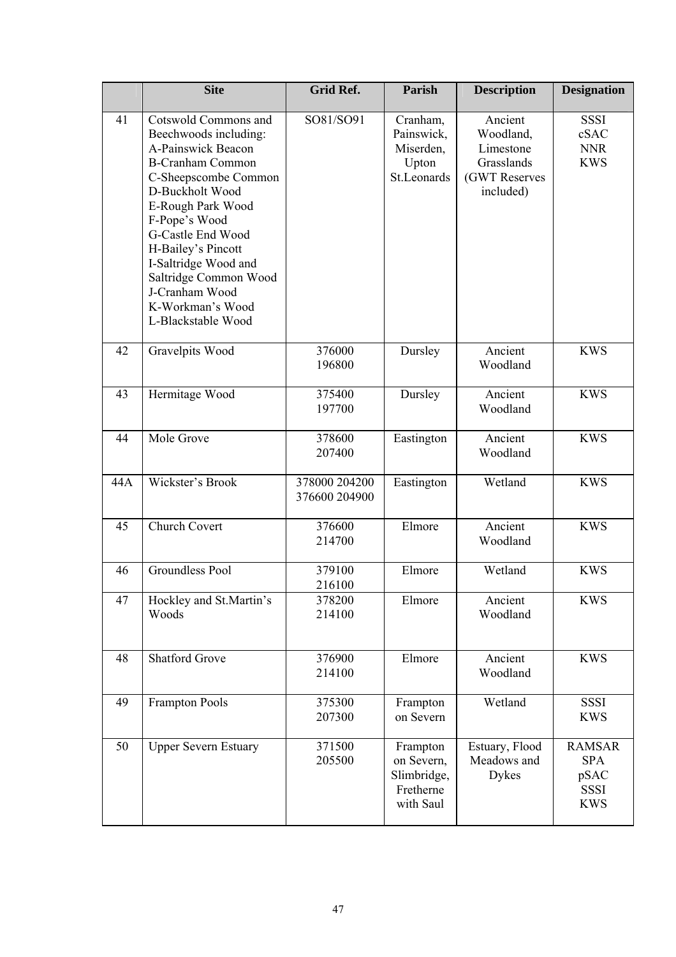|     | <b>Site</b>                                                                                                                                                                                                                                                                                                                             | Grid Ref.                      | Parish                                                          | <b>Description</b>                                                            | <b>Designation</b>                                               |
|-----|-----------------------------------------------------------------------------------------------------------------------------------------------------------------------------------------------------------------------------------------------------------------------------------------------------------------------------------------|--------------------------------|-----------------------------------------------------------------|-------------------------------------------------------------------------------|------------------------------------------------------------------|
| 41  | Cotswold Commons and<br>Beechwoods including:<br>A-Painswick Beacon<br><b>B-Cranham Common</b><br>C-Sheepscombe Common<br>D-Buckholt Wood<br>E-Rough Park Wood<br>F-Pope's Wood<br>G-Castle End Wood<br>H-Bailey's Pincott<br>I-Saltridge Wood and<br>Saltridge Common Wood<br>J-Cranham Wood<br>K-Workman's Wood<br>L-Blackstable Wood | SO81/SO91                      | Cranham,<br>Painswick,<br>Miserden,<br>Upton<br>St.Leonards     | Ancient<br>Woodland,<br>Limestone<br>Grasslands<br>(GWT Reserves<br>included) | <b>SSSI</b><br>cSAC<br><b>NNR</b><br><b>KWS</b>                  |
| 42  | Gravelpits Wood                                                                                                                                                                                                                                                                                                                         | 376000<br>196800               | Dursley                                                         | Ancient<br>Woodland                                                           | <b>KWS</b>                                                       |
| 43  | Hermitage Wood                                                                                                                                                                                                                                                                                                                          | 375400<br>197700               | Dursley                                                         | Ancient<br>Woodland                                                           | <b>KWS</b>                                                       |
| 44  | Mole Grove                                                                                                                                                                                                                                                                                                                              | 378600<br>207400               | Eastington                                                      | Ancient<br>Woodland                                                           | <b>KWS</b>                                                       |
| 44A | Wickster's Brook                                                                                                                                                                                                                                                                                                                        | 378000 204200<br>376600 204900 | Eastington                                                      | Wetland                                                                       | <b>KWS</b>                                                       |
| 45  | <b>Church Covert</b>                                                                                                                                                                                                                                                                                                                    | 376600<br>214700               | Elmore                                                          | Ancient<br>Woodland                                                           | <b>KWS</b>                                                       |
| 46  | Groundless Pool                                                                                                                                                                                                                                                                                                                         | 379100<br>216100               | Elmore                                                          | Wetland                                                                       | <b>KWS</b>                                                       |
| 47  | Hockley and St.Martin's<br>Woods                                                                                                                                                                                                                                                                                                        | 378200<br>214100               | Elmore                                                          | Ancient<br>Woodland                                                           | <b>KWS</b>                                                       |
| 48  | <b>Shatford Grove</b>                                                                                                                                                                                                                                                                                                                   | 376900<br>214100               | Elmore                                                          | Ancient<br>Woodland                                                           | <b>KWS</b>                                                       |
| 49  | <b>Frampton Pools</b>                                                                                                                                                                                                                                                                                                                   | 375300<br>207300               | Frampton<br>on Severn                                           | Wetland                                                                       | <b>SSSI</b><br><b>KWS</b>                                        |
| 50  | <b>Upper Severn Estuary</b>                                                                                                                                                                                                                                                                                                             | 371500<br>205500               | Frampton<br>on Severn,<br>Slimbridge,<br>Fretherne<br>with Saul | Estuary, Flood<br>Meadows and<br>Dykes                                        | <b>RAMSAR</b><br><b>SPA</b><br>pSAC<br><b>SSSI</b><br><b>KWS</b> |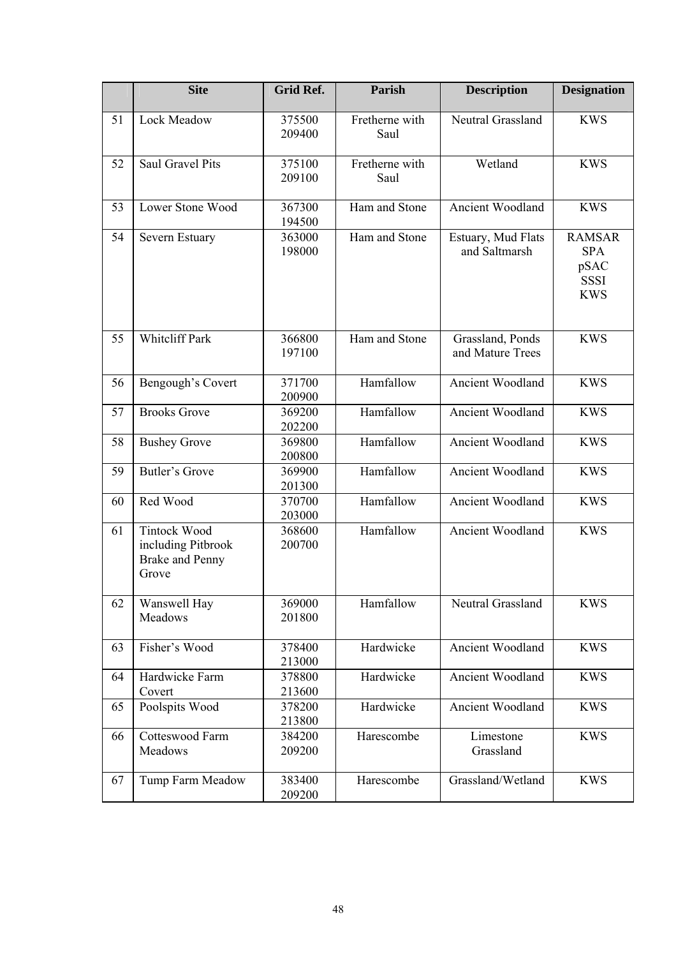|    | <b>Site</b>                                                                  | Grid Ref.        | Parish                 | <b>Description</b>                   | <b>Designation</b>                                               |
|----|------------------------------------------------------------------------------|------------------|------------------------|--------------------------------------|------------------------------------------------------------------|
| 51 | Lock Meadow                                                                  | 375500<br>209400 | Fretherne with<br>Saul | Neutral Grassland                    | <b>KWS</b>                                                       |
| 52 | <b>Saul Gravel Pits</b>                                                      | 375100<br>209100 | Fretherne with<br>Saul | Wetland                              | <b>KWS</b>                                                       |
| 53 | Lower Stone Wood                                                             | 367300<br>194500 | Ham and Stone          | Ancient Woodland                     | <b>KWS</b>                                                       |
| 54 | Severn Estuary                                                               | 363000<br>198000 | Ham and Stone          | Estuary, Mud Flats<br>and Saltmarsh  | <b>RAMSAR</b><br><b>SPA</b><br>pSAC<br><b>SSSI</b><br><b>KWS</b> |
| 55 | Whiteliff Park                                                               | 366800<br>197100 | Ham and Stone          | Grassland, Ponds<br>and Mature Trees | <b>KWS</b>                                                       |
| 56 | Bengough's Covert                                                            | 371700<br>200900 | Hamfallow              | <b>Ancient Woodland</b>              | <b>KWS</b>                                                       |
| 57 | <b>Brooks Grove</b>                                                          | 369200<br>202200 | Hamfallow              | Ancient Woodland                     | <b>KWS</b>                                                       |
| 58 | <b>Bushey Grove</b>                                                          | 369800<br>200800 | Hamfallow              | Ancient Woodland                     | <b>KWS</b>                                                       |
| 59 | Butler's Grove                                                               | 369900<br>201300 | Hamfallow              | Ancient Woodland                     | <b>KWS</b>                                                       |
| 60 | Red Wood                                                                     | 370700<br>203000 | Hamfallow              | Ancient Woodland                     | <b>KWS</b>                                                       |
| 61 | <b>Tintock Wood</b><br>including Pitbrook<br><b>Brake and Penny</b><br>Grove | 368600<br>200700 | Hamfallow              | Ancient Woodland                     | <b>KWS</b>                                                       |
| 62 | Wanswell Hay<br>Meadows                                                      | 369000<br>201800 | Hamfallow              | Neutral Grassland                    | <b>KWS</b>                                                       |
| 63 | Fisher's Wood                                                                | 378400<br>213000 | Hardwicke              | Ancient Woodland                     | <b>KWS</b>                                                       |
| 64 | Hardwicke Farm<br>Covert                                                     | 378800<br>213600 | Hardwicke              | Ancient Woodland                     | <b>KWS</b>                                                       |
| 65 | Poolspits Wood                                                               | 378200<br>213800 | Hardwicke              | Ancient Woodland                     | <b>KWS</b>                                                       |
| 66 | Cotteswood Farm<br>Meadows                                                   | 384200<br>209200 | Harescombe             | Limestone<br>Grassland               | <b>KWS</b>                                                       |
| 67 | Tump Farm Meadow                                                             | 383400<br>209200 | Harescombe             | Grassland/Wetland                    | <b>KWS</b>                                                       |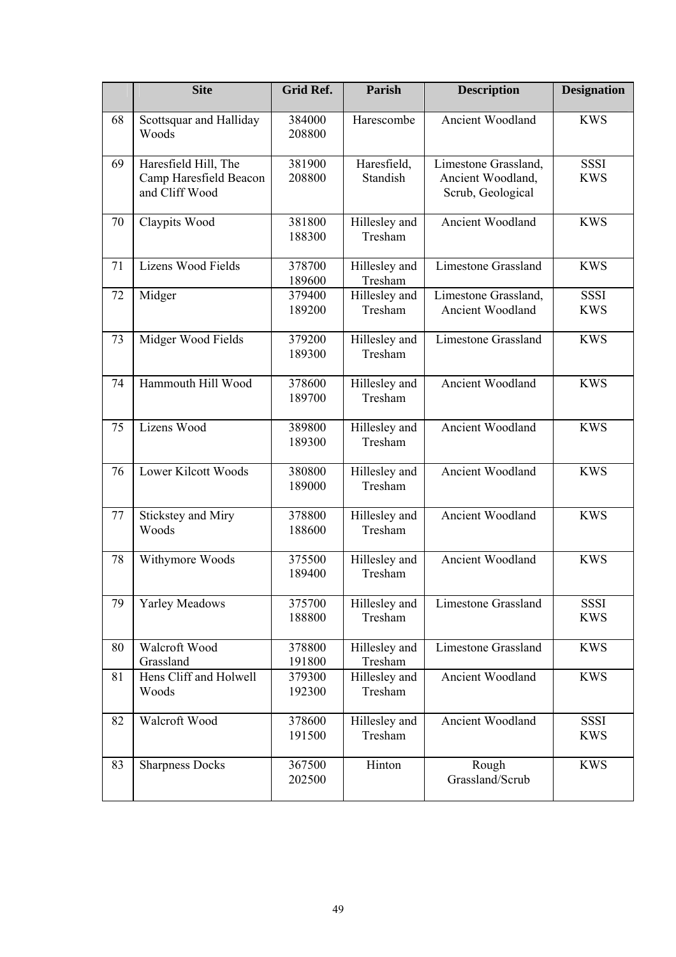|    | <b>Site</b>                              | <b>Grid Ref.</b> | Parish                   | <b>Description</b>                     | <b>Designation</b>        |
|----|------------------------------------------|------------------|--------------------------|----------------------------------------|---------------------------|
| 68 | Scottsquar and Halliday<br>Woods         | 384000<br>208800 | Harescombe               | Ancient Woodland                       | <b>KWS</b>                |
| 69 | Haresfield Hill, The                     | 381900           | Haresfield,              | Limestone Grassland,                   | <b>SSSI</b>               |
|    | Camp Haresfield Beacon<br>and Cliff Wood | 208800           | Standish                 | Ancient Woodland,<br>Scrub, Geological | <b>KWS</b>                |
| 70 | Claypits Wood                            | 381800<br>188300 | Hillesley and<br>Tresham | Ancient Woodland                       | <b>KWS</b>                |
| 71 | Lizens Wood Fields                       | 378700<br>189600 | Hillesley and<br>Tresham | <b>Limestone Grassland</b>             | <b>KWS</b>                |
| 72 | Midger                                   | 379400           | Hillesley and            | Limestone Grassland,                   | <b>SSSI</b>               |
|    |                                          | 189200           | Tresham                  | Ancient Woodland                       | <b>KWS</b>                |
| 73 | Midger Wood Fields                       | 379200<br>189300 | Hillesley and<br>Tresham | <b>Limestone Grassland</b>             | <b>KWS</b>                |
| 74 | Hammouth Hill Wood                       | 378600<br>189700 | Hillesley and<br>Tresham | Ancient Woodland                       | <b>KWS</b>                |
| 75 | Lizens Wood                              | 389800<br>189300 | Hillesley and<br>Tresham | Ancient Woodland                       | <b>KWS</b>                |
| 76 | <b>Lower Kilcott Woods</b>               | 380800<br>189000 | Hillesley and<br>Tresham | Ancient Woodland                       | <b>KWS</b>                |
| 77 | Stickstey and Miry<br>Woods              | 378800<br>188600 | Hillesley and<br>Tresham | Ancient Woodland                       | <b>KWS</b>                |
| 78 | Withymore Woods                          | 375500<br>189400 | Hillesley and<br>Tresham | Ancient Woodland                       | <b>KWS</b>                |
| 79 | <b>Yarley Meadows</b>                    | 375700<br>188800 | Hillesley and<br>Tresham | <b>Limestone Grassland</b>             | <b>SSSI</b><br><b>KWS</b> |
| 80 | Walcroft Wood                            | 378800           | Hillesley and            | <b>Limestone Grassland</b>             | <b>KWS</b>                |
|    | Grassland                                | 191800           | Tresham                  |                                        |                           |
| 81 | Hens Cliff and Holwell<br>Woods          | 379300<br>192300 | Hillesley and<br>Tresham | Ancient Woodland                       | <b>KWS</b>                |
| 82 | Walcroft Wood                            | 378600<br>191500 | Hillesley and<br>Tresham | Ancient Woodland                       | <b>SSSI</b><br><b>KWS</b> |
| 83 | <b>Sharpness Docks</b>                   | 367500<br>202500 | Hinton                   | Rough<br>Grassland/Scrub               | <b>KWS</b>                |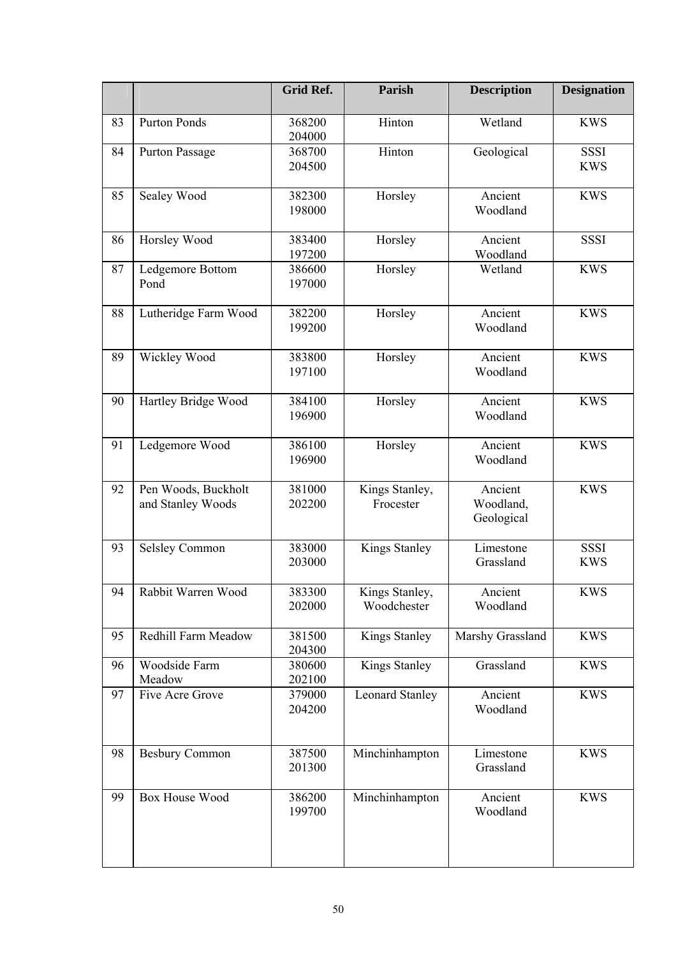|    |                                          | <b>Grid Ref.</b> | <b>Parish</b>                 | <b>Description</b>                 | <b>Designation</b>        |
|----|------------------------------------------|------------------|-------------------------------|------------------------------------|---------------------------|
| 83 | <b>Purton Ponds</b>                      | 368200<br>204000 | Hinton                        | Wetland                            | <b>KWS</b>                |
| 84 | Purton Passage                           | 368700<br>204500 | Hinton                        | Geological                         | <b>SSSI</b><br><b>KWS</b> |
| 85 | Sealey Wood                              | 382300<br>198000 | Horsley                       | Ancient<br>Woodland                | <b>KWS</b>                |
| 86 | Horsley Wood                             | 383400<br>197200 | Horsley                       | Ancient<br>Woodland                | <b>SSSI</b>               |
| 87 | Ledgemore Bottom<br>Pond                 | 386600<br>197000 | Horsley                       | Wetland                            | <b>KWS</b>                |
| 88 | Lutheridge Farm Wood                     | 382200<br>199200 | Horsley                       | Ancient<br>Woodland                | <b>KWS</b>                |
| 89 | Wickley Wood                             | 383800<br>197100 | Horsley                       | Ancient<br>Woodland                | <b>KWS</b>                |
| 90 | Hartley Bridge Wood                      | 384100<br>196900 | Horsley                       | Ancient<br>Woodland                | <b>KWS</b>                |
| 91 | Ledgemore Wood                           | 386100<br>196900 | Horsley                       | Ancient<br>Woodland                | <b>KWS</b>                |
| 92 | Pen Woods, Buckholt<br>and Stanley Woods | 381000<br>202200 | Kings Stanley,<br>Frocester   | Ancient<br>Woodland,<br>Geological | <b>KWS</b>                |
| 93 | <b>Selsley Common</b>                    | 383000<br>203000 | <b>Kings Stanley</b>          | Limestone<br>Grassland             | <b>SSSI</b><br><b>KWS</b> |
| 94 | Rabbit Warren Wood                       | 383300<br>202000 | Kings Stanley,<br>Woodchester | Ancient<br>Woodland                | <b>KWS</b>                |
| 95 | Redhill Farm Meadow                      | 381500<br>204300 | <b>Kings Stanley</b>          | Marshy Grassland                   | <b>KWS</b>                |
| 96 | Woodside Farm<br>Meadow                  | 380600<br>202100 | Kings Stanley                 | Grassland                          | <b>KWS</b>                |
| 97 | Five Acre Grove                          | 379000<br>204200 | <b>Leonard Stanley</b>        | Ancient<br>Woodland                | <b>KWS</b>                |
| 98 | <b>Besbury Common</b>                    | 387500<br>201300 | Minchinhampton                | Limestone<br>Grassland             | <b>KWS</b>                |
| 99 | <b>Box House Wood</b>                    | 386200<br>199700 | Minchinhampton                | Ancient<br>Woodland                | <b>KWS</b>                |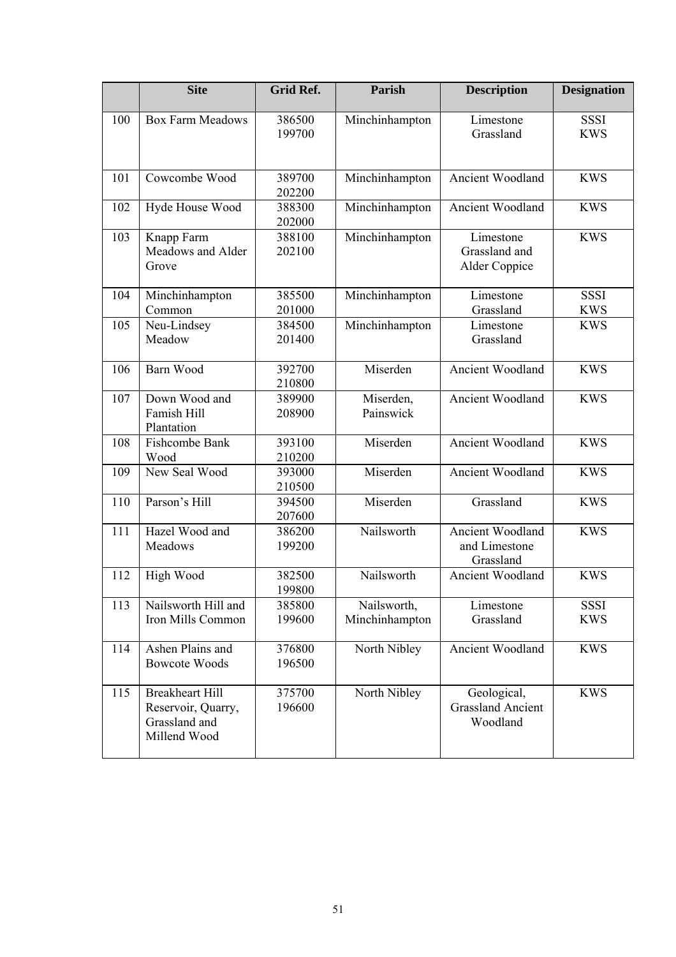|     | <b>Site</b>                                                                   | Grid Ref.        | Parish                        | <b>Description</b>                                  | <b>Designation</b>        |
|-----|-------------------------------------------------------------------------------|------------------|-------------------------------|-----------------------------------------------------|---------------------------|
| 100 | <b>Box Farm Meadows</b>                                                       | 386500<br>199700 | Minchinhampton                | Limestone<br>Grassland                              | <b>SSSI</b><br><b>KWS</b> |
| 101 | Cowcombe Wood                                                                 | 389700<br>202200 | Minchinhampton                | Ancient Woodland                                    | <b>KWS</b>                |
| 102 | Hyde House Wood                                                               | 388300<br>202000 | Minchinhampton                | Ancient Woodland                                    | <b>KWS</b>                |
| 103 | Knapp Farm<br>Meadows and Alder<br>Grove                                      | 388100<br>202100 | Minchinhampton                | Limestone<br>Grassland and<br>Alder Coppice         | <b>KWS</b>                |
| 104 | Minchinhampton<br>Common                                                      | 385500<br>201000 | Minchinhampton                | Limestone<br>Grassland                              | <b>SSSI</b><br><b>KWS</b> |
| 105 | Neu-Lindsey<br>Meadow                                                         | 384500<br>201400 | Minchinhampton                | Limestone<br>Grassland                              | <b>KWS</b>                |
| 106 | Barn Wood                                                                     | 392700<br>210800 | Miserden                      | Ancient Woodland                                    | <b>KWS</b>                |
| 107 | Down Wood and<br>Famish Hill<br>Plantation                                    | 389900<br>208900 | Miserden,<br>Painswick        | Ancient Woodland                                    | <b>KWS</b>                |
| 108 | Fishcombe Bank<br>Wood                                                        | 393100<br>210200 | Miserden                      | Ancient Woodland                                    | <b>KWS</b>                |
| 109 | New Seal Wood                                                                 | 393000<br>210500 | Miserden                      | Ancient Woodland                                    | <b>KWS</b>                |
| 110 | Parson's Hill                                                                 | 394500<br>207600 | Miserden                      | Grassland                                           | <b>KWS</b>                |
| 111 | Hazel Wood and<br>Meadows                                                     | 386200<br>199200 | Nailsworth                    | Ancient Woodland<br>and Limestone<br>Grassland      | <b>KWS</b>                |
| 112 | High Wood                                                                     | 382500<br>199800 | Nailsworth                    | Ancient Woodland                                    | <b>KWS</b>                |
| 113 | Nailsworth Hill and<br>Iron Mills Common                                      | 385800<br>199600 | Nailsworth,<br>Minchinhampton | Limestone<br>Grassland                              | <b>SSSI</b><br><b>KWS</b> |
| 114 | Ashen Plains and<br><b>Bowcote Woods</b>                                      | 376800<br>196500 | North Nibley                  | Ancient Woodland                                    | <b>KWS</b>                |
| 115 | <b>Breakheart Hill</b><br>Reservoir, Quarry,<br>Grassland and<br>Millend Wood | 375700<br>196600 | North Nibley                  | Geological,<br><b>Grassland Ancient</b><br>Woodland | <b>KWS</b>                |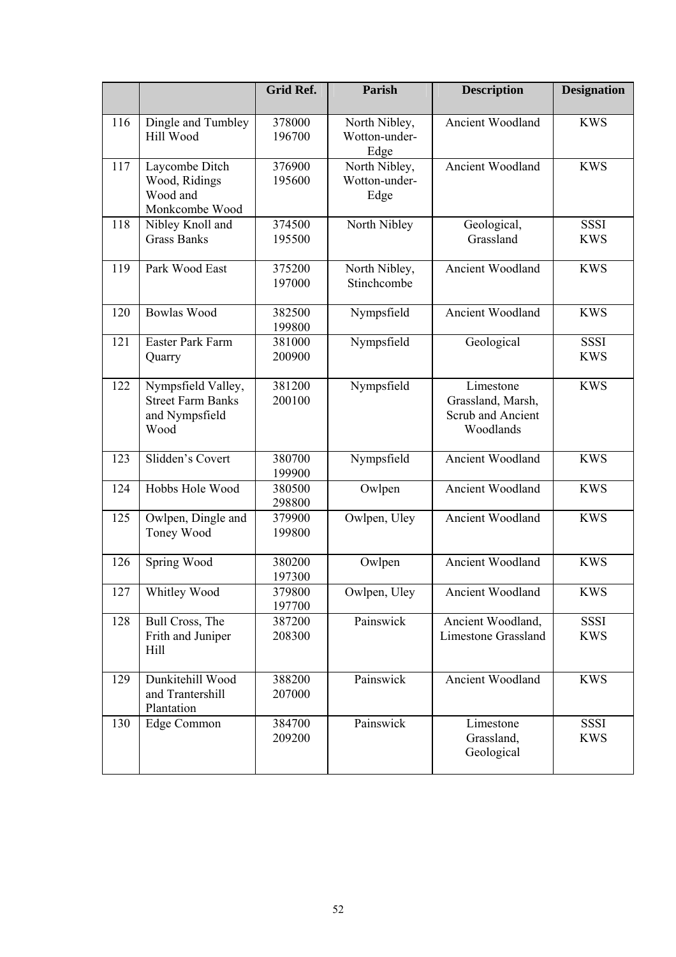|     |                                                                          | <b>Grid Ref.</b> | Parish                                 | <b>Description</b>                                                      | <b>Designation</b>        |
|-----|--------------------------------------------------------------------------|------------------|----------------------------------------|-------------------------------------------------------------------------|---------------------------|
| 116 | Dingle and Tumbley<br>Hill Wood                                          | 378000<br>196700 | North Nibley,<br>Wotton-under-<br>Edge | Ancient Woodland                                                        | <b>KWS</b>                |
| 117 | Laycombe Ditch<br>Wood, Ridings<br>Wood and<br>Monkcombe Wood            | 376900<br>195600 | North Nibley,<br>Wotton-under-<br>Edge | Ancient Woodland                                                        | <b>KWS</b>                |
| 118 | Nibley Knoll and<br><b>Grass Banks</b>                                   | 374500<br>195500 | North Nibley                           | Geological,<br>Grassland                                                | <b>SSSI</b><br><b>KWS</b> |
| 119 | Park Wood East                                                           | 375200<br>197000 | North Nibley,<br>Stinchcombe           | Ancient Woodland                                                        | <b>KWS</b>                |
| 120 | <b>Bowlas Wood</b>                                                       | 382500<br>199800 | Nympsfield                             | Ancient Woodland                                                        | <b>KWS</b>                |
| 121 | Easter Park Farm<br>Quarry                                               | 381000<br>200900 | Nympsfield                             | Geological                                                              | <b>SSSI</b><br><b>KWS</b> |
| 122 | Nympsfield Valley,<br><b>Street Farm Banks</b><br>and Nympsfield<br>Wood | 381200<br>200100 | Nympsfield                             | Limestone<br>Grassland, Marsh,<br><b>Scrub and Ancient</b><br>Woodlands | <b>KWS</b>                |
| 123 | Slidden's Covert                                                         | 380700<br>199900 | Nympsfield                             | Ancient Woodland                                                        | <b>KWS</b>                |
| 124 | Hobbs Hole Wood                                                          | 380500<br>298800 | Owlpen                                 | Ancient Woodland                                                        | <b>KWS</b>                |
| 125 | Owlpen, Dingle and<br>Toney Wood                                         | 379900<br>199800 | Owlpen, Uley                           | Ancient Woodland                                                        | <b>KWS</b>                |
| 126 | Spring Wood                                                              | 380200<br>197300 | Owlpen                                 | Ancient Woodland                                                        | <b>KWS</b>                |
| 127 | Whitley Wood                                                             | 379800<br>197700 | Owlpen, Uley                           | <b>Ancient Woodland</b>                                                 | <b>KWS</b>                |
| 128 | Bull Cross, The<br>Frith and Juniper<br>Hill                             | 387200<br>208300 | Painswick                              | Ancient Woodland,<br>Limestone Grassland                                | <b>SSSI</b><br><b>KWS</b> |
| 129 | Dunkitehill Wood<br>and Trantershill<br>Plantation                       | 388200<br>207000 | Painswick                              | Ancient Woodland                                                        | <b>KWS</b>                |
| 130 | Edge Common                                                              | 384700<br>209200 | Painswick                              | Limestone<br>Grassland,<br>Geological                                   | <b>SSSI</b><br><b>KWS</b> |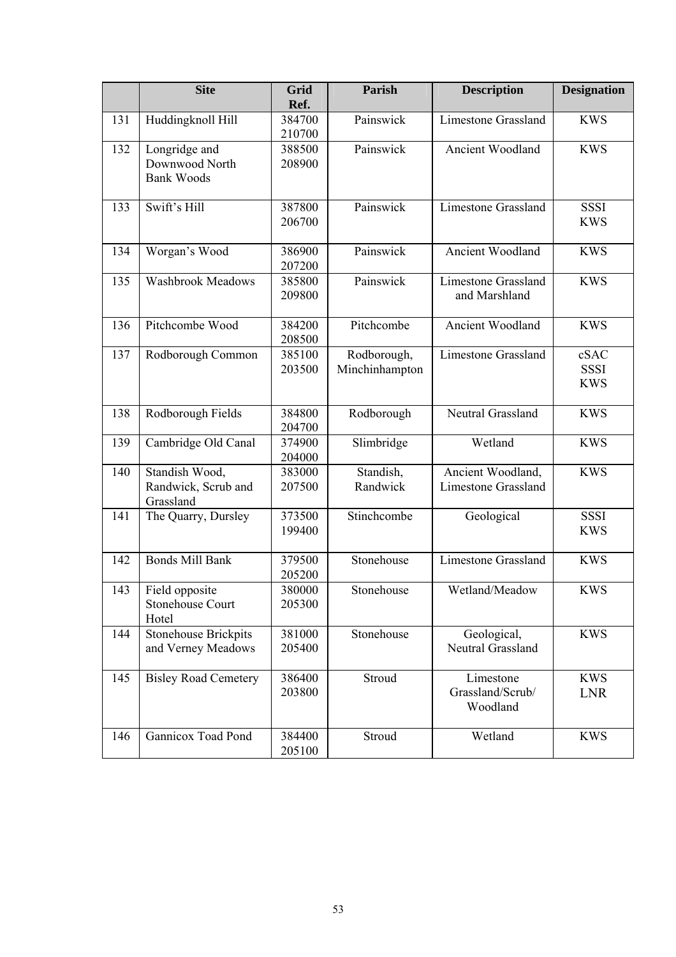|     | <b>Site</b>                                          | Grid<br>Ref.     | Parish                        | <b>Description</b>                              | <b>Designation</b>                |
|-----|------------------------------------------------------|------------------|-------------------------------|-------------------------------------------------|-----------------------------------|
| 131 | Huddingknoll Hill                                    | 384700<br>210700 | Painswick                     | <b>Limestone Grassland</b>                      | <b>KWS</b>                        |
| 132 | Longridge and<br>Downwood North<br><b>Bank Woods</b> | 388500<br>208900 | Painswick                     | Ancient Woodland                                | <b>KWS</b>                        |
| 133 | Swift's Hill                                         | 387800<br>206700 | Painswick                     | <b>Limestone Grassland</b>                      | <b>SSSI</b><br><b>KWS</b>         |
| 134 | Worgan's Wood                                        | 386900<br>207200 | Painswick                     | Ancient Woodland                                | <b>KWS</b>                        |
| 135 | <b>Washbrook Meadows</b>                             | 385800<br>209800 | Painswick                     | <b>Limestone Grassland</b><br>and Marshland     | <b>KWS</b>                        |
| 136 | Pitchcombe Wood                                      | 384200<br>208500 | Pitchcombe                    | Ancient Woodland                                | <b>KWS</b>                        |
| 137 | Rodborough Common                                    | 385100<br>203500 | Rodborough,<br>Minchinhampton | <b>Limestone Grassland</b>                      | cSAC<br><b>SSSI</b><br><b>KWS</b> |
| 138 | Rodborough Fields                                    | 384800<br>204700 | Rodborough                    | Neutral Grassland                               | <b>KWS</b>                        |
| 139 | Cambridge Old Canal                                  | 374900<br>204000 | Slimbridge                    | Wetland                                         | <b>KWS</b>                        |
| 140 | Standish Wood,<br>Randwick, Scrub and<br>Grassland   | 383000<br>207500 | Standish,<br>Randwick         | Ancient Woodland,<br><b>Limestone Grassland</b> | <b>KWS</b>                        |
| 141 | The Quarry, Dursley                                  | 373500<br>199400 | Stinchcombe                   | Geological                                      | <b>SSSI</b><br><b>KWS</b>         |
| 142 | <b>Bonds Mill Bank</b>                               | 379500<br>205200 | Stonehouse                    | <b>Limestone Grassland</b>                      | <b>KWS</b>                        |
| 143 | Field opposite<br><b>Stonehouse Court</b><br>Hotel   | 380000<br>205300 | Stonehouse                    | Wetland/Meadow                                  | <b>KWS</b>                        |
| 144 | <b>Stonehouse Brickpits</b><br>and Verney Meadows    | 381000<br>205400 | Stonehouse                    | Geological,<br>Neutral Grassland                | <b>KWS</b>                        |
| 145 | <b>Bisley Road Cemetery</b>                          | 386400<br>203800 | Stroud                        | Limestone<br>Grassland/Scrub/<br>Woodland       | <b>KWS</b><br><b>LNR</b>          |
| 146 | <b>Gannicox Toad Pond</b>                            | 384400<br>205100 | Stroud                        | Wetland                                         | <b>KWS</b>                        |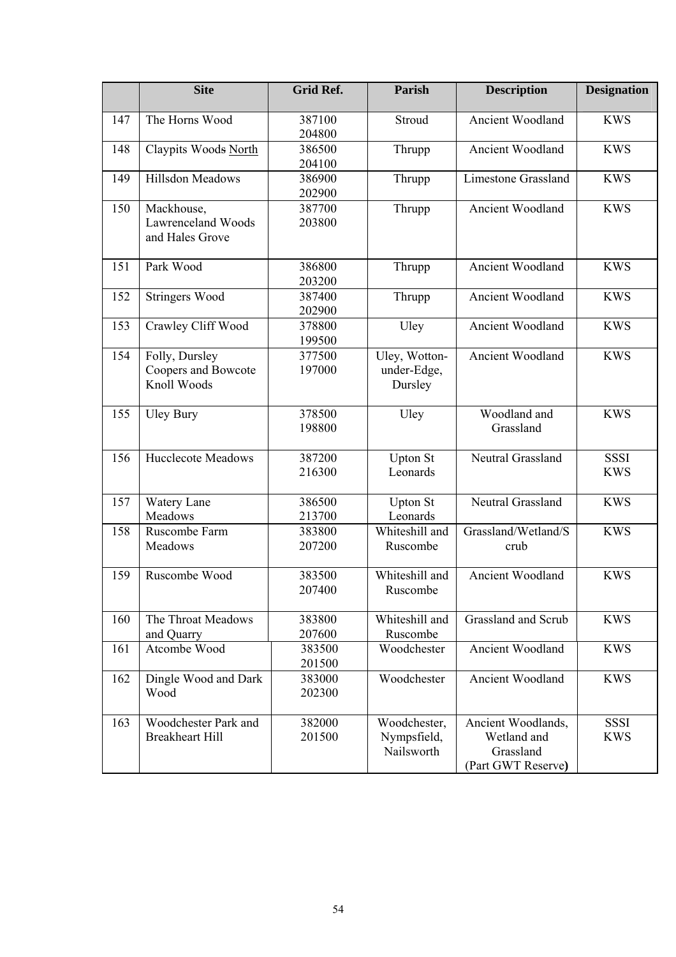|     | <b>Site</b>                                                | <b>Grid Ref.</b> | Parish                                    | <b>Description</b>                                                   | <b>Designation</b>        |
|-----|------------------------------------------------------------|------------------|-------------------------------------------|----------------------------------------------------------------------|---------------------------|
| 147 | The Horns Wood                                             | 387100<br>204800 | Stroud                                    | Ancient Woodland                                                     | <b>KWS</b>                |
| 148 | Claypits Woods North                                       | 386500<br>204100 | Thrupp                                    | Ancient Woodland                                                     | <b>KWS</b>                |
| 149 | Hillsdon Meadows                                           | 386900<br>202900 | Thrupp                                    | <b>Limestone Grassland</b>                                           | <b>KWS</b>                |
| 150 | Mackhouse,<br><b>Lawrenceland Woods</b><br>and Hales Grove | 387700<br>203800 | Thrupp                                    | Ancient Woodland                                                     | <b>KWS</b>                |
| 151 | Park Wood                                                  | 386800<br>203200 | Thrupp                                    | Ancient Woodland                                                     | <b>KWS</b>                |
| 152 | <b>Stringers Wood</b>                                      | 387400<br>202900 | Thrupp                                    | Ancient Woodland                                                     | <b>KWS</b>                |
| 153 | Crawley Cliff Wood                                         | 378800<br>199500 | Uley                                      | <b>Ancient Woodland</b>                                              | <b>KWS</b>                |
| 154 | Folly, Dursley<br>Coopers and Bowcote<br>Knoll Woods       | 377500<br>197000 | Uley, Wotton-<br>under-Edge,<br>Dursley   | <b>Ancient Woodland</b>                                              | <b>KWS</b>                |
| 155 | <b>Uley Bury</b>                                           | 378500<br>198800 | Uley                                      | Woodland and<br>Grassland                                            | <b>KWS</b>                |
| 156 | <b>Hucclecote Meadows</b>                                  | 387200<br>216300 | <b>Upton St</b><br>Leonards               | Neutral Grassland                                                    | <b>SSSI</b><br><b>KWS</b> |
| 157 | Watery Lane<br>Meadows                                     | 386500<br>213700 | <b>Upton St</b><br>Leonards               | Neutral Grassland                                                    | <b>KWS</b>                |
| 158 | Ruscombe Farm<br>Meadows                                   | 383800<br>207200 | Whiteshill and<br>Ruscombe                | Grassland/Wetland/S<br>crub                                          | <b>KWS</b>                |
| 159 | Ruscombe Wood                                              | 383500<br>207400 | Whiteshill and<br>Ruscombe                | Ancient Woodland                                                     | <b>KWS</b>                |
| 160 | The Throat Meadows<br>and Quarry                           | 383800<br>207600 | Whiteshill and<br>Ruscombe                | Grassland and Scrub                                                  | <b>KWS</b>                |
| 161 | Atcombe Wood                                               | 383500<br>201500 | Woodchester                               | Ancient Woodland                                                     | <b>KWS</b>                |
| 162 | Dingle Wood and Dark<br>Wood                               | 383000<br>202300 | Woodchester                               | Ancient Woodland                                                     | <b>KWS</b>                |
| 163 | Woodchester Park and<br><b>Breakheart Hill</b>             | 382000<br>201500 | Woodchester,<br>Nympsfield,<br>Nailsworth | Ancient Woodlands,<br>Wetland and<br>Grassland<br>(Part GWT Reserve) | <b>SSSI</b><br><b>KWS</b> |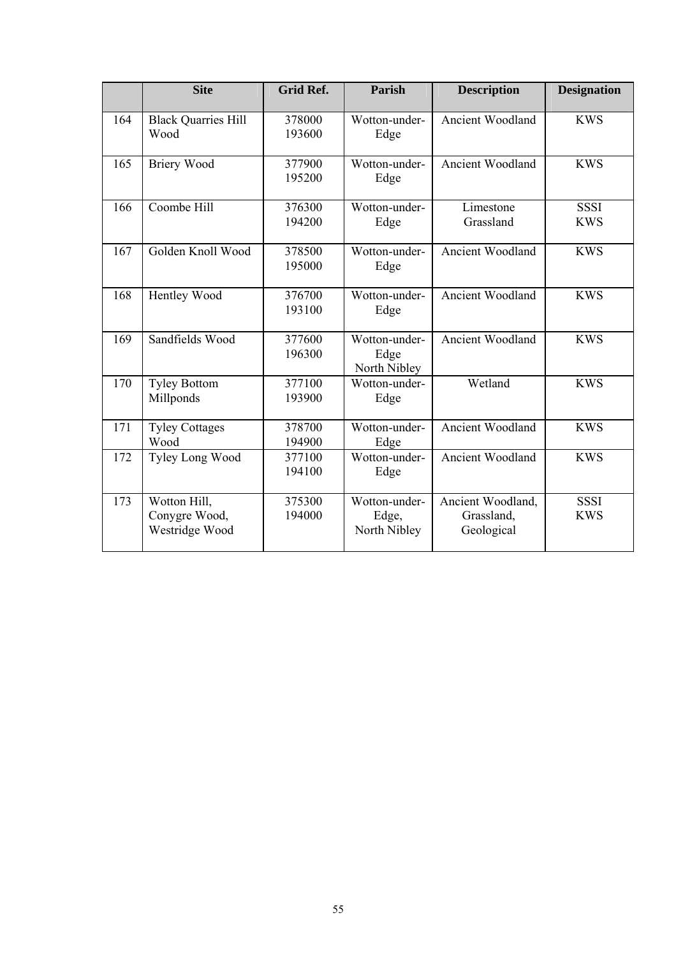|     | <b>Site</b>                                     | <b>Grid Ref.</b> | Parish                                 | <b>Description</b>                            | <b>Designation</b>        |
|-----|-------------------------------------------------|------------------|----------------------------------------|-----------------------------------------------|---------------------------|
| 164 | <b>Black Quarries Hill</b><br>Wood              | 378000<br>193600 | Wotton-under-<br>Edge                  | <b>Ancient Woodland</b>                       | <b>KWS</b>                |
| 165 | <b>Briery Wood</b>                              | 377900<br>195200 | Wotton-under-<br>Edge                  | Ancient Woodland                              | <b>KWS</b>                |
| 166 | Coombe Hill                                     | 376300<br>194200 | Wotton-under-<br>Edge                  | Limestone<br>Grassland                        | <b>SSSI</b><br><b>KWS</b> |
| 167 | Golden Knoll Wood                               | 378500<br>195000 | Wotton-under-<br>Edge                  | Ancient Woodland                              | <b>KWS</b>                |
| 168 | Hentley Wood                                    | 376700<br>193100 | Wotton-under-<br>Edge                  | <b>Ancient Woodland</b>                       | <b>KWS</b>                |
| 169 | Sandfields Wood                                 | 377600<br>196300 | Wotton-under-<br>Edge<br>North Nibley  | Ancient Woodland                              | <b>KWS</b>                |
| 170 | <b>Tyley Bottom</b><br>Millponds                | 377100<br>193900 | Wotton-under-<br>Edge                  | Wetland                                       | <b>KWS</b>                |
| 171 | <b>Tyley Cottages</b><br>Wood                   | 378700<br>194900 | Wotton-under-<br>Edge                  | <b>Ancient Woodland</b>                       | <b>KWS</b>                |
| 172 | Tyley Long Wood                                 | 377100<br>194100 | Wotton-under-<br>Edge                  | <b>Ancient Woodland</b>                       | <b>KWS</b>                |
| 173 | Wotton Hill,<br>Conygre Wood,<br>Westridge Wood | 375300<br>194000 | Wotton-under-<br>Edge,<br>North Nibley | Ancient Woodland,<br>Grassland,<br>Geological | <b>SSSI</b><br><b>KWS</b> |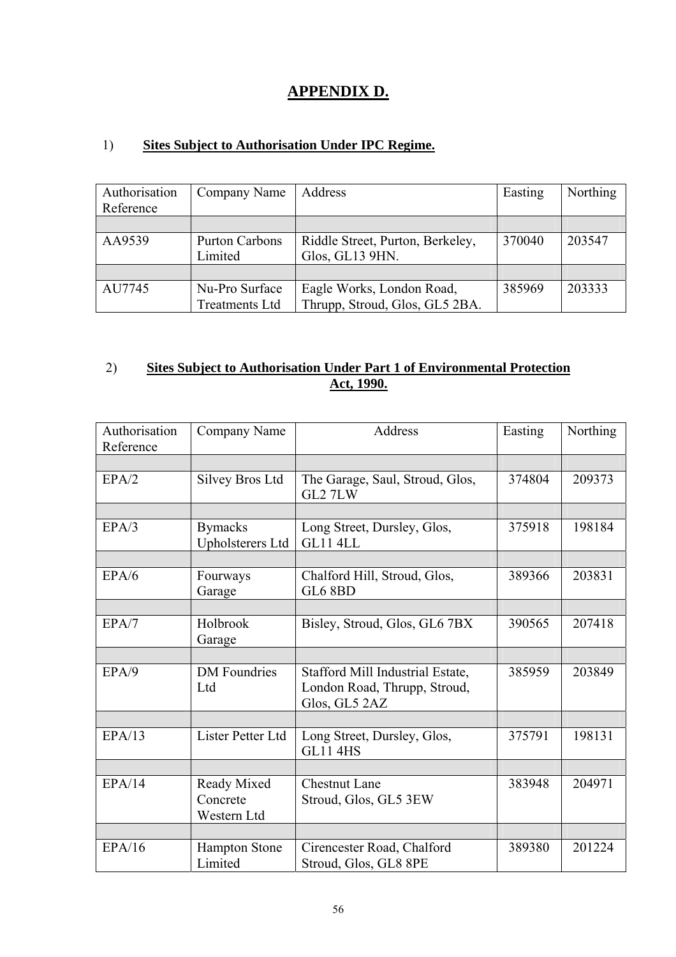### **APPENDIX D.**

#### 1) **Sites Subject to Authorisation Under IPC Regime.**

| Authorisation<br>Reference | Company Name                            | Address                                                     | Easting | <b>Northing</b> |
|----------------------------|-----------------------------------------|-------------------------------------------------------------|---------|-----------------|
|                            |                                         |                                                             |         |                 |
| AA9539                     | <b>Purton Carbons</b><br>Limited        | Riddle Street, Purton, Berkeley,<br>Glos, GL13 9HN.         | 370040  | 203547          |
|                            |                                         |                                                             |         |                 |
| AU7745                     | Nu-Pro Surface<br><b>Treatments Ltd</b> | Eagle Works, London Road,<br>Thrupp, Stroud, Glos, GL5 2BA. | 385969  | 203333          |

#### 2) **Sites Subject to Authorisation Under Part 1 of Environmental Protection Act, 1990.**

| Authorisation<br>Reference | Company Name                              | Address                                                                           | Easting | Northing |
|----------------------------|-------------------------------------------|-----------------------------------------------------------------------------------|---------|----------|
|                            |                                           |                                                                                   |         |          |
| EPA/2                      | <b>Silvey Bros Ltd</b>                    | The Garage, Saul, Stroud, Glos,<br>GL2 7LW                                        | 374804  | 209373   |
|                            |                                           |                                                                                   |         |          |
| EPA/3                      | <b>Bymacks</b><br><b>Upholsterers Ltd</b> | Long Street, Dursley, Glos,<br>GL11 4LL                                           | 375918  | 198184   |
|                            |                                           |                                                                                   |         |          |
| EPA/6                      | Fourways<br>Garage                        | Chalford Hill, Stroud, Glos,<br>GL6 8BD                                           | 389366  | 203831   |
|                            |                                           |                                                                                   |         |          |
| EPA/7                      | Holbrook<br>Garage                        | Bisley, Stroud, Glos, GL6 7BX                                                     | 390565  | 207418   |
|                            |                                           |                                                                                   |         |          |
| EPA/9                      | <b>DM</b> Foundries<br>Ltd                | Stafford Mill Industrial Estate,<br>London Road, Thrupp, Stroud,<br>Glos, GL5 2AZ | 385959  | 203849   |
|                            |                                           |                                                                                   |         |          |
| EPA/13                     | Lister Petter Ltd                         | Long Street, Dursley, Glos,<br><b>GL11 4HS</b>                                    | 375791  | 198131   |
|                            |                                           |                                                                                   |         |          |
| EPA/14                     | Ready Mixed<br>Concrete<br>Western Ltd    | <b>Chestnut Lane</b><br>Stroud, Glos, GL5 3EW                                     | 383948  | 204971   |
|                            |                                           |                                                                                   |         |          |
| EPA/16                     | <b>Hampton Stone</b><br>Limited           | Cirencester Road, Chalford<br>Stroud, Glos, GL8 8PE                               | 389380  | 201224   |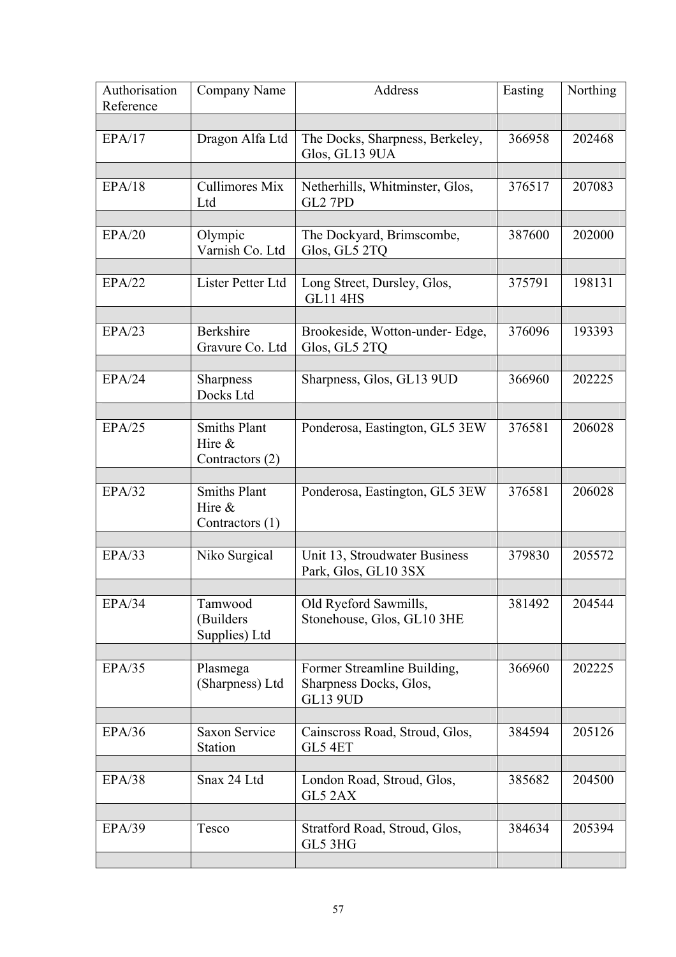| Authorisation<br>Reference | Company Name                                        | Address                                                                  | Easting | Northing |
|----------------------------|-----------------------------------------------------|--------------------------------------------------------------------------|---------|----------|
|                            |                                                     |                                                                          |         |          |
| EPA/17                     | Dragon Alfa Ltd                                     | The Docks, Sharpness, Berkeley,<br>Glos, GL13 9UA                        | 366958  | 202468   |
| EPA/18                     | <b>Cullimores Mix</b><br>Ltd                        | Netherhills, Whitminster, Glos,<br>GL2 7PD                               | 376517  | 207083   |
| EPA/20                     | Olympic<br>Varnish Co. Ltd                          | The Dockyard, Brimscombe,<br>Glos, GL5 2TQ                               | 387600  | 202000   |
| EPA/22                     | Lister Petter Ltd                                   | Long Street, Dursley, Glos,<br><b>GL11 4HS</b>                           | 375791  | 198131   |
| EPA/23                     | <b>Berkshire</b><br>Gravure Co. Ltd                 | Brookeside, Wotton-under-Edge,<br>Glos, GL5 2TQ                          | 376096  | 193393   |
| EPA/24                     | Sharpness<br>Docks Ltd                              | Sharpness, Glos, GL13 9UD                                                | 366960  | 202225   |
| EPA/25                     | <b>Smiths Plant</b><br>Hire $\&$<br>Contractors (2) | Ponderosa, Eastington, GL5 3EW                                           | 376581  | 206028   |
| EPA/32                     | <b>Smiths Plant</b><br>Hire $\&$<br>Contractors (1) | Ponderosa, Eastington, GL5 3EW                                           | 376581  | 206028   |
| EPA/33                     | Niko Surgical                                       | Unit 13, Stroudwater Business<br>Park, Glos, GL10 3SX                    | 379830  | 205572   |
| EPA/34                     | Tamwood<br>(Builders<br>Supplies) Ltd               | Old Ryeford Sawmills,<br>Stonehouse, Glos, GL10 3HE                      | 381492  | 204544   |
| EPA/35                     | Plasmega<br>(Sharpness) Ltd                         | Former Streamline Building,<br>Sharpness Docks, Glos,<br><b>GL13 9UD</b> | 366960  | 202225   |
| EPA/36                     | <b>Saxon Service</b><br>Station                     | Cainscross Road, Stroud, Glos,<br>GL5 4ET                                | 384594  | 205126   |
| EPA/38                     | Snax 24 Ltd                                         | London Road, Stroud, Glos,<br>GL5 2AX                                    | 385682  | 204500   |
| EPA/39                     | Tesco                                               | Stratford Road, Stroud, Glos,<br>GL5 3HG                                 | 384634  | 205394   |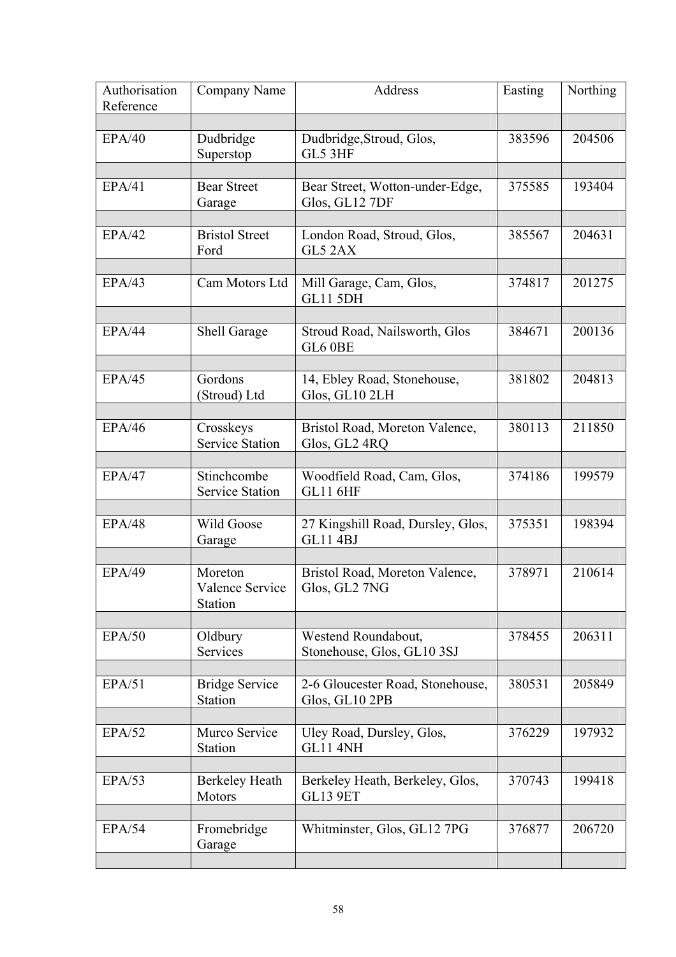| Authorisation<br>Reference | Company Name                                 | Address                                              | Easting | Northing |
|----------------------------|----------------------------------------------|------------------------------------------------------|---------|----------|
| EPA/40                     | Dudbridge<br>Superstop                       | Dudbridge, Stroud, Glos,<br>GL5 3HF                  | 383596  | 204506   |
| EPA/41                     | <b>Bear Street</b><br>Garage                 | Bear Street, Wotton-under-Edge,<br>Glos, GL12 7DF    | 375585  | 193404   |
| EPA/42                     | <b>Bristol Street</b><br>Ford                | London Road, Stroud, Glos,<br>GL5 2AX                | 385567  | 204631   |
| EPA/43                     | Cam Motors Ltd                               | Mill Garage, Cam, Glos,<br>GL11 5DH                  | 374817  | 201275   |
| EPA/44                     | Shell Garage                                 | Stroud Road, Nailsworth, Glos<br>GL6 0BE             | 384671  | 200136   |
| EPA/45                     | Gordons<br>(Stroud) Ltd                      | 14, Ebley Road, Stonehouse,<br>Glos, GL10 2LH        | 381802  | 204813   |
| EPA/46                     | Crosskeys<br><b>Service Station</b>          | Bristol Road, Moreton Valence,<br>Glos, GL2 4RQ      | 380113  | 211850   |
| EPA/47                     | Stinchcombe<br>Service Station               | Woodfield Road, Cam, Glos,<br><b>GL11 6HF</b>        | 374186  | 199579   |
| EPA/48                     | Wild Goose<br>Garage                         | 27 Kingshill Road, Dursley, Glos,<br><b>GL11 4BJ</b> | 375351  | 198394   |
| <b>EPA/49</b>              | Moreton<br><b>Valence Service</b><br>Station | Bristol Road, Moreton Valence,<br>Glos. GL2 7NG      | 378971  | 210614   |
| EPA/50                     | Oldbury<br>Services                          | Westend Roundabout,<br>Stonehouse, Glos, GL10 3SJ    | 378455  | 206311   |
| EPA/51                     | <b>Bridge Service</b><br>Station             | 2-6 Gloucester Road, Stonehouse,<br>Glos, GL10 2PB   | 380531  | 205849   |
| EPA/52                     | Murco Service<br>Station                     | Uley Road, Dursley, Glos,<br>GL11 4NH                | 376229  | 197932   |
| EPA/53                     | <b>Berkeley Heath</b><br>Motors              | Berkeley Heath, Berkeley, Glos,<br><b>GL13 9ET</b>   | 370743  | 199418   |
| EPA/54                     | Fromebridge<br>Garage                        | Whitminster, Glos, GL12 7PG                          | 376877  | 206720   |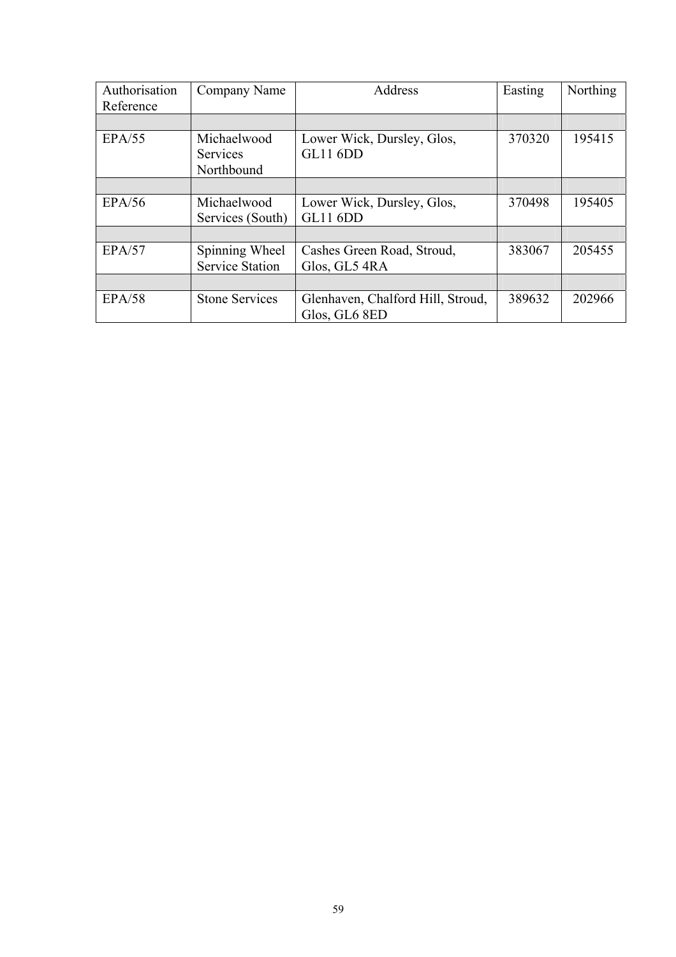| Authorisation | Company Name           | Address                           | Easting | Northing |
|---------------|------------------------|-----------------------------------|---------|----------|
| Reference     |                        |                                   |         |          |
|               |                        |                                   |         |          |
| EPA/55        | Michaelwood            | Lower Wick, Dursley, Glos,        | 370320  | 195415   |
|               | <b>Services</b>        | GL11 6DD                          |         |          |
|               | Northbound             |                                   |         |          |
|               |                        |                                   |         |          |
| EPA/56        | Michaelwood            | Lower Wick, Dursley, Glos,        | 370498  | 195405   |
|               | Services (South)       | <b>GL11 6DD</b>                   |         |          |
|               |                        |                                   |         |          |
| EPA/57        | Spinning Wheel         | Cashes Green Road, Stroud,        | 383067  | 205455   |
|               | <b>Service Station</b> | Glos, GL5 4RA                     |         |          |
|               |                        |                                   |         |          |
| EPA/58        | <b>Stone Services</b>  | Glenhaven, Chalford Hill, Stroud, | 389632  | 202966   |
|               |                        | Glos, GL6 8ED                     |         |          |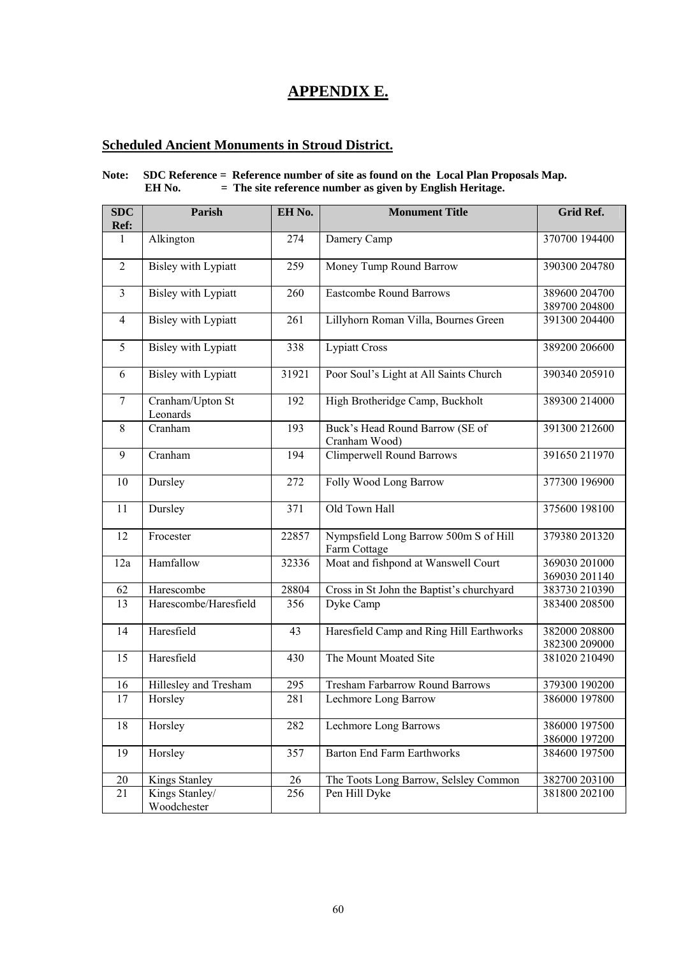### **APPENDIX E.**

#### **Scheduled Ancient Monuments in Stroud District.**

#### **Note: SDC Reference = Reference number of site as found on the Local Plan Proposals Map. EH No. = The site reference number as given by English Heritage.**

| <b>SDC</b><br>Ref: | <b>Parish</b>                 | EH No. | <b>Monument Title</b>                                 | Grid Ref.                      |
|--------------------|-------------------------------|--------|-------------------------------------------------------|--------------------------------|
| 1                  | Alkington                     | 274    | Damery Camp                                           | 370700 194400                  |
|                    |                               |        |                                                       |                                |
| $\overline{2}$     | <b>Bisley with Lypiatt</b>    | 259    | Money Tump Round Barrow                               | 390300 204780                  |
| $\overline{3}$     | <b>Bisley with Lypiatt</b>    | 260    | <b>Eastcombe Round Barrows</b>                        | 389600 204700                  |
| $\overline{4}$     | <b>Bisley with Lypiatt</b>    | 261    | Lillyhorn Roman Villa, Bournes Green                  | 389700 204800<br>391300 204400 |
|                    |                               |        |                                                       |                                |
| $\overline{5}$     | <b>Bisley with Lypiatt</b>    | 338    | <b>Lypiatt Cross</b>                                  | 389200 206600                  |
| 6                  | <b>Bisley with Lypiatt</b>    | 31921  | Poor Soul's Light at All Saints Church                | 390340 205910                  |
| $\overline{7}$     | Cranham/Upton St<br>Leonards  | 192    | High Brotheridge Camp, Buckholt                       | 389300 214000                  |
| 8                  | Cranham                       | 193    | Buck's Head Round Barrow (SE of<br>Cranham Wood)      | 391300 212600                  |
| 9                  | Cranham                       | 194    | <b>Climperwell Round Barrows</b>                      | 391650 211970                  |
| 10                 | Dursley                       | 272    | Folly Wood Long Barrow                                | 377300 196900                  |
| 11                 | Dursley                       | 371    | Old Town Hall                                         | 375600 198100                  |
| 12                 | Frocester                     | 22857  | Nympsfield Long Barrow 500m S of Hill<br>Farm Cottage | 379380 201320                  |
| 12a                | Hamfallow                     | 32336  | Moat and fishpond at Wanswell Court                   | 369030 201000<br>369030 201140 |
| 62                 | Harescombe                    | 28804  | Cross in St John the Baptist's churchyard             | 383730 210390                  |
| 13                 | Harescombe/Haresfield         | 356    | Dyke Camp                                             | 383400 208500                  |
| 14                 | Haresfield                    | 43     | Haresfield Camp and Ring Hill Earthworks              | 382000 208800<br>382300 209000 |
| 15                 | Haresfield                    | 430    | The Mount Moated Site                                 | 381020 210490                  |
| 16                 | Hillesley and Tresham         | 295    | <b>Tresham Farbarrow Round Barrows</b>                | 379300 190200                  |
| 17                 | Horsley                       | 281    | Lechmore Long Barrow                                  | 386000 197800                  |
| 18                 | Horsley                       | 282    | <b>Lechmore Long Barrows</b>                          | 386000 197500<br>386000 197200 |
| 19                 | Horsley                       | 357    | <b>Barton End Farm Earthworks</b>                     | 384600 197500                  |
| $20\,$             | Kings Stanley                 | 26     | The Toots Long Barrow, Selsley Common                 | 382700 203100                  |
| 21                 | Kings Stanley/<br>Woodchester | 256    | Pen Hill Dyke                                         | 381800 202100                  |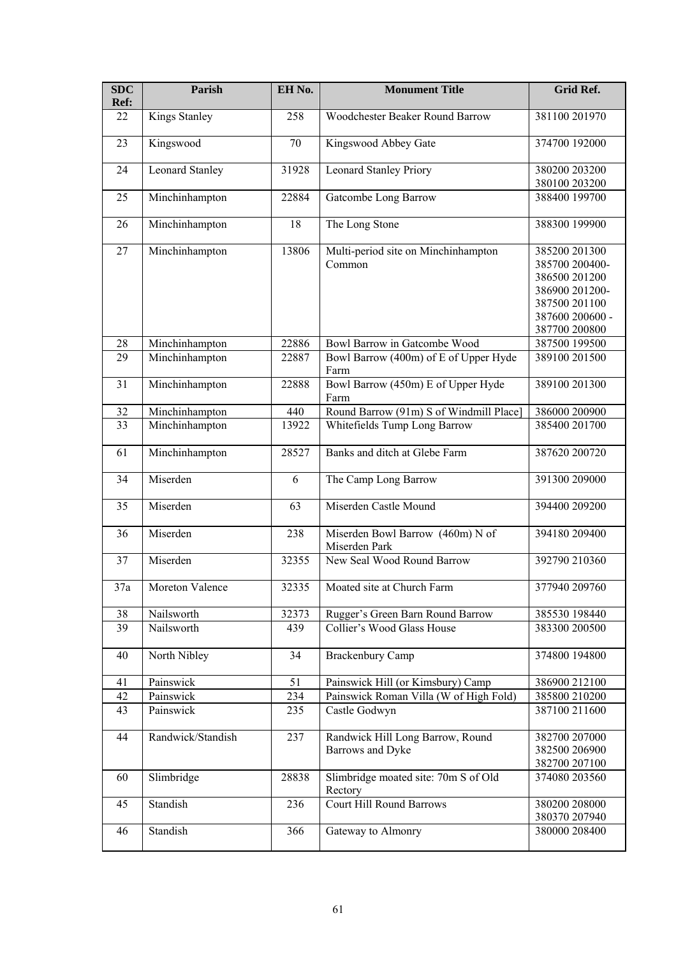| <b>SDC</b><br>Ref: | <b>Parish</b>          | EH No. | <b>Monument Title</b>                                | <b>Grid Ref.</b>                                                                                                        |
|--------------------|------------------------|--------|------------------------------------------------------|-------------------------------------------------------------------------------------------------------------------------|
| 22                 | <b>Kings Stanley</b>   | 258    | Woodchester Beaker Round Barrow                      | 381100 201970                                                                                                           |
| 23                 | Kingswood              | 70     | Kingswood Abbey Gate                                 | 374700 192000                                                                                                           |
| 24                 | <b>Leonard Stanley</b> | 31928  | <b>Leonard Stanley Priory</b>                        | 380200 203200<br>380100 203200                                                                                          |
| 25                 | Minchinhampton         | 22884  | Gatcombe Long Barrow                                 | 388400 199700                                                                                                           |
| 26                 | Minchinhampton         | 18     | The Long Stone                                       | 388300 199900                                                                                                           |
| 27                 | Minchinhampton         | 13806  | Multi-period site on Minchinhampton<br>Common        | 385200 201300<br>385700 200400-<br>386500 201200<br>386900 201200-<br>387500 201100<br>387600 200600 -<br>387700 200800 |
| 28                 | Minchinhampton         | 22886  | Bowl Barrow in Gatcombe Wood                         | 387500 199500                                                                                                           |
| 29                 | Minchinhampton         | 22887  | Bowl Barrow (400m) of E of Upper Hyde<br>Farm        | 389100 201500                                                                                                           |
| 31                 | Minchinhampton         | 22888  | Bowl Barrow (450m) E of Upper Hyde<br>Farm           | 389100 201300                                                                                                           |
| 32                 | Minchinhampton         | 440    | Round Barrow (91m) S of Windmill Place]              | 386000 200900                                                                                                           |
| 33                 | Minchinhampton         | 13922  | Whitefields Tump Long Barrow                         | 385400 201700                                                                                                           |
| 61                 | Minchinhampton         | 28527  | Banks and ditch at Glebe Farm                        | 387620 200720                                                                                                           |
| 34                 | Miserden               | 6      | The Camp Long Barrow                                 | 391300 209000                                                                                                           |
| 35                 | Miserden               | 63     | Miserden Castle Mound                                | 394400 209200                                                                                                           |
| 36                 | Miserden               | 238    | Miserden Bowl Barrow (460m) N of<br>Miserden Park    | 394180 209400                                                                                                           |
| 37                 | Miserden               | 32355  | New Seal Wood Round Barrow                           | 392790 210360                                                                                                           |
| 37a                | Moreton Valence        | 32335  | Moated site at Church Farm                           | 377940 209760                                                                                                           |
| 38                 | Nailsworth             | 32373  | Rugger's Green Barn Round Barrow                     | 385530 198440                                                                                                           |
| 39                 | Nailsworth             | 439    | Collier's Wood Glass House                           | 383300 200500                                                                                                           |
| 40                 | North Nibley           | 34     | <b>Brackenbury Camp</b>                              | 374800 194800                                                                                                           |
| 41                 | Painswick              | 51     | Painswick Hill (or Kimsbury) Camp                    | 386900 212100                                                                                                           |
| 42                 | Painswick              | 234    | Painswick Roman Villa (W of High Fold)               | 385800 210200                                                                                                           |
| 43                 | Painswick              | 235    | Castle Godwyn                                        | 387100 211600                                                                                                           |
| 44                 | Randwick/Standish      | 237    | Randwick Hill Long Barrow, Round<br>Barrows and Dyke | 382700 207000<br>382500 206900<br>382700 207100                                                                         |
| 60                 | Slimbridge             | 28838  | Slimbridge moated site: 70m S of Old<br>Rectory      | 374080 203560                                                                                                           |
| 45                 | Standish               | 236    | Court Hill Round Barrows                             | 380200 208000<br>380370 207940                                                                                          |
| 46                 | Standish               | 366    | Gateway to Almonry                                   | 380000 208400                                                                                                           |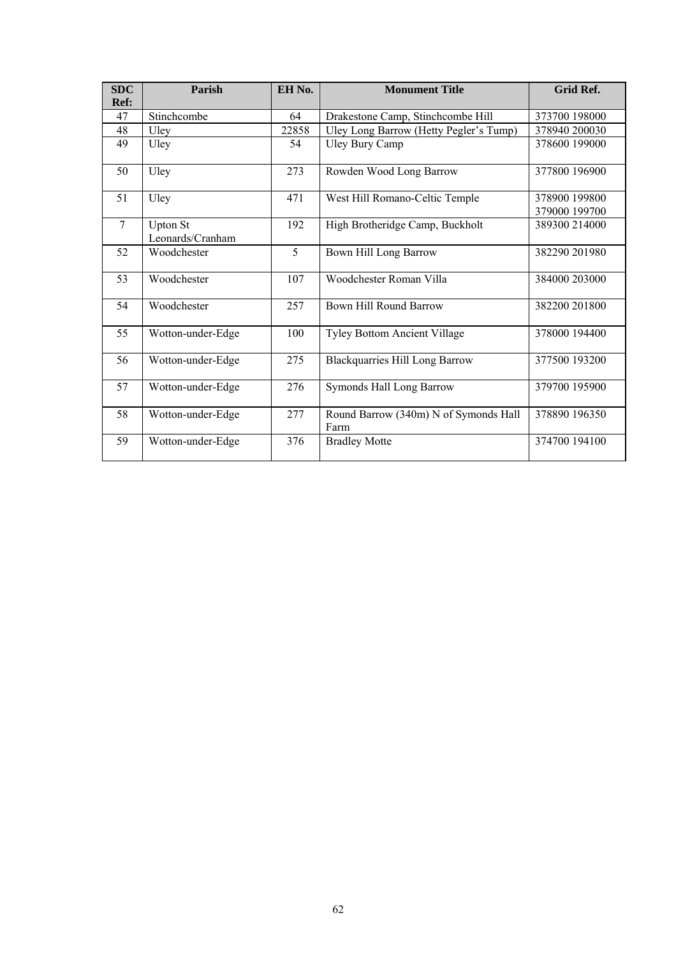| <b>SDC</b><br>Ref: | Parish                              | EH No. | <b>Monument Title</b>                         | <b>Grid Ref.</b>               |
|--------------------|-------------------------------------|--------|-----------------------------------------------|--------------------------------|
| 47                 | Stinchcombe                         | 64     | Drakestone Camp, Stinchcombe Hill             | 373700 198000                  |
| 48                 | Uley                                | 22858  | Uley Long Barrow (Hetty Pegler's Tump)        | 378940 200030                  |
| 49                 | Uley                                | 54     | <b>Uley Bury Camp</b>                         | 378600 199000                  |
| 50                 | Uley                                | 273    | Rowden Wood Long Barrow                       | 377800 196900                  |
| 51                 | Uley                                | 471    | West Hill Romano-Celtic Temple                | 378900 199800<br>379000 199700 |
| $7\phantom{.0}$    | <b>Upton St</b><br>Leonards/Cranham | 192    | High Brotheridge Camp, Buckholt               | 389300 214000                  |
| 52                 | Woodchester                         | 5      | Bown Hill Long Barrow                         | 382290 201980                  |
| 53                 | Woodchester                         | 107    | Woodchester Roman Villa                       | 384000 203000                  |
| 54                 | Woodchester                         | 257    | <b>Bown Hill Round Barrow</b>                 | 382200 201800                  |
| 55                 | Wotton-under-Edge                   | 100    | <b>Tyley Bottom Ancient Village</b>           | 378000 194400                  |
| 56                 | Wotton-under-Edge                   | 275    | <b>Blackquarries Hill Long Barrow</b>         | 377500 193200                  |
| 57                 | Wotton-under-Edge                   | 276    | Symonds Hall Long Barrow                      | 379700 195900                  |
| 58                 | Wotton-under-Edge                   | 277    | Round Barrow (340m) N of Symonds Hall<br>Farm | 378890 196350                  |
| 59                 | Wotton-under-Edge                   | 376    | <b>Bradley Motte</b>                          | 374700 194100                  |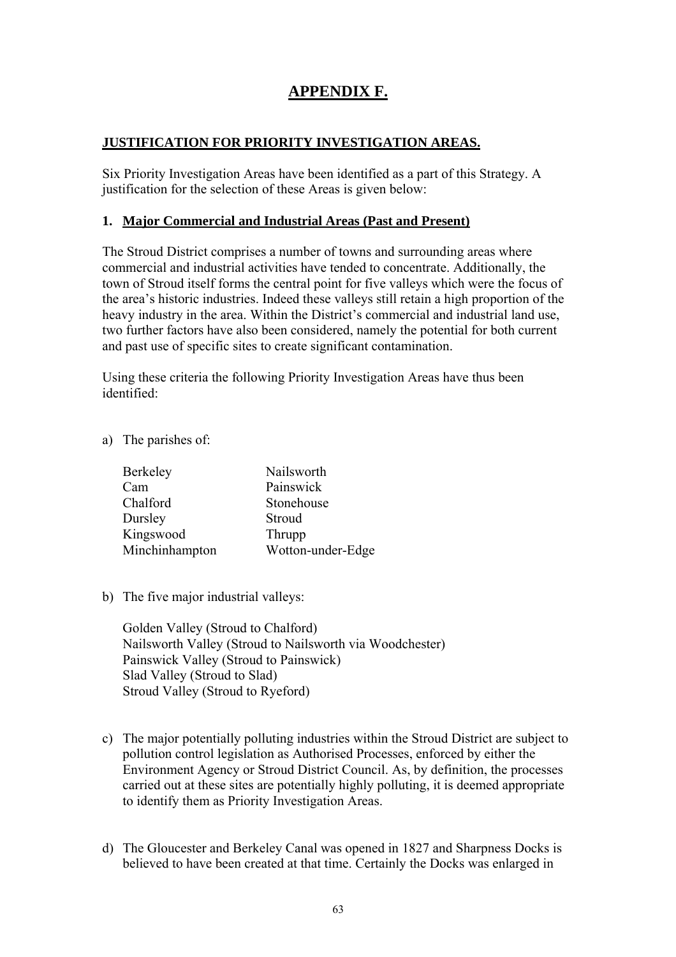### **APPENDIX F.**

#### **JUSTIFICATION FOR PRIORITY INVESTIGATION AREAS.**

Six Priority Investigation Areas have been identified as a part of this Strategy. A justification for the selection of these Areas is given below:

#### **1. Major Commercial and Industrial Areas (Past and Present)**

The Stroud District comprises a number of towns and surrounding areas where commercial and industrial activities have tended to concentrate. Additionally, the town of Stroud itself forms the central point for five valleys which were the focus of the area's historic industries. Indeed these valleys still retain a high proportion of the heavy industry in the area. Within the District's commercial and industrial land use, two further factors have also been considered, namely the potential for both current and past use of specific sites to create significant contamination.

Using these criteria the following Priority Investigation Areas have thus been identified:

a) The parishes of:

| Berkeley       | Nailsworth        |
|----------------|-------------------|
| Cam            | Painswick         |
| Chalford       | Stonehouse        |
| Dursley        | Stroud            |
| Kingswood      | Thrupp            |
| Minchinhampton | Wotton-under-Edge |

b) The five major industrial valleys:

Golden Valley (Stroud to Chalford) Nailsworth Valley (Stroud to Nailsworth via Woodchester) Painswick Valley (Stroud to Painswick) Slad Valley (Stroud to Slad) Stroud Valley (Stroud to Ryeford)

- c) The major potentially polluting industries within the Stroud District are subject to pollution control legislation as Authorised Processes, enforced by either the Environment Agency or Stroud District Council. As, by definition, the processes carried out at these sites are potentially highly polluting, it is deemed appropriate to identify them as Priority Investigation Areas.
- d) The Gloucester and Berkeley Canal was opened in 1827 and Sharpness Docks is believed to have been created at that time. Certainly the Docks was enlarged in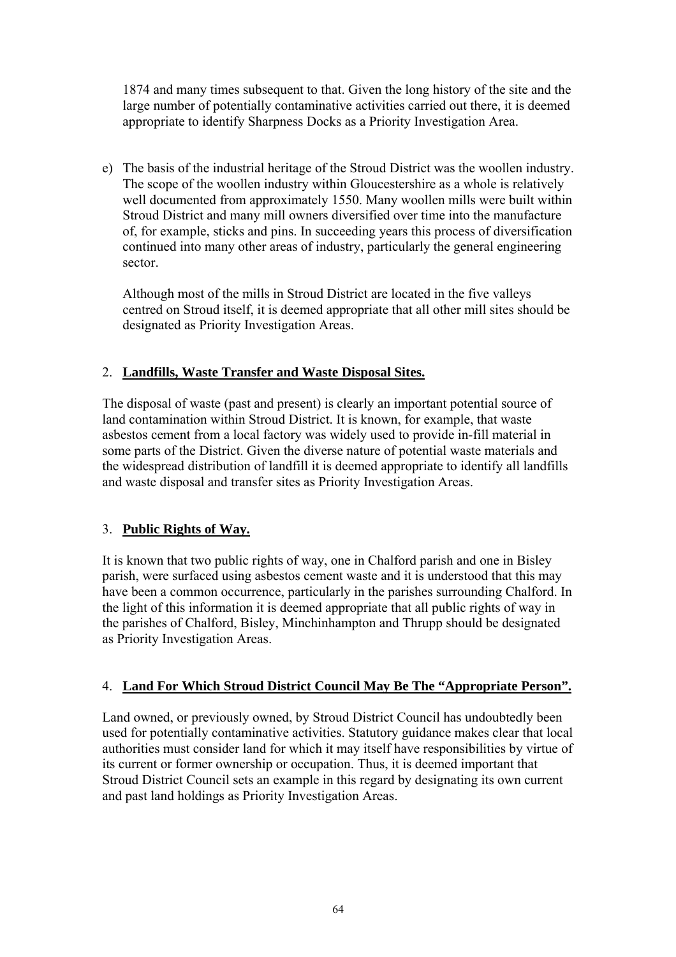1874 and many times subsequent to that. Given the long history of the site and the large number of potentially contaminative activities carried out there, it is deemed appropriate to identify Sharpness Docks as a Priority Investigation Area.

e) The basis of the industrial heritage of the Stroud District was the woollen industry. The scope of the woollen industry within Gloucestershire as a whole is relatively well documented from approximately 1550. Many woollen mills were built within Stroud District and many mill owners diversified over time into the manufacture of, for example, sticks and pins. In succeeding years this process of diversification continued into many other areas of industry, particularly the general engineering sector.

Although most of the mills in Stroud District are located in the five valleys centred on Stroud itself, it is deemed appropriate that all other mill sites should be designated as Priority Investigation Areas.

#### 2. **Landfills, Waste Transfer and Waste Disposal Sites.**

The disposal of waste (past and present) is clearly an important potential source of land contamination within Stroud District. It is known, for example, that waste asbestos cement from a local factory was widely used to provide in-fill material in some parts of the District. Given the diverse nature of potential waste materials and the widespread distribution of landfill it is deemed appropriate to identify all landfills and waste disposal and transfer sites as Priority Investigation Areas.

#### 3. **Public Rights of Way.**

It is known that two public rights of way, one in Chalford parish and one in Bisley parish, were surfaced using asbestos cement waste and it is understood that this may have been a common occurrence, particularly in the parishes surrounding Chalford. In the light of this information it is deemed appropriate that all public rights of way in the parishes of Chalford, Bisley, Minchinhampton and Thrupp should be designated as Priority Investigation Areas.

#### 4. **Land For Which Stroud District Council May Be The "Appropriate Person".**

Land owned, or previously owned, by Stroud District Council has undoubtedly been used for potentially contaminative activities. Statutory guidance makes clear that local authorities must consider land for which it may itself have responsibilities by virtue of its current or former ownership or occupation. Thus, it is deemed important that Stroud District Council sets an example in this regard by designating its own current and past land holdings as Priority Investigation Areas.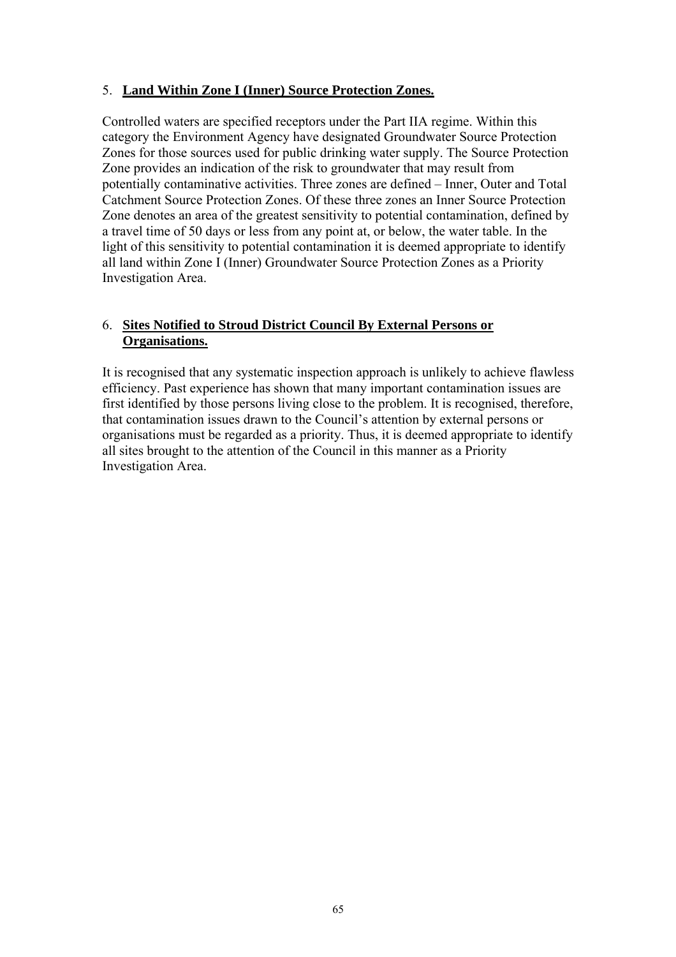#### 5. **Land Within Zone I (Inner) Source Protection Zones.**

Controlled waters are specified receptors under the Part IIA regime. Within this category the Environment Agency have designated Groundwater Source Protection Zones for those sources used for public drinking water supply. The Source Protection Zone provides an indication of the risk to groundwater that may result from potentially contaminative activities. Three zones are defined – Inner, Outer and Total Catchment Source Protection Zones. Of these three zones an Inner Source Protection Zone denotes an area of the greatest sensitivity to potential contamination, defined by a travel time of 50 days or less from any point at, or below, the water table. In the light of this sensitivity to potential contamination it is deemed appropriate to identify all land within Zone I (Inner) Groundwater Source Protection Zones as a Priority Investigation Area.

#### 6. **Sites Notified to Stroud District Council By External Persons or Organisations.**

It is recognised that any systematic inspection approach is unlikely to achieve flawless efficiency. Past experience has shown that many important contamination issues are first identified by those persons living close to the problem. It is recognised, therefore, that contamination issues drawn to the Council's attention by external persons or organisations must be regarded as a priority. Thus, it is deemed appropriate to identify all sites brought to the attention of the Council in this manner as a Priority Investigation Area.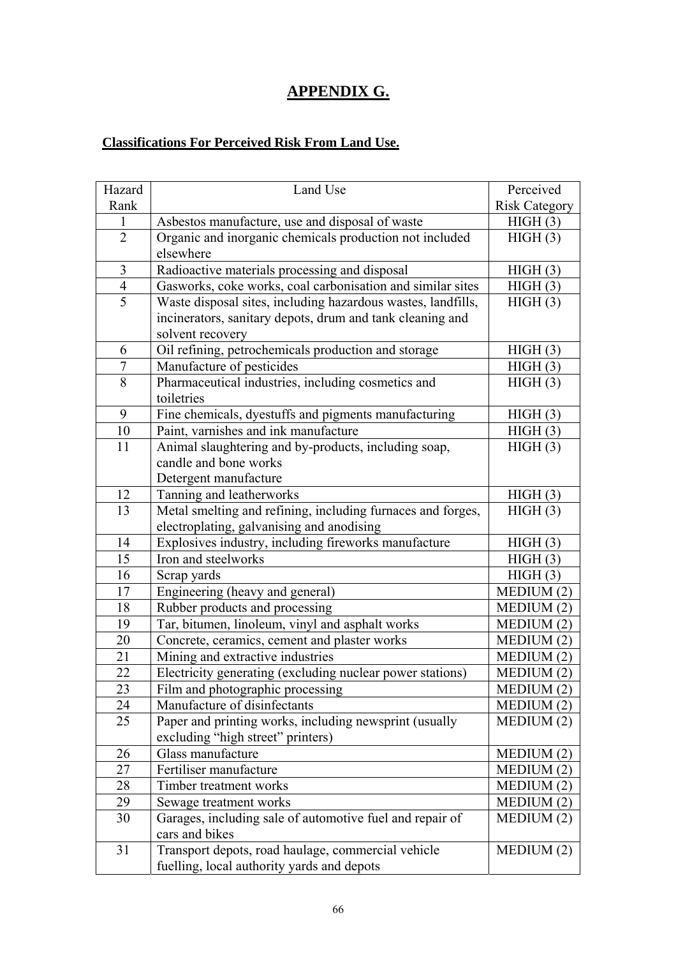## **APPENDIX G.**

### **Classifications For Perceived Risk From Land Use.**

| Hazard         | Land Use                                                     | Perceived            |
|----------------|--------------------------------------------------------------|----------------------|
| Rank           |                                                              | <b>Risk Category</b> |
| $\mathbf{1}$   | Asbestos manufacture, use and disposal of waste              | HIGH(3)              |
| $\overline{2}$ | Organic and inorganic chemicals production not included      | HIGH(3)              |
|                | elsewhere                                                    |                      |
| 3              | Radioactive materials processing and disposal                | HIGH(3)              |
| 4              | Gasworks, coke works, coal carbonisation and similar sites   | HIGH(3)              |
| 5              | Waste disposal sites, including hazardous wastes, landfills, | HIGH(3)              |
|                | incinerators, sanitary depots, drum and tank cleaning and    |                      |
|                | solvent recovery                                             |                      |
| 6              | Oil refining, petrochemicals production and storage          | HIGH(3)              |
| 7              | Manufacture of pesticides                                    | HIGH(3)              |
| 8              | Pharmaceutical industries, including cosmetics and           | HIGH(3)              |
|                | toiletries                                                   |                      |
| 9              | Fine chemicals, dyestuffs and pigments manufacturing         | HIGH(3)              |
| 10             | Paint, varnishes and ink manufacture                         | HIGH(3)              |
| 11             | Animal slaughtering and by-products, including soap,         | HIGH(3)              |
|                | candle and bone works                                        |                      |
|                | Detergent manufacture                                        |                      |
| 12             | Tanning and leatherworks                                     | HIGH(3)              |
| 13             | Metal smelting and refining, including furnaces and forges,  | HIGH(3)              |
|                | electroplating, galvanising and anodising                    |                      |
| 14             | Explosives industry, including fireworks manufacture         | HIGH(3)              |
| 15             | Iron and steelworks                                          | HIGH(3)              |
| 16             | Scrap yards                                                  | HIGH(3)              |
| 17             | Engineering (heavy and general)                              | MEDIUM (2)           |
| 18             | Rubber products and processing                               | MEDIUM (2)           |
| 19             | Tar, bitumen, linoleum, vinyl and asphalt works              | MEDIUM (2)           |
| 20             | Concrete, ceramics, cement and plaster works                 | MEDIUM (2)           |
| 21             | Mining and extractive industries                             | MEDIUM (2)           |
| 22             | Electricity generating (excluding nuclear power stations)    | MEDIUM (2)           |
| 23             | Film and photographic processing                             | MEDIUM (2)           |
| 24             | Manufacture of disinfectants                                 | MEDIUM(2)            |
| 25             | Paper and printing works, including newsprint (usually       | MEDIUM (2)           |
|                | excluding "high street" printers)                            |                      |
| 26             | Glass manufacture                                            | MEDIUM (2)           |
| 27             | Fertiliser manufacture                                       | MEDIUM (2)           |
| 28             | Timber treatment works                                       | MEDIUM (2)           |
| 29             | Sewage treatment works                                       | MEDIUM(2)            |
| 30             | Garages, including sale of automotive fuel and repair of     | MEDIUM(2)            |
|                | cars and bikes                                               |                      |
| 31             | Transport depots, road haulage, commercial vehicle           | MEDIUM(2)            |
|                | fuelling, local authority yards and depots                   |                      |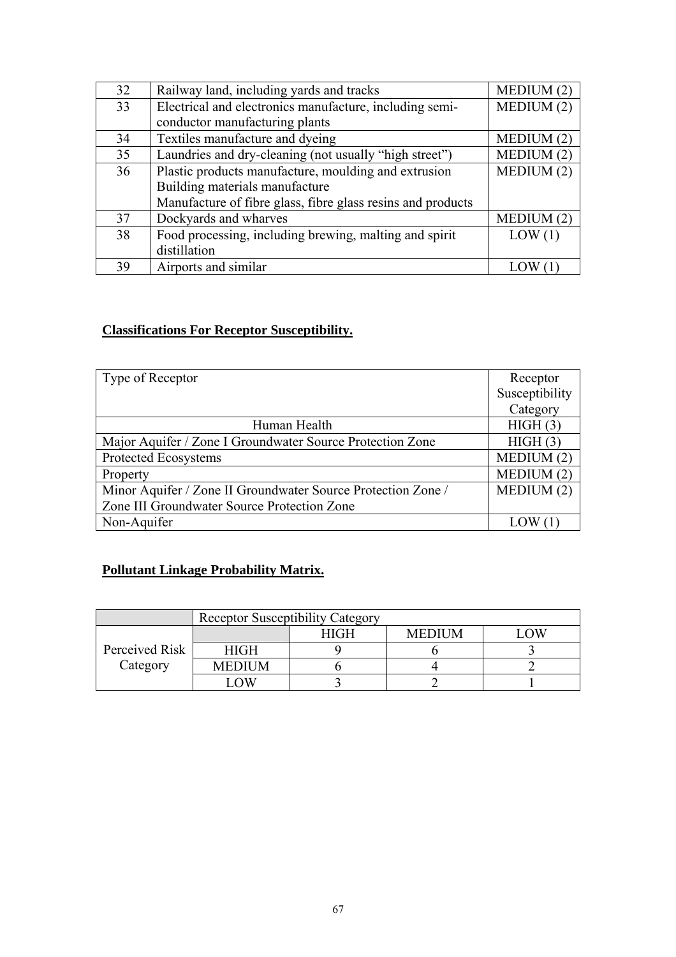| 32 | Railway land, including yards and tracks                    | MEDIUM(2)  |
|----|-------------------------------------------------------------|------------|
| 33 | Electrical and electronics manufacture, including semi-     | MEDIUM(2)  |
|    | conductor manufacturing plants                              |            |
| 34 | Textiles manufacture and dyeing                             | MEDIUM(2)  |
| 35 | Laundries and dry-cleaning (not usually "high street")      | MEDIUM (2) |
| 36 | Plastic products manufacture, moulding and extrusion        | MEDIUM(2)  |
|    | Building materials manufacture                              |            |
|    | Manufacture of fibre glass, fibre glass resins and products |            |
| 37 | Dockyards and wharves                                       | MEDIUM(2)  |
| 38 | Food processing, including brewing, malting and spirit      | LOW(1)     |
|    | distillation                                                |            |
| 39 | Airports and similar                                        |            |

#### **Classifications For Receptor Susceptibility.**

| Type of Receptor                                             | Receptor       |
|--------------------------------------------------------------|----------------|
|                                                              | Susceptibility |
|                                                              | Category       |
| Human Health                                                 | HIGH(3)        |
| Major Aquifer / Zone I Groundwater Source Protection Zone    | HIGH(3)        |
| Protected Ecosystems                                         | MEDIUM(2)      |
| Property                                                     | MEDIUM(2)      |
| Minor Aquifer / Zone II Groundwater Source Protection Zone / | MEDIUM(2)      |
| Zone III Groundwater Source Protection Zone                  |                |
| Non-Aquifer                                                  |                |

## **Pollutant Linkage Probability Matrix.**

|                | <b>Receptor Susceptibility Category</b> |             |               |   |
|----------------|-----------------------------------------|-------------|---------------|---|
|                |                                         | <b>HIGH</b> | <b>MEDIUM</b> | Ж |
| Perceived Risk | <b>HIGH</b>                             |             |               |   |
| Category       | <b>MEDIUM</b>                           |             |               |   |
|                |                                         |             |               |   |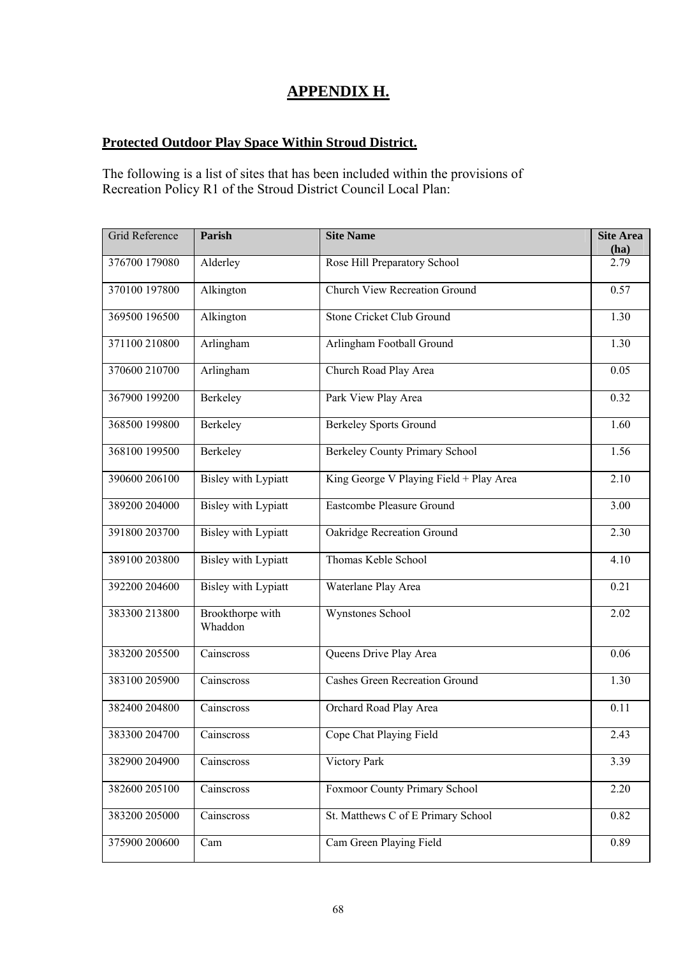### **APPENDIX H.**

#### **Protected Outdoor Play Space Within Stroud District.**

The following is a list of sites that has been included within the provisions of Recreation Policy R1 of the Stroud District Council Local Plan:

| Grid Reference | Parish                      | <b>Site Name</b>                        | <b>Site Area</b><br>(ha) |
|----------------|-----------------------------|-----------------------------------------|--------------------------|
| 376700 179080  | Alderley                    | Rose Hill Preparatory School            | 2.79                     |
| 370100 197800  | Alkington                   | <b>Church View Recreation Ground</b>    | 0.57                     |
| 369500 196500  | Alkington                   | Stone Cricket Club Ground               | 1.30                     |
| 371100 210800  | Arlingham                   | Arlingham Football Ground               | 1.30                     |
| 370600 210700  | Arlingham                   | Church Road Play Area                   | 0.05                     |
| 367900 199200  | Berkeley                    | Park View Play Area                     | 0.32                     |
| 368500 199800  | Berkeley                    | <b>Berkeley Sports Ground</b>           | 1.60                     |
| 368100 199500  | Berkeley                    | Berkeley County Primary School          | 1.56                     |
| 390600 206100  | <b>Bisley with Lypiatt</b>  | King George V Playing Field + Play Area | 2.10                     |
| 389200 204000  | <b>Bisley with Lypiatt</b>  | Eastcombe Pleasure Ground               | 3.00                     |
| 391800 203700  | <b>Bisley with Lypiatt</b>  | Oakridge Recreation Ground              | 2.30                     |
| 389100 203800  | <b>Bisley with Lypiatt</b>  | Thomas Keble School                     | 4.10                     |
| 392200 204600  | <b>Bisley with Lypiatt</b>  | Waterlane Play Area                     | 0.21                     |
| 383300 213800  | Brookthorpe with<br>Whaddon | Wynstones School                        | 2.02                     |
| 383200 205500  | Cainscross                  | Queens Drive Play Area                  | 0.06                     |
| 383100 205900  | Cainscross                  | <b>Cashes Green Recreation Ground</b>   | 1.30                     |
| 382400 204800  | Cainscross                  | Orchard Road Play Area                  | 0.11                     |
| 383300 204700  | Cainscross                  | Cope Chat Playing Field                 | $2.\overline{43}$        |
| 382900 204900  | Cainscross                  | Victory Park                            | 3.39                     |
| 382600 205100  | Cainscross                  | Foxmoor County Primary School           | 2.20                     |
| 383200 205000  | Cainscross                  | St. Matthews C of E Primary School      | 0.82                     |
| 375900 200600  | Cam                         | Cam Green Playing Field                 | 0.89                     |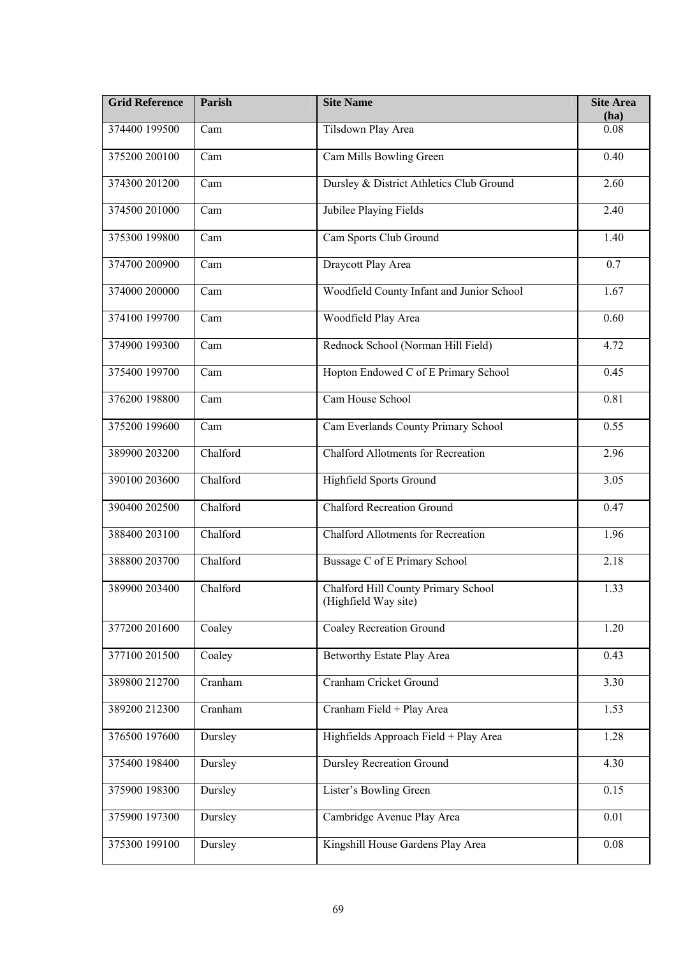| <b>Grid Reference</b> | Parish            | <b>Site Name</b>                                            | <b>Site Area</b><br>(ha) |
|-----------------------|-------------------|-------------------------------------------------------------|--------------------------|
| 374400 199500         | Cam               | Tilsdown Play Area                                          | 0.08                     |
| 375200 200100         | Cam               | Cam Mills Bowling Green                                     | 0.40                     |
| 374300 201200         | Cam               | Dursley & District Athletics Club Ground                    | 2.60                     |
| 374500 201000         | Cam               | Jubilee Playing Fields                                      | 2.40                     |
| 375300 199800         | Cam               | Cam Sports Club Ground                                      | 1.40                     |
| 374700 200900         | Cam               | Draycott Play Area                                          | $\overline{0.7}$         |
| 374000 200000         | Cam               | Woodfield County Infant and Junior School                   | 1.67                     |
| 374100 199700         | Cam               | Woodfield Play Area                                         | 0.60                     |
| 374900 199300         | $\overline{C}$ am | Rednock School (Norman Hill Field)                          | 4.72                     |
| 375400 199700         | Cam               | Hopton Endowed C of E Primary School                        | 0.45                     |
| 376200 198800         | Cam               | Cam House School                                            | 0.81                     |
| 375200 199600         | Cam               | Cam Everlands County Primary School                         | 0.55                     |
| 389900 203200         | Chalford          | <b>Chalford Allotments for Recreation</b>                   | 2.96                     |
| 390100 203600         | Chalford          | <b>Highfield Sports Ground</b>                              | 3.05                     |
| 390400 202500         | Chalford          | <b>Chalford Recreation Ground</b>                           | 0.47                     |
| 388400 203100         | Chalford          | <b>Chalford Allotments for Recreation</b>                   | 1.96                     |
| 388800 203700         | Chalford          | Bussage C of E Primary School                               | 2.18                     |
| 389900 203400         | Chalford          | Chalford Hill County Primary School<br>(Highfield Way site) | 1.33                     |
| 377200 201600         | Coaley            | Coaley Recreation Ground                                    | 1.20                     |
| 377100 201500         | Coaley            | Betworthy Estate Play Area                                  | 0.43                     |
| 389800 212700         | Cranham           | Cranham Cricket Ground                                      | 3.30                     |
| 389200 212300         | Cranham           | Cranham Field + Play Area                                   | 1.53                     |
| 376500 197600         | Dursley           | Highfields Approach Field + Play Area                       | 1.28                     |
| 375400 198400         | Dursley           | <b>Dursley Recreation Ground</b>                            | 4.30                     |
| 375900 198300         | Dursley           | Lister's Bowling Green                                      | 0.15                     |
| 375900 197300         | Dursley           | Cambridge Avenue Play Area                                  | 0.01                     |
| 375300 199100         | Dursley           | Kingshill House Gardens Play Area                           | 0.08                     |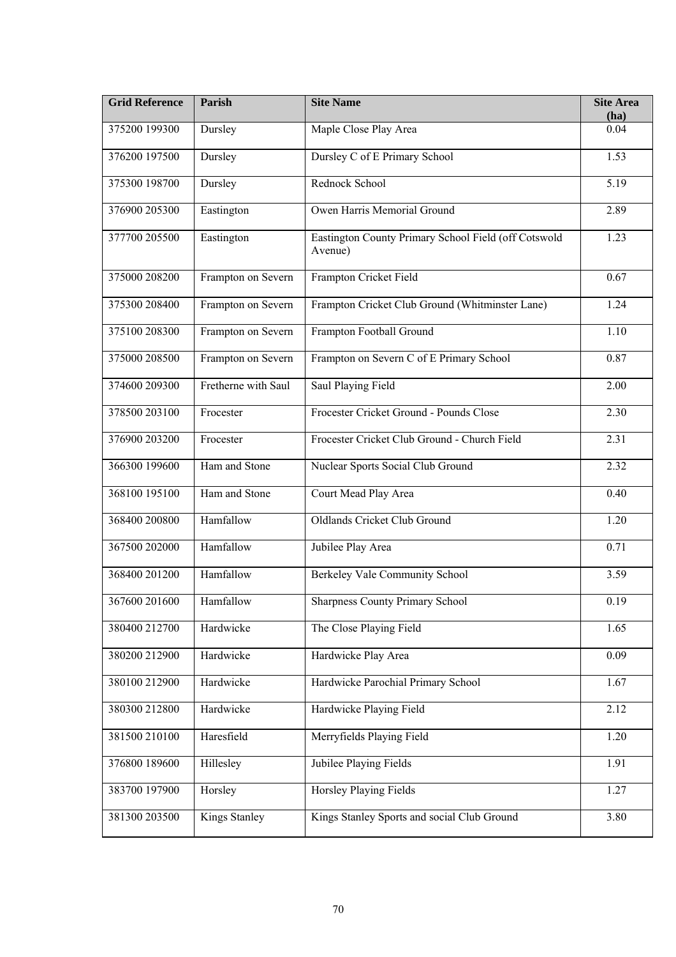| <b>Grid Reference</b> | Parish              | <b>Site Name</b>                                                | <b>Site Area</b><br>(ha) |
|-----------------------|---------------------|-----------------------------------------------------------------|--------------------------|
| 375200 199300         | Dursley             | Maple Close Play Area                                           | 0.04                     |
| 376200 197500         | Dursley             | Dursley C of E Primary School                                   | 1.53                     |
| 375300 198700         | Dursley             | Rednock School                                                  | 5.19                     |
| 376900 205300         | Eastington          | Owen Harris Memorial Ground                                     | 2.89                     |
| 377700 205500         | Eastington          | Eastington County Primary School Field (off Cotswold<br>Avenue) | 1.23                     |
| 375000 208200         | Frampton on Severn  | Frampton Cricket Field                                          | 0.67                     |
| 375300 208400         | Frampton on Severn  | Frampton Cricket Club Ground (Whitminster Lane)                 | 1.24                     |
| 375100 208300         | Frampton on Severn  | Frampton Football Ground                                        | 1.10                     |
| 375000 208500         | Frampton on Severn  | Frampton on Severn C of E Primary School                        | 0.87                     |
| 374600 209300         | Fretherne with Saul | Saul Playing Field                                              | 2.00                     |
| 378500 203100         | Frocester           | Frocester Cricket Ground - Pounds Close                         | 2.30                     |
| 376900 203200         | Frocester           | Frocester Cricket Club Ground - Church Field                    | 2.31                     |
| 366300 199600         | Ham and Stone       | Nuclear Sports Social Club Ground                               | 2.32                     |
| 368100 195100         | Ham and Stone       | Court Mead Play Area                                            | 0.40                     |
| 368400 200800         | Hamfallow           | Oldlands Cricket Club Ground                                    | 1.20                     |
| 367500 202000         | Hamfallow           | Jubilee Play Area                                               | 0.71                     |
| 368400 201200         | Hamfallow           | Berkeley Vale Community School                                  | 3.59                     |
| 367600 201600         | Hamfallow           | <b>Sharpness County Primary School</b>                          | 0.19                     |
| 380400 212700         | Hardwicke           | The Close Playing Field                                         | 1.65                     |
| 380200 212900         | Hardwicke           | Hardwicke Play Area                                             | 0.09                     |
| 380100 212900         | Hardwicke           | Hardwicke Parochial Primary School                              | 1.67                     |
| 380300 212800         | Hardwicke           | Hardwicke Playing Field                                         | 2.12                     |
| 381500 210100         | Haresfield          | Merryfields Playing Field                                       | 1.20                     |
| 376800 189600         | Hillesley           | Jubilee Playing Fields                                          | 1.91                     |
| 383700 197900         | Horsley             | Horsley Playing Fields                                          | 1.27                     |
| 381300 203500         | Kings Stanley       | Kings Stanley Sports and social Club Ground                     | 3.80                     |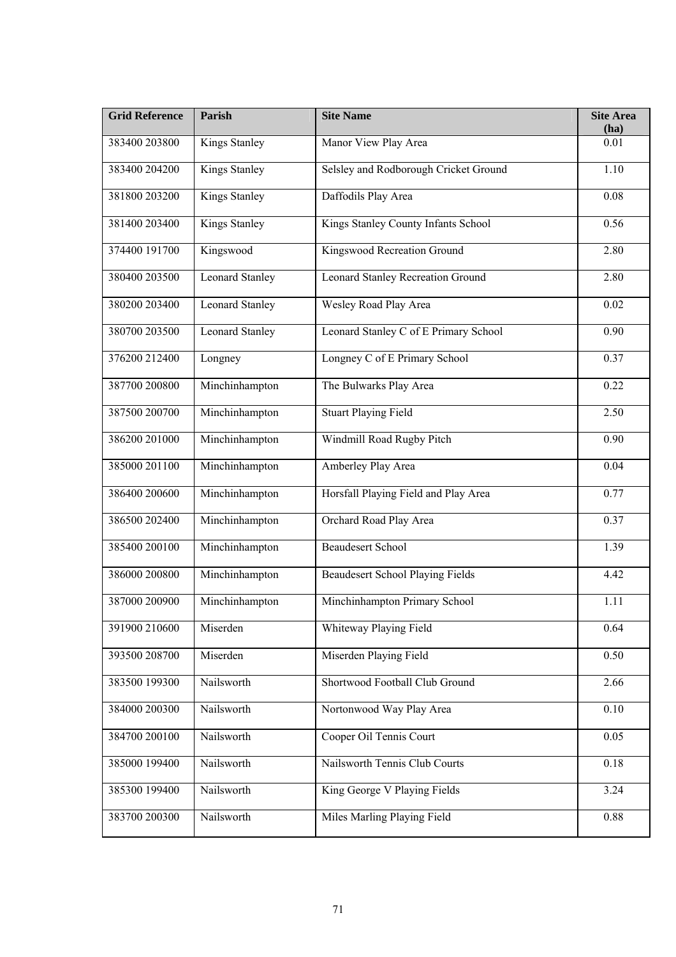| <b>Grid Reference</b> | Parish                 | <b>Site Name</b>                         | <b>Site Area</b><br>(ha) |
|-----------------------|------------------------|------------------------------------------|--------------------------|
| 383400 203800         | Kings Stanley          | Manor View Play Area                     | 0.01                     |
| 383400 204200         | <b>Kings Stanley</b>   | Selsley and Rodborough Cricket Ground    | 1.10                     |
| 381800 203200         | Kings Stanley          | Daffodils Play Area                      | 0.08                     |
| 381400 203400         | Kings Stanley          | Kings Stanley County Infants School      | 0.56                     |
| 374400 191700         | Kingswood              | Kingswood Recreation Ground              | 2.80                     |
| 380400 203500         | <b>Leonard Stanley</b> | <b>Leonard Stanley Recreation Ground</b> | 2.80                     |
| 380200 203400         | <b>Leonard Stanley</b> | Wesley Road Play Area                    | 0.02                     |
| 380700 203500         | <b>Leonard Stanley</b> | Leonard Stanley C of E Primary School    | 0.90                     |
| 376200 212400         | Longney                | Longney C of E Primary School            | 0.37                     |
| 387700 200800         | Minchinhampton         | The Bulwarks Play Area                   | 0.22                     |
| 387500 200700         | Minchinhampton         | <b>Stuart Playing Field</b>              | 2.50                     |
| 386200 201000         | Minchinhampton         | Windmill Road Rugby Pitch                | 0.90                     |
| 385000 201100         | Minchinhampton         | Amberley Play Area                       | 0.04                     |
| 386400 200600         | Minchinhampton         | Horsfall Playing Field and Play Area     | 0.77                     |
| 386500 202400         | Minchinhampton         | Orchard Road Play Area                   | 0.37                     |
| 385400 200100         | Minchinhampton         | <b>Beaudesert School</b>                 | 1.39                     |
| 386000 200800         | Minchinhampton         | <b>Beaudesert School Playing Fields</b>  | 4.42                     |
| 387000 200900         | Minchinhampton         | Minchinhampton Primary School            | 1.11                     |
| 391900 210600         | Miserden               | Whiteway Playing Field                   | 0.64                     |
| 393500 208700         | Miserden               | Miserden Playing Field                   | 0.50                     |
| 383500 199300         | Nailsworth             | Shortwood Football Club Ground           | 2.66                     |
| 384000 200300         | Nailsworth             | Nortonwood Way Play Area                 | 0.10                     |
| 384700 200100         | Nailsworth             | Cooper Oil Tennis Court                  | 0.05                     |
| 385000 199400         | Nailsworth             | Nailsworth Tennis Club Courts            | 0.18                     |
| 385300 199400         | Nailsworth             | King George V Playing Fields             | 3.24                     |
| 383700 200300         | Nailsworth             | Miles Marling Playing Field              | 0.88                     |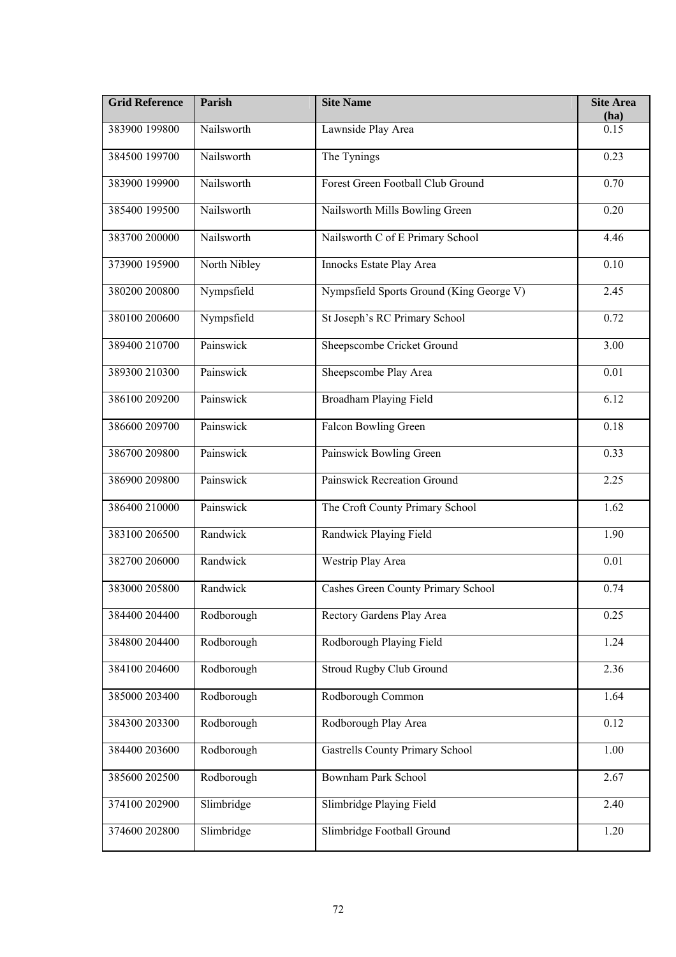| <b>Grid Reference</b> | Parish       | <b>Site Name</b>                         | <b>Site Area</b><br>(ha) |
|-----------------------|--------------|------------------------------------------|--------------------------|
| 383900 199800         | Nailsworth   | Lawnside Play Area                       | 0.15                     |
| 384500 199700         | Nailsworth   | The Tynings                              | 0.23                     |
| 383900 199900         | Nailsworth   | Forest Green Football Club Ground        | 0.70                     |
| 385400 199500         | Nailsworth   | Nailsworth Mills Bowling Green           | 0.20                     |
| 383700 200000         | Nailsworth   | Nailsworth C of E Primary School         | 4.46                     |
| 373900 195900         | North Nibley | Innocks Estate Play Area                 | 0.10                     |
| 380200 200800         | Nympsfield   | Nympsfield Sports Ground (King George V) | 2.45                     |
| 380100 200600         | Nympsfield   | St Joseph's RC Primary School            | 0.72                     |
| 389400 210700         | Painswick    | Sheepscombe Cricket Ground               | 3.00                     |
| 389300 210300         | Painswick    | Sheepscombe Play Area                    | 0.01                     |
| 386100 209200         | Painswick    | <b>Broadham Playing Field</b>            | 6.12                     |
| 386600 209700         | Painswick    | <b>Falcon Bowling Green</b>              | 0.18                     |
| 386700 209800         | Painswick    | Painswick Bowling Green                  | 0.33                     |
| 386900 209800         | Painswick    | Painswick Recreation Ground              | 2.25                     |
| 386400 210000         | Painswick    | The Croft County Primary School          | 1.62                     |
| 383100 206500         | Randwick     | Randwick Playing Field                   | 1.90                     |
| 382700 206000         | Randwick     | <b>Westrip Play Area</b>                 | 0.01                     |
| 383000 205800         | Randwick     | Cashes Green County Primary School       | 0.74                     |
| 384400 204400         | Rodborough   | Rectory Gardens Play Area                | 0.25                     |
| 384800 204400         | Rodborough   | Rodborough Playing Field                 | 1.24                     |
| 384100 204600         | Rodborough   | <b>Stroud Rugby Club Ground</b>          | 2.36                     |
| 385000 203400         | Rodborough   | Rodborough Common                        | 1.64                     |
| 384300 203300         | Rodborough   | Rodborough Play Area                     | 0.12                     |
| 384400 203600         | Rodborough   | <b>Gastrells County Primary School</b>   | 1.00                     |
| 385600 202500         | Rodborough   | Bownham Park School                      | 2.67                     |
| 374100 202900         | Slimbridge   | Slimbridge Playing Field                 | 2.40                     |
| 374600 202800         | Slimbridge   | Slimbridge Football Ground               | 1.20                     |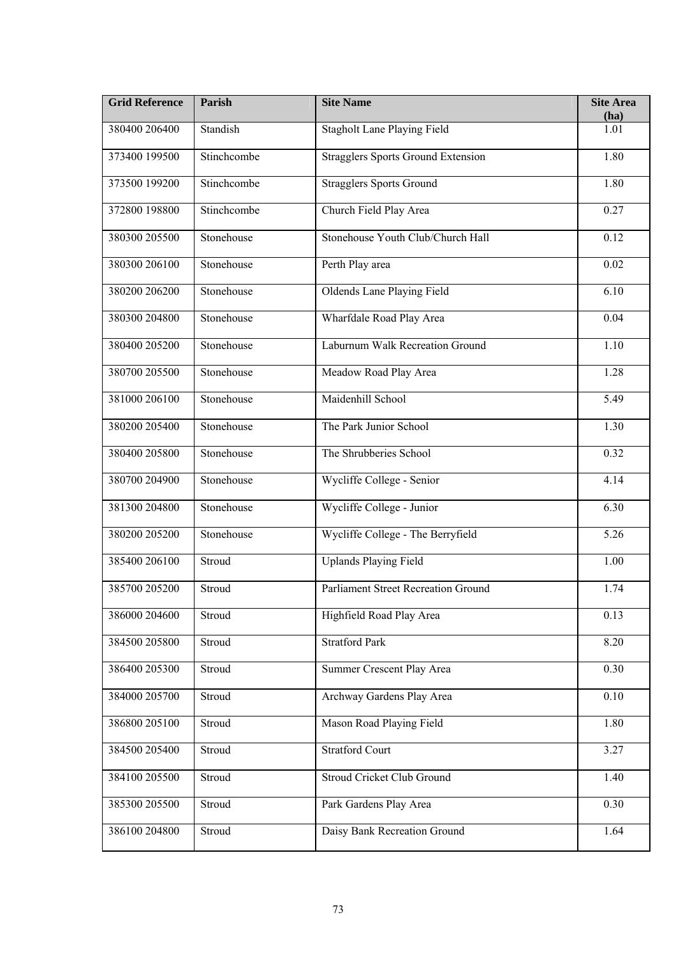| <b>Grid Reference</b> | Parish      | <b>Site Name</b>                           | <b>Site Area</b><br>(ha) |
|-----------------------|-------------|--------------------------------------------|--------------------------|
| 380400 206400         | Standish    | <b>Stagholt Lane Playing Field</b>         | 1.01                     |
| 373400 199500         | Stinchcombe | <b>Stragglers Sports Ground Extension</b>  | 1.80                     |
| 373500 199200         | Stinchcombe | <b>Stragglers Sports Ground</b>            | 1.80                     |
| 372800 198800         | Stinchcombe | Church Field Play Area                     | 0.27                     |
| 380300 205500         | Stonehouse  | Stonehouse Youth Club/Church Hall          | 0.12                     |
| 380300 206100         | Stonehouse  | Perth Play area                            | 0.02                     |
| 380200 206200         | Stonehouse  | <b>Oldends Lane Playing Field</b>          | 6.10                     |
| 380300 204800         | Stonehouse  | Wharfdale Road Play Area                   | 0.04                     |
| 380400 205200         | Stonehouse  | <b>Laburnum Walk Recreation Ground</b>     | 1.10                     |
| 380700 205500         | Stonehouse  | Meadow Road Play Area                      | 1.28                     |
| 381000 206100         | Stonehouse  | Maidenhill School                          | 5.49                     |
| 380200 205400         | Stonehouse  | The Park Junior School                     | 1.30                     |
| 380400 205800         | Stonehouse  | The Shrubberies School                     | 0.32                     |
| 380700 204900         | Stonehouse  | Wycliffe College - Senior                  | 4.14                     |
| 381300 204800         | Stonehouse  | Wycliffe College - Junior                  | 6.30                     |
| 380200 205200         | Stonehouse  | Wycliffe College - The Berryfield          | 5.26                     |
| 385400 206100         | Stroud      | <b>Uplands Playing Field</b>               | 1.00                     |
| 385700 205200         | Stroud      | <b>Parliament Street Recreation Ground</b> | 1.74                     |
| 386000 204600         | Stroud      | Highfield Road Play Area                   | 0.13                     |
| 384500 205800         | Stroud      | <b>Stratford Park</b>                      | 8.20                     |
| 386400 205300         | Stroud      | Summer Crescent Play Area                  | 0.30                     |
| 384000 205700         | Stroud      | Archway Gardens Play Area                  | 0.10                     |
| 386800 205100         | Stroud      | Mason Road Playing Field                   | 1.80                     |
| 384500 205400         | Stroud      | <b>Stratford Court</b>                     | 3.27                     |
| 384100 205500         | Stroud      | Stroud Cricket Club Ground                 | 1.40                     |
| 385300 205500         | Stroud      | Park Gardens Play Area                     | 0.30                     |
| 386100 204800         | Stroud      | Daisy Bank Recreation Ground               | 1.64                     |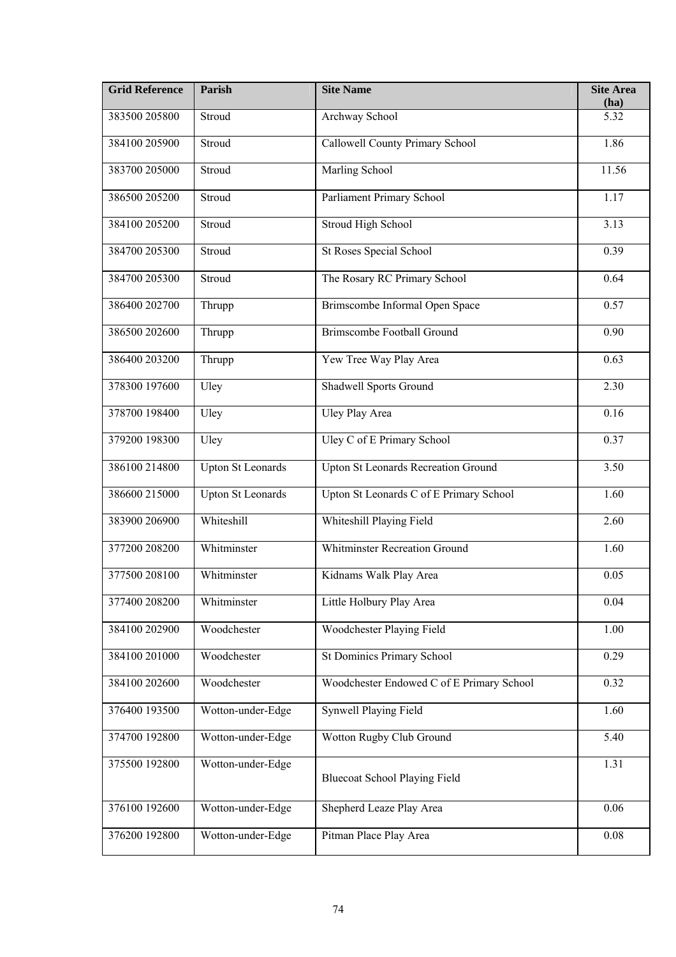| <b>Grid Reference</b> | Parish                   | <b>Site Name</b>                           | <b>Site Area</b><br>(ha) |
|-----------------------|--------------------------|--------------------------------------------|--------------------------|
| 383500 205800         | Stroud                   | Archway School                             | 5.32                     |
| 384100 205900         | Stroud                   | Callowell County Primary School            | 1.86                     |
| 383700 205000         | Stroud                   | Marling School                             | 11.56                    |
| 386500 205200         | Stroud                   | Parliament Primary School                  | 1.17                     |
| 384100 205200         | Stroud                   | <b>Stroud High School</b>                  | 3.13                     |
| 384700 205300         | Stroud                   | <b>St Roses Special School</b>             | 0.39                     |
| 384700 205300         | Stroud                   | The Rosary RC Primary School               | 0.64                     |
| 386400 202700         | Thrupp                   | Brimscombe Informal Open Space             | 0.57                     |
| 386500 202600         | Thrupp                   | <b>Brimscombe Football Ground</b>          | 0.90                     |
| 386400 203200         | Thrupp                   | Yew Tree Way Play Area                     | 0.63                     |
| 378300 197600         | Uley                     | <b>Shadwell Sports Ground</b>              | 2.30                     |
| 378700 198400         | Uley                     | <b>Uley Play Area</b>                      | 0.16                     |
| 379200 198300         | Uley                     | Uley C of E Primary School                 | 0.37                     |
| 386100 214800         | <b>Upton St Leonards</b> | <b>Upton St Leonards Recreation Ground</b> | 3.50                     |
| 386600 215000         | <b>Upton St Leonards</b> | Upton St Leonards C of E Primary School    | 1.60                     |
| 383900 206900         | Whiteshill               | Whiteshill Playing Field                   | 2.60                     |
| 377200 208200         | Whitminster              | <b>Whitminster Recreation Ground</b>       | 1.60                     |
| 377500 208100         | Whitminster              | Kidnams Walk Play Area                     | 0.05                     |
| 377400 208200         | Whitminster              | Little Holbury Play Area                   | 0.04                     |
| 384100 202900         | Woodchester              | <b>Woodchester Playing Field</b>           | 1.00                     |
| 384100 201000         | Woodchester              | <b>St Dominics Primary School</b>          | 0.29                     |
| 384100 202600         | Woodchester              | Woodchester Endowed C of E Primary School  | 0.32                     |
| 376400 193500         | Wotton-under-Edge        | <b>Synwell Playing Field</b>               | 1.60                     |
| 374700 192800         | Wotton-under-Edge        | Wotton Rugby Club Ground                   | 5.40                     |
| 375500 192800         | Wotton-under-Edge        | <b>Bluecoat School Playing Field</b>       | 1.31                     |
| 376100 192600         | Wotton-under-Edge        | Shepherd Leaze Play Area                   | 0.06                     |
| 376200 192800         | Wotton-under-Edge        | Pitman Place Play Area                     | 0.08                     |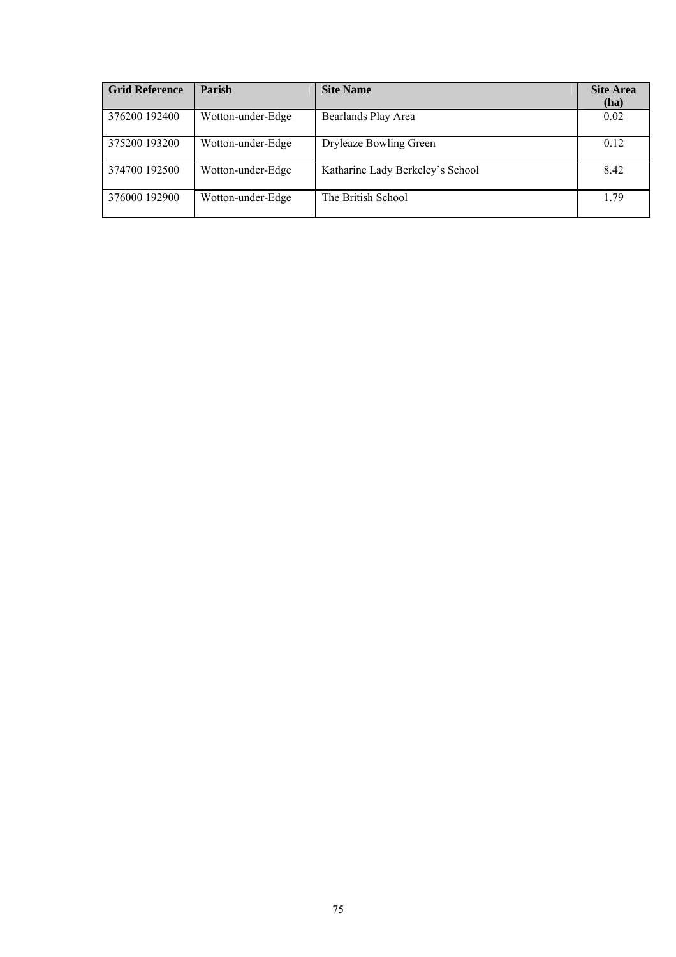| <b>Grid Reference</b> | <b>Parish</b>     | <b>Site Name</b>                 | <b>Site Area</b><br>(ha) |
|-----------------------|-------------------|----------------------------------|--------------------------|
| 376200 192400         | Wotton-under-Edge | Bearlands Play Area              | 0.02                     |
| 375200 193200         | Wotton-under-Edge | Dryleaze Bowling Green           | 0.12                     |
| 374700 192500         | Wotton-under-Edge | Katharine Lady Berkeley's School | 8.42                     |
| 376000 192900         | Wotton-under-Edge | The British School               | 1.79                     |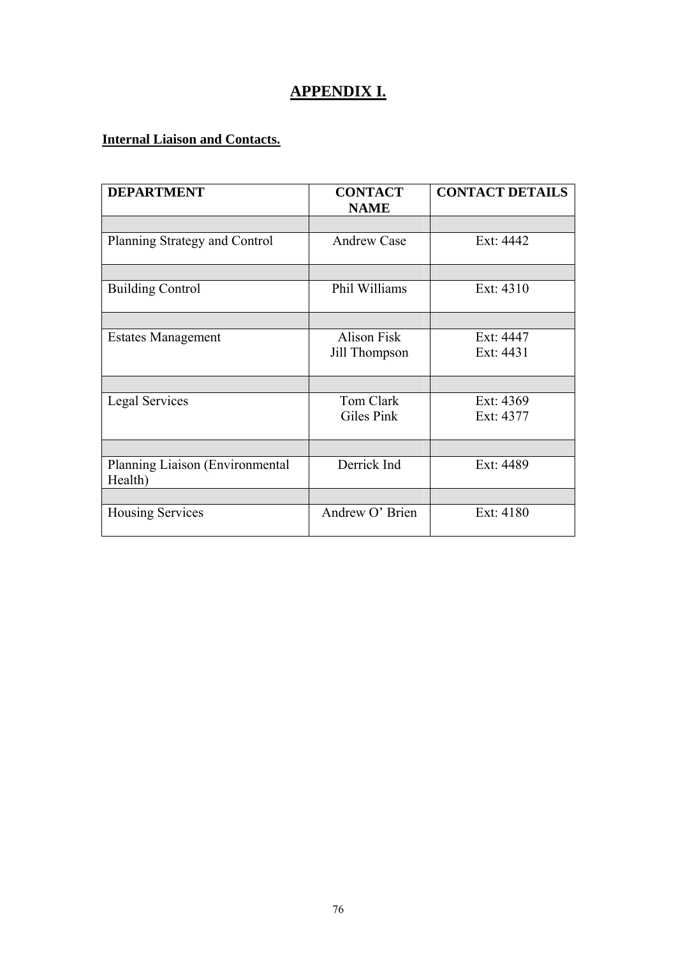# **APPENDIX I.**

## **Internal Liaison and Contacts.**

| <b>DEPARTMENT</b>                          | <b>CONTACT</b><br><b>NAME</b> | <b>CONTACT DETAILS</b> |
|--------------------------------------------|-------------------------------|------------------------|
|                                            |                               |                        |
|                                            |                               |                        |
| Planning Strategy and Control              | <b>Andrew Case</b>            | Ext: 4442              |
|                                            |                               |                        |
| <b>Building Control</b>                    | Phil Williams                 | Ext: 4310              |
|                                            |                               |                        |
| <b>Estates Management</b>                  | <b>Alison Fisk</b>            | Ext: 4447              |
|                                            | Jill Thompson                 | Ext: 4431              |
|                                            |                               |                        |
| <b>Legal Services</b>                      | Tom Clark                     | Ext: 4369              |
|                                            | Giles Pink                    | Ext: 4377              |
|                                            |                               |                        |
| Planning Liaison (Environmental<br>Health) | Derrick Ind                   | Ext: 4489              |
|                                            |                               |                        |
| <b>Housing Services</b>                    | Andrew O' Brien               | Ext: 4180              |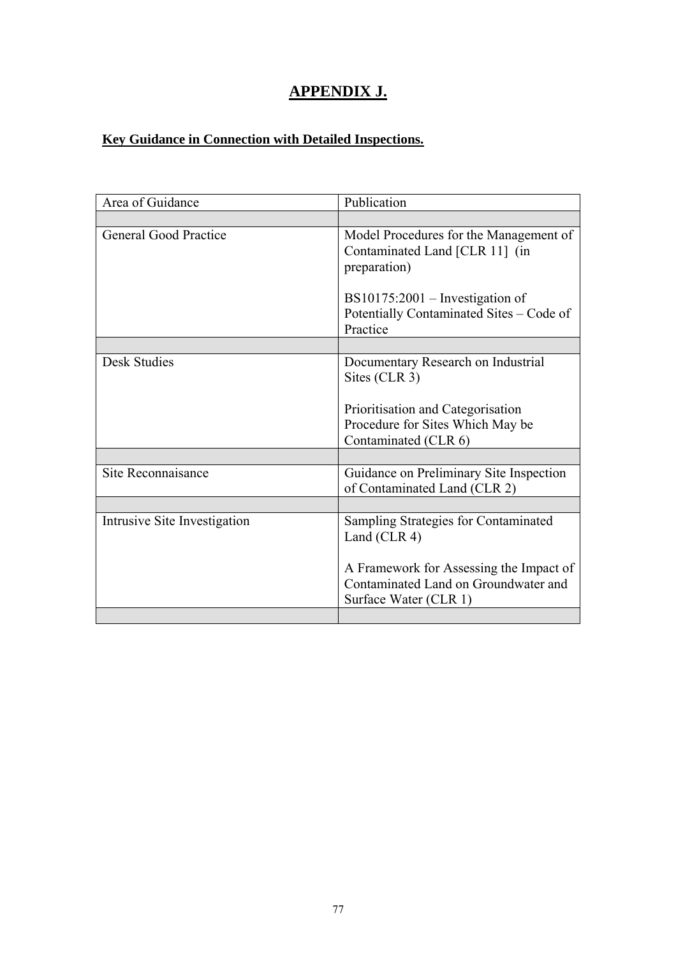# **APPENDIX J.**

## **Key Guidance in Connection with Detailed Inspections.**

| Area of Guidance             | Publication                                                                                              |
|------------------------------|----------------------------------------------------------------------------------------------------------|
|                              |                                                                                                          |
| <b>General Good Practice</b> | Model Procedures for the Management of<br>Contaminated Land [CLR 11] (in<br>preparation)                 |
|                              | $BS10175:2001$ – Investigation of<br>Potentially Contaminated Sites - Code of<br>Practice                |
|                              |                                                                                                          |
| <b>Desk Studies</b>          | Documentary Research on Industrial<br>Sites (CLR 3)                                                      |
|                              | Prioritisation and Categorisation<br>Procedure for Sites Which May be<br>Contaminated (CLR 6)            |
|                              |                                                                                                          |
| Site Reconnaisance           | Guidance on Preliminary Site Inspection<br>of Contaminated Land (CLR 2)                                  |
|                              |                                                                                                          |
| Intrusive Site Investigation | Sampling Strategies for Contaminated<br>Land (CLR 4)                                                     |
|                              | A Framework for Assessing the Impact of<br>Contaminated Land on Groundwater and<br>Surface Water (CLR 1) |
|                              |                                                                                                          |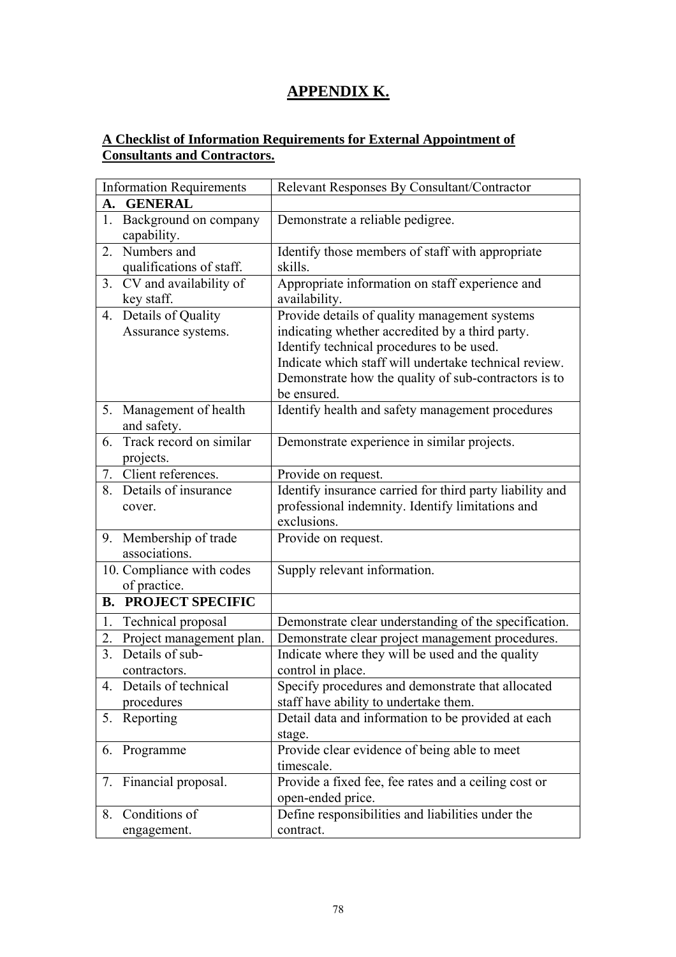## **APPENDIX K.**

#### **A Checklist of Information Requirements for External Appointment of Consultants and Contractors.**

| <b>Information Requirements</b>   | Relevant Responses By Consultant/Contractor              |
|-----------------------------------|----------------------------------------------------------|
| <b>GENERAL</b><br>A.              |                                                          |
| Background on company<br>1.       | Demonstrate a reliable pedigree.                         |
| capability.                       |                                                          |
| Numbers and<br>2.                 | Identify those members of staff with appropriate         |
| qualifications of staff.          | skills.                                                  |
| CV and availability of<br>3.      | Appropriate information on staff experience and          |
| key staff.                        | availability.                                            |
| Details of Quality<br>4.          | Provide details of quality management systems            |
| Assurance systems.                | indicating whether accredited by a third party.          |
|                                   | Identify technical procedures to be used.                |
|                                   | Indicate which staff will undertake technical review.    |
|                                   | Demonstrate how the quality of sub-contractors is to     |
|                                   | be ensured.                                              |
| Management of health<br>5.        | Identify health and safety management procedures         |
| and safety.                       |                                                          |
| 6. Track record on similar        | Demonstrate experience in similar projects.              |
| projects.                         |                                                          |
| Client references.<br>7.          | Provide on request.                                      |
| Details of insurance<br>8.        | Identify insurance carried for third party liability and |
| cover.                            | professional indemnity. Identify limitations and         |
|                                   | exclusions.                                              |
| 9. Membership of trade            | Provide on request.                                      |
| associations.                     |                                                          |
| 10. Compliance with codes         | Supply relevant information.                             |
| of practice.                      |                                                          |
| <b>B. PROJECT SPECIFIC</b>        |                                                          |
| Technical proposal<br>1.          | Demonstrate clear understanding of the specification.    |
| Project management plan.<br>2.    | Demonstrate clear project management procedures.         |
| Details of sub-<br>3 <sub>1</sub> | Indicate where they will be used and the quality         |
| contractors.                      | control in place.                                        |
| Details of technical<br>4.        | Specify procedures and demonstrate that allocated        |
| procedures                        | staff have ability to undertake them.                    |
| 5. Reporting                      | Detail data and information to be provided at each       |
|                                   | stage.                                                   |
| Programme<br>6.                   | Provide clear evidence of being able to meet             |
|                                   | timescale.                                               |
| 7. Financial proposal.            | Provide a fixed fee, fee rates and a ceiling cost or     |
|                                   | open-ended price.                                        |
| Conditions of<br>8.               | Define responsibilities and liabilities under the        |
| engagement.                       | contract.                                                |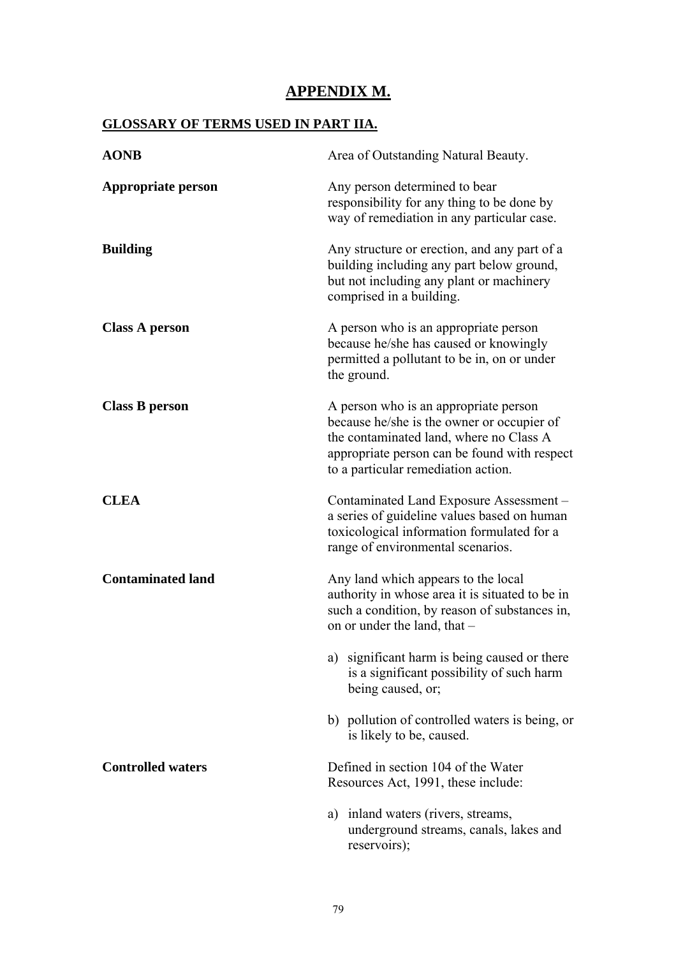## **APPENDIX M.**

## **GLOSSARY OF TERMS USED IN PART IIA.**

| <b>AONB</b>              | Area of Outstanding Natural Beauty.                                                                                                                                                                                   |
|--------------------------|-----------------------------------------------------------------------------------------------------------------------------------------------------------------------------------------------------------------------|
| Appropriate person       | Any person determined to bear<br>responsibility for any thing to be done by<br>way of remediation in any particular case.                                                                                             |
| <b>Building</b>          | Any structure or erection, and any part of a<br>building including any part below ground,<br>but not including any plant or machinery<br>comprised in a building.                                                     |
| <b>Class A person</b>    | A person who is an appropriate person<br>because he/she has caused or knowingly<br>permitted a pollutant to be in, on or under<br>the ground.                                                                         |
| <b>Class B person</b>    | A person who is an appropriate person<br>because he/she is the owner or occupier of<br>the contaminated land, where no Class A<br>appropriate person can be found with respect<br>to a particular remediation action. |
| <b>CLEA</b>              | Contaminated Land Exposure Assessment -<br>a series of guideline values based on human<br>toxicological information formulated for a<br>range of environmental scenarios.                                             |
| <b>Contaminated land</b> | Any land which appears to the local<br>authority in whose area it is situated to be in<br>such a condition, by reason of substances in,<br>on or under the land, that -                                               |
|                          | significant harm is being caused or there<br>a)<br>is a significant possibility of such harm<br>being caused, or;                                                                                                     |
|                          | b) pollution of controlled waters is being, or<br>is likely to be, caused.                                                                                                                                            |
| <b>Controlled waters</b> | Defined in section 104 of the Water<br>Resources Act, 1991, these include:                                                                                                                                            |
|                          | inland waters (rivers, streams,<br>a)<br>underground streams, canals, lakes and<br>reservoirs);                                                                                                                       |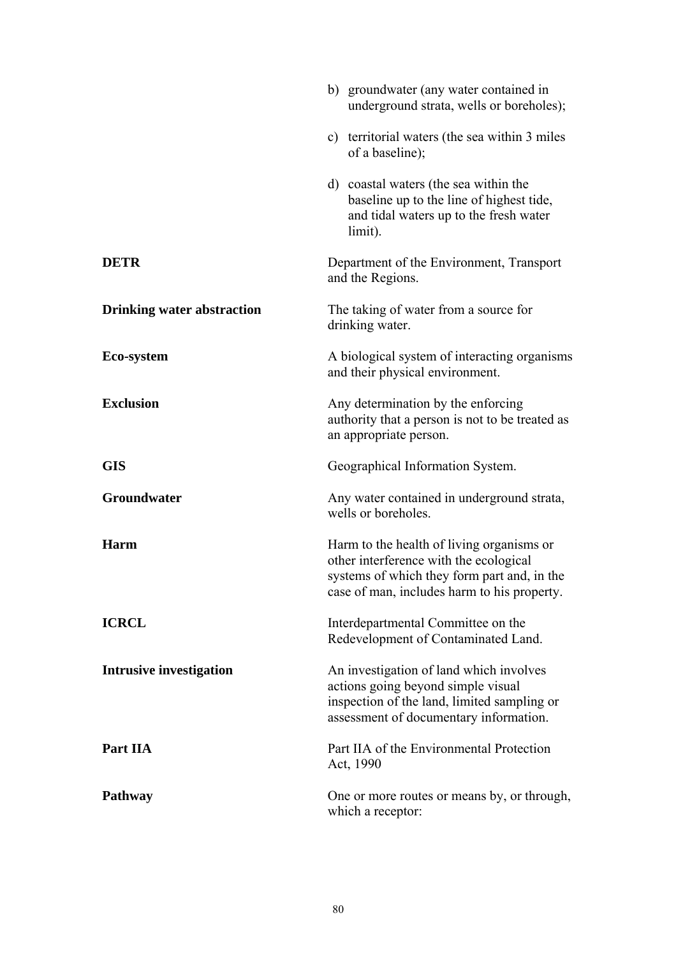|                                   | b) groundwater (any water contained in<br>underground strata, wells or boreholes);                                                                                                |
|-----------------------------------|-----------------------------------------------------------------------------------------------------------------------------------------------------------------------------------|
|                                   | c) territorial waters (the sea within 3 miles<br>of a baseline);                                                                                                                  |
|                                   | d) coastal waters (the sea within the<br>baseline up to the line of highest tide,<br>and tidal waters up to the fresh water<br>limit).                                            |
| <b>DETR</b>                       | Department of the Environment, Transport<br>and the Regions.                                                                                                                      |
| <b>Drinking water abstraction</b> | The taking of water from a source for<br>drinking water.                                                                                                                          |
| Eco-system                        | A biological system of interacting organisms<br>and their physical environment.                                                                                                   |
| <b>Exclusion</b>                  | Any determination by the enforcing<br>authority that a person is not to be treated as<br>an appropriate person.                                                                   |
| <b>GIS</b>                        | Geographical Information System.                                                                                                                                                  |
| Groundwater                       | Any water contained in underground strata,<br>wells or boreholes.                                                                                                                 |
| Harm                              | Harm to the health of living organisms or<br>other interference with the ecological<br>systems of which they form part and, in the<br>case of man, includes harm to his property. |
| <b>ICRCL</b>                      | Interdepartmental Committee on the<br>Redevelopment of Contaminated Land.                                                                                                         |
| <b>Intrusive investigation</b>    | An investigation of land which involves<br>actions going beyond simple visual<br>inspection of the land, limited sampling or<br>assessment of documentary information.            |
| Part IIA                          | Part IIA of the Environmental Protection<br>Act, 1990                                                                                                                             |
| <b>Pathway</b>                    | One or more routes or means by, or through,<br>which a receptor:                                                                                                                  |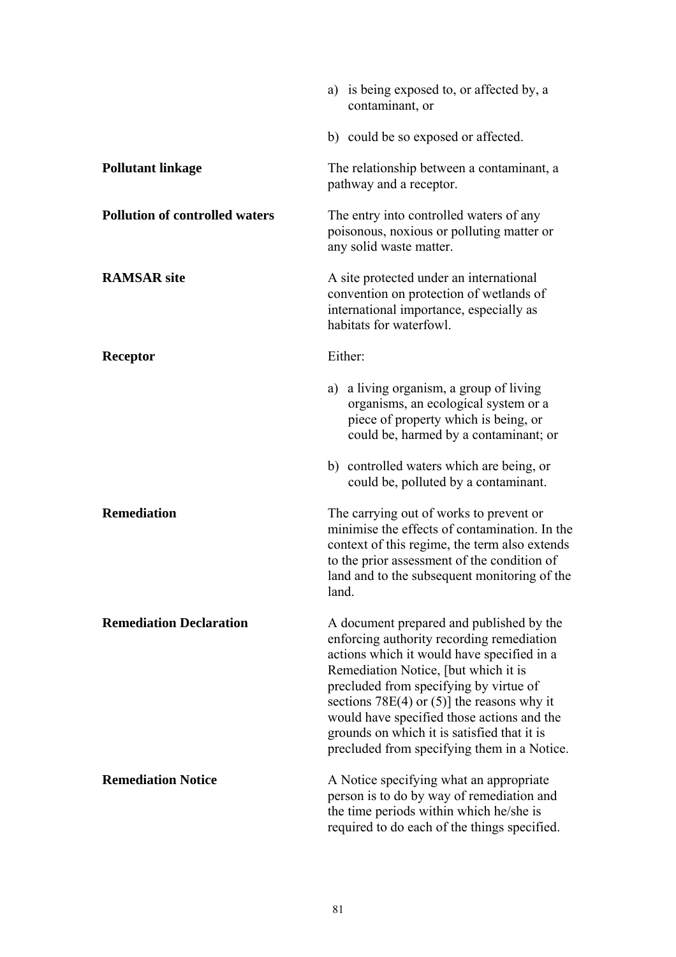|                                       | a) is being exposed to, or affected by, a<br>contaminant, or                                                                                                                                                                                                                                                                                                                                                         |
|---------------------------------------|----------------------------------------------------------------------------------------------------------------------------------------------------------------------------------------------------------------------------------------------------------------------------------------------------------------------------------------------------------------------------------------------------------------------|
|                                       | b) could be so exposed or affected.                                                                                                                                                                                                                                                                                                                                                                                  |
| <b>Pollutant linkage</b>              | The relationship between a contaminant, a<br>pathway and a receptor.                                                                                                                                                                                                                                                                                                                                                 |
| <b>Pollution of controlled waters</b> | The entry into controlled waters of any<br>poisonous, noxious or polluting matter or<br>any solid waste matter.                                                                                                                                                                                                                                                                                                      |
| <b>RAMSAR</b> site                    | A site protected under an international<br>convention on protection of wetlands of<br>international importance, especially as<br>habitats for waterfowl.                                                                                                                                                                                                                                                             |
| <b>Receptor</b>                       | Either:                                                                                                                                                                                                                                                                                                                                                                                                              |
|                                       | a) a living organism, a group of living<br>organisms, an ecological system or a<br>piece of property which is being, or<br>could be, harmed by a contaminant; or                                                                                                                                                                                                                                                     |
|                                       | b) controlled waters which are being, or<br>could be, polluted by a contaminant.                                                                                                                                                                                                                                                                                                                                     |
| <b>Remediation</b>                    | The carrying out of works to prevent or<br>minimise the effects of contamination. In the<br>context of this regime, the term also extends<br>to the prior assessment of the condition of<br>land and to the subsequent monitoring of the<br>land.                                                                                                                                                                    |
| <b>Remediation Declaration</b>        | A document prepared and published by the<br>enforcing authority recording remediation<br>actions which it would have specified in a<br>Remediation Notice, [but which it is<br>precluded from specifying by virtue of<br>sections $78E(4)$ or $(5)$ ] the reasons why it<br>would have specified those actions and the<br>grounds on which it is satisfied that it is<br>precluded from specifying them in a Notice. |
| <b>Remediation Notice</b>             | A Notice specifying what an appropriate<br>person is to do by way of remediation and<br>the time periods within which he/she is<br>required to do each of the things specified.                                                                                                                                                                                                                                      |